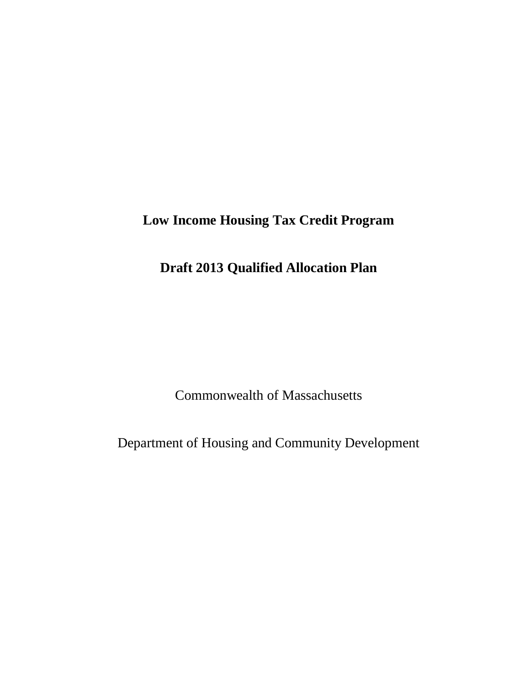# **Low Income Housing Tax Credit Program**

# **Draft 2013 Qualified Allocation Plan**

Commonwealth of Massachusetts

Department of Housing and Community Development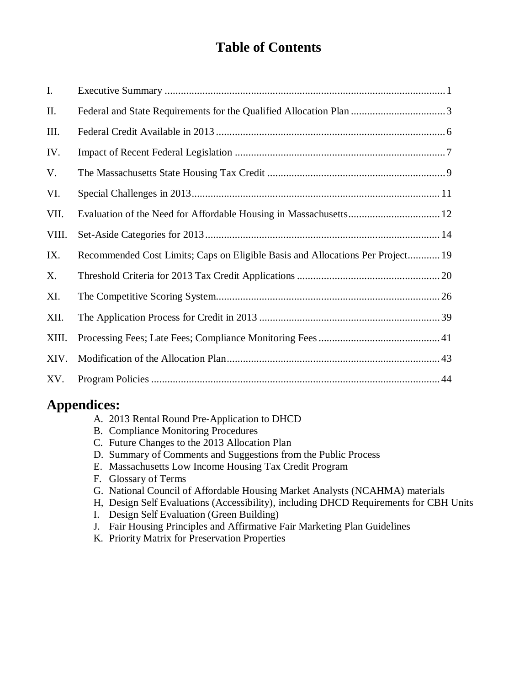# **Table of Contents**

| I.    |                                                                                |
|-------|--------------------------------------------------------------------------------|
| Π.    |                                                                                |
| III.  |                                                                                |
| IV.   |                                                                                |
| V.    |                                                                                |
| VI.   |                                                                                |
| VII.  |                                                                                |
| VIII. |                                                                                |
| IX.   | Recommended Cost Limits; Caps on Eligible Basis and Allocations Per Project 19 |
| Х.    |                                                                                |
| XI.   |                                                                                |
| XII.  |                                                                                |
| XIII. |                                                                                |
| XIV.  |                                                                                |
| XV.   |                                                                                |

# **Appendices:**

- A. 2013 Rental Round Pre-Application to DHCD
- B. Compliance Monitoring Procedures
- C. Future Changes to the 2013 Allocation Plan
- D. Summary of Comments and Suggestions from the Public Process
- E. Massachusetts Low Income Housing Tax Credit Program
- F. Glossary of Terms
- G. National Council of Affordable Housing Market Analysts (NCAHMA) materials
- H, Design Self Evaluations (Accessibility), including DHCD Requirements for CBH Units
- I. Design Self Evaluation (Green Building)
- J. Fair Housing Principles and Affirmative Fair Marketing Plan Guidelines
- K. Priority Matrix for Preservation Properties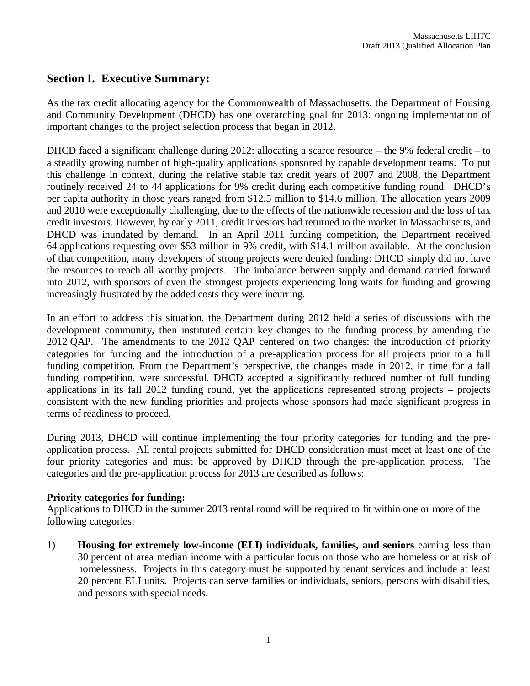# **Section I. Executive Summary:**

As the tax credit allocating agency for the Commonwealth of Massachusetts, the Department of Housing and Community Development (DHCD) has one overarching goal for 2013: ongoing implementation of important changes to the project selection process that began in 2012.

DHCD faced a significant challenge during 2012: allocating a scarce resource – the 9% federal credit – to a steadily growing number of high-quality applications sponsored by capable development teams. To put this challenge in context, during the relative stable tax credit years of 2007 and 2008, the Department routinely received 24 to 44 applications for 9% credit during each competitive funding round. DHCD's per capita authority in those years ranged from \$12.5 million to \$14.6 million. The allocation years 2009 and 2010 were exceptionally challenging, due to the effects of the nationwide recession and the loss of tax credit investors. However, by early 2011, credit investors had returned to the market in Massachusetts, and DHCD was inundated by demand. In an April 2011 funding competition, the Department received 64 applications requesting over \$53 million in 9% credit, with \$14.1 million available. At the conclusion of that competition, many developers of strong projects were denied funding: DHCD simply did not have the resources to reach all worthy projects. The imbalance between supply and demand carried forward into 2012, with sponsors of even the strongest projects experiencing long waits for funding and growing increasingly frustrated by the added costs they were incurring.

In an effort to address this situation, the Department during 2012 held a series of discussions with the development community, then instituted certain key changes to the funding process by amending the 2012 QAP. The amendments to the 2012 QAP centered on two changes: the introduction of priority categories for funding and the introduction of a pre-application process for all projects prior to a full funding competition. From the Department's perspective, the changes made in 2012, in time for a fall funding competition, were successful. DHCD accepted a significantly reduced number of full funding applications in its fall 2012 funding round, yet the applications represented strong projects – projects consistent with the new funding priorities and projects whose sponsors had made significant progress in terms of readiness to proceed.

During 2013, DHCD will continue implementing the four priority categories for funding and the preapplication process. All rental projects submitted for DHCD consideration must meet at least one of the four priority categories and must be approved by DHCD through the pre-application process. The categories and the pre-application process for 2013 are described as follows:

# **Priority categories for funding:**

Applications to DHCD in the summer 2013 rental round will be required to fit within one or more of the following categories:

1) **Housing for extremely low-income (ELI) individuals, families, and seniors** earning less than 30 percent of area median income with a particular focus on those who are homeless or at risk of homelessness. Projects in this category must be supported by tenant services and include at least 20 percent ELI units. Projects can serve families or individuals, seniors, persons with disabilities, and persons with special needs.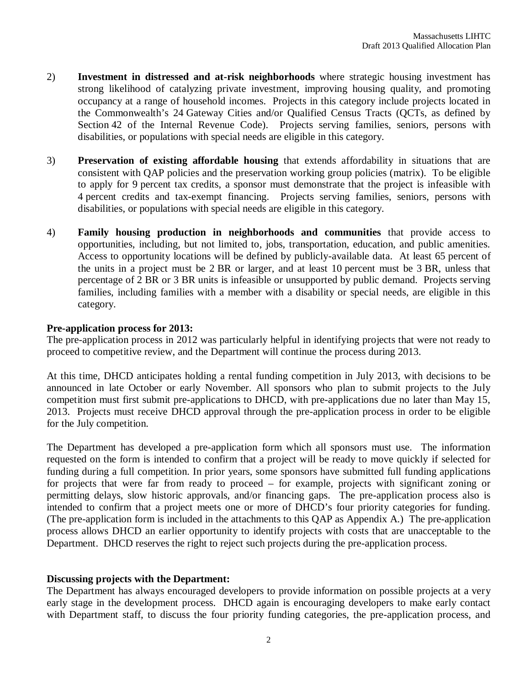- 2) **Investment in distressed and at-risk neighborhoods** where strategic housing investment has strong likelihood of catalyzing private investment, improving housing quality, and promoting occupancy at a range of household incomes. Projects in this category include projects located in the Commonwealth's 24 Gateway Cities and/or Qualified Census Tracts (QCTs, as defined by Section 42 of the Internal Revenue Code). Projects serving families, seniors, persons with disabilities, or populations with special needs are eligible in this category.
- 3) **Preservation of existing affordable housing** that extends affordability in situations that are consistent with QAP policies and the preservation working group policies (matrix). To be eligible to apply for 9 percent tax credits, a sponsor must demonstrate that the project is infeasible with 4 percent credits and tax-exempt financing. Projects serving families, seniors, persons with disabilities, or populations with special needs are eligible in this category.
- 4) **Family housing production in neighborhoods and communities** that provide access to opportunities, including, but not limited to, jobs, transportation, education, and public amenities. Access to opportunity locations will be defined by publicly-available data. At least 65 percent of the units in a project must be 2 BR or larger, and at least 10 percent must be 3 BR, unless that percentage of 2 BR or 3 BR units is infeasible or unsupported by public demand. Projects serving families, including families with a member with a disability or special needs, are eligible in this category.

#### **Pre-application process for 2013:**

The pre-application process in 2012 was particularly helpful in identifying projects that were not ready to proceed to competitive review, and the Department will continue the process during 2013.

At this time, DHCD anticipates holding a rental funding competition in July 2013, with decisions to be announced in late October or early November. All sponsors who plan to submit projects to the July competition must first submit pre-applications to DHCD, with pre-applications due no later than May 15, 2013. Projects must receive DHCD approval through the pre-application process in order to be eligible for the July competition.

The Department has developed a pre-application form which all sponsors must use. The information requested on the form is intended to confirm that a project will be ready to move quickly if selected for funding during a full competition. In prior years, some sponsors have submitted full funding applications for projects that were far from ready to proceed – for example, projects with significant zoning or permitting delays, slow historic approvals, and/or financing gaps. The pre-application process also is intended to confirm that a project meets one or more of DHCD's four priority categories for funding. (The pre-application form is included in the attachments to this QAP as Appendix A.) The pre-application process allows DHCD an earlier opportunity to identify projects with costs that are unacceptable to the Department. DHCD reserves the right to reject such projects during the pre-application process.

#### **Discussing projects with the Department:**

The Department has always encouraged developers to provide information on possible projects at a very early stage in the development process. DHCD again is encouraging developers to make early contact with Department staff, to discuss the four priority funding categories, the pre-application process, and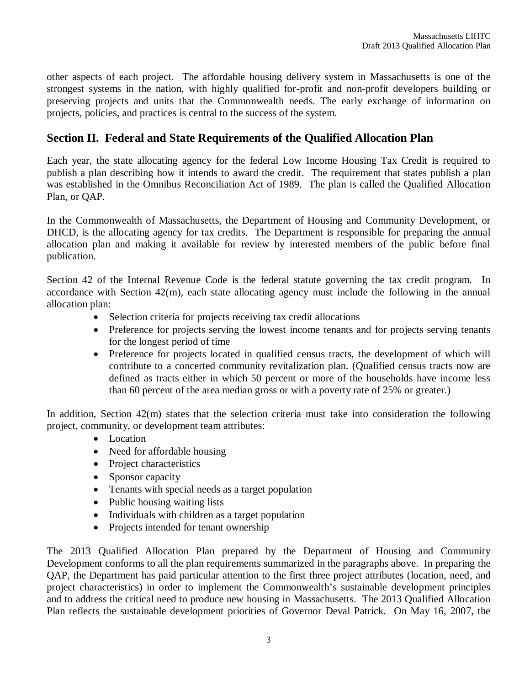other aspects of each project. The affordable housing delivery system in Massachusetts is one of the strongest systems in the nation, with highly qualified for-profit and non-profit developers building or preserving projects and units that the Commonwealth needs. The early exchange of information on projects, policies, and practices is central to the success of the system.

# **Section II. Federal and State Requirements of the Qualified Allocation Plan**

Each year, the state allocating agency for the federal Low Income Housing Tax Credit is required to publish a plan describing how it intends to award the credit. The requirement that states publish a plan was established in the Omnibus Reconciliation Act of 1989. The plan is called the Qualified Allocation Plan, or QAP.

In the Commonwealth of Massachusetts, the Department of Housing and Community Development, or DHCD, is the allocating agency for tax credits. The Department is responsible for preparing the annual allocation plan and making it available for review by interested members of the public before final publication.

Section 42 of the Internal Revenue Code is the federal statute governing the tax credit program. In accordance with Section 42(m), each state allocating agency must include the following in the annual allocation plan:

- Selection criteria for projects receiving tax credit allocations
- Preference for projects serving the lowest income tenants and for projects serving tenants for the longest period of time
- Preference for projects located in qualified census tracts, the development of which will contribute to a concerted community revitalization plan. (Qualified census tracts now are defined as tracts either in which 50 percent or more of the households have income less than 60 percent of the area median gross or with a poverty rate of 25% or greater.)

In addition, Section 42(m) states that the selection criteria must take into consideration the following project, community, or development team attributes:

- Location
- Need for affordable housing
- Project characteristics
- Sponsor capacity
- Tenants with special needs as a target population
- Public housing waiting lists
- Individuals with children as a target population
- Projects intended for tenant ownership

The 2013 Qualified Allocation Plan prepared by the Department of Housing and Community Development conforms to all the plan requirements summarized in the paragraphs above. In preparing the QAP, the Department has paid particular attention to the first three project attributes (location, need, and project characteristics) in order to implement the Commonwealth's sustainable development principles and to address the critical need to produce new housing in Massachusetts. The 2013 Qualified Allocation Plan reflects the sustainable development priorities of Governor Deval Patrick. On May 16, 2007, the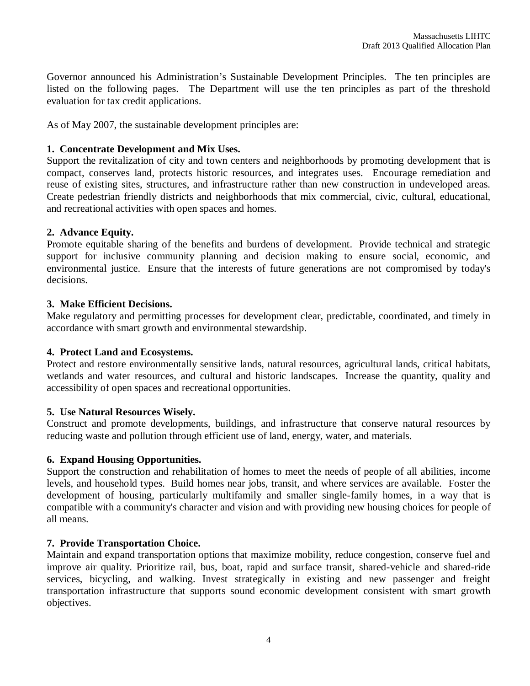Governor announced his Administration's Sustainable Development Principles. The ten principles are listed on the following pages. The Department will use the ten principles as part of the threshold evaluation for tax credit applications.

As of May 2007, the sustainable development principles are:

# **1. Concentrate Development and Mix Uses.**

Support the revitalization of city and town centers and neighborhoods by promoting development that is compact, conserves land, protects historic resources, and integrates uses. Encourage remediation and reuse of existing sites, structures, and infrastructure rather than new construction in undeveloped areas. Create pedestrian friendly districts and neighborhoods that mix commercial, civic, cultural, educational, and recreational activities with open spaces and homes.

# **2. Advance Equity.**

Promote equitable sharing of the benefits and burdens of development. Provide technical and strategic support for inclusive community planning and decision making to ensure social, economic, and environmental justice. Ensure that the interests of future generations are not compromised by today's decisions.

# **3. Make Efficient Decisions.**

Make regulatory and permitting processes for development clear, predictable, coordinated, and timely in accordance with smart growth and environmental stewardship.

# **4. Protect Land and Ecosystems.**

Protect and restore environmentally sensitive lands, natural resources, agricultural lands, critical habitats, wetlands and water resources, and cultural and historic landscapes. Increase the quantity, quality and accessibility of open spaces and recreational opportunities.

# **5. Use Natural Resources Wisely.**

Construct and promote developments, buildings, and infrastructure that conserve natural resources by reducing waste and pollution through efficient use of land, energy, water, and materials.

# **6. Expand Housing Opportunities.**

Support the construction and rehabilitation of homes to meet the needs of people of all abilities, income levels, and household types. Build homes near jobs, transit, and where services are available. Foster the development of housing, particularly multifamily and smaller single-family homes, in a way that is compatible with a community's character and vision and with providing new housing choices for people of all means.

# **7. Provide Transportation Choice.**

Maintain and expand transportation options that maximize mobility, reduce congestion, conserve fuel and improve air quality. Prioritize rail, bus, boat, rapid and surface transit, shared-vehicle and shared-ride services, bicycling, and walking. Invest strategically in existing and new passenger and freight transportation infrastructure that supports sound economic development consistent with smart growth objectives.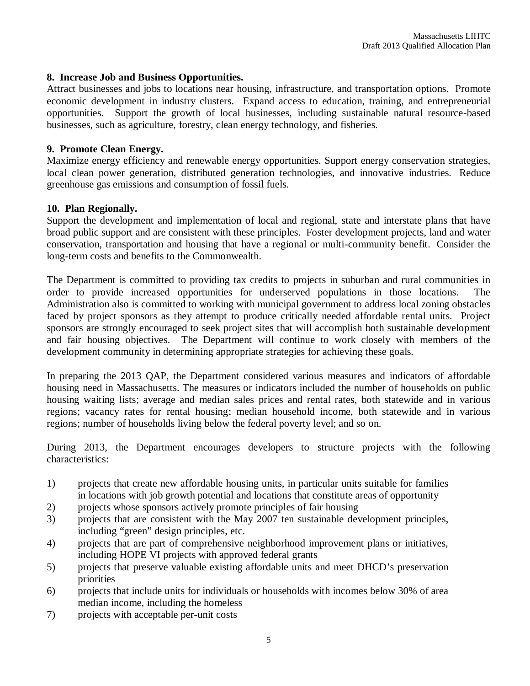#### **8. Increase Job and Business Opportunities.**

Attract businesses and jobs to locations near housing, infrastructure, and transportation options. Promote economic development in industry clusters. Expand access to education, training, and entrepreneurial opportunities. Support the growth of local businesses, including sustainable natural resource-based businesses, such as agriculture, forestry, clean energy technology, and fisheries.

#### **9. Promote Clean Energy.**

Maximize energy efficiency and renewable energy opportunities. Support energy conservation strategies, local clean power generation, distributed generation technologies, and innovative industries. Reduce greenhouse gas emissions and consumption of fossil fuels.

#### **10. Plan Regionally.**

Support the development and implementation of local and regional, state and interstate plans that have broad public support and are consistent with these principles. Foster development projects, land and water conservation, transportation and housing that have a regional or multi-community benefit. Consider the long-term costs and benefits to the Commonwealth.

The Department is committed to providing tax credits to projects in suburban and rural communities in order to provide increased opportunities for underserved populations in those locations. The Administration also is committed to working with municipal government to address local zoning obstacles faced by project sponsors as they attempt to produce critically needed affordable rental units. Project sponsors are strongly encouraged to seek project sites that will accomplish both sustainable development and fair housing objectives. The Department will continue to work closely with members of the development community in determining appropriate strategies for achieving these goals.

In preparing the 2013 QAP, the Department considered various measures and indicators of affordable housing need in Massachusetts. The measures or indicators included the number of households on public housing waiting lists; average and median sales prices and rental rates, both statewide and in various regions; vacancy rates for rental housing; median household income, both statewide and in various regions; number of households living below the federal poverty level; and so on.

During 2013, the Department encourages developers to structure projects with the following characteristics:

- 1) projects that create new affordable housing units, in particular units suitable for families in locations with job growth potential and locations that constitute areas of opportunity
- 2) projects whose sponsors actively promote principles of fair housing
- 3) projects that are consistent with the May 2007 ten sustainable development principles, including "green" design principles, etc.
- 4) projects that are part of comprehensive neighborhood improvement plans or initiatives, including HOPE VI projects with approved federal grants
- 5) projects that preserve valuable existing affordable units and meet DHCD's preservation priorities
- 6) projects that include units for individuals or households with incomes below 30% of area median income, including the homeless
- 7) projects with acceptable per-unit costs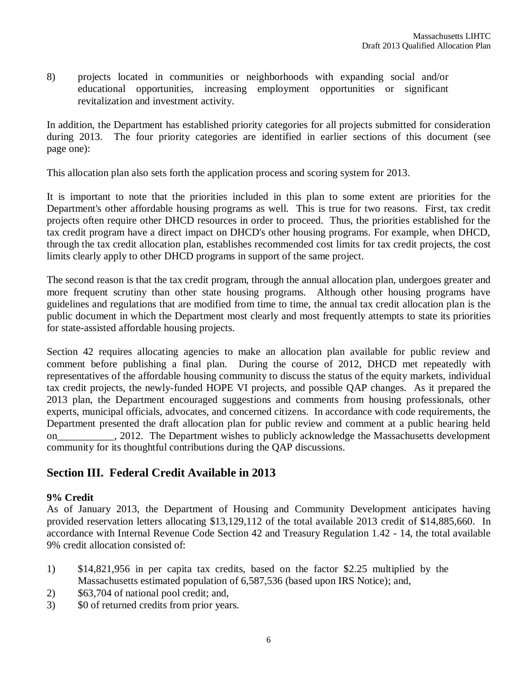8) projects located in communities or neighborhoods with expanding social and/or educational opportunities, increasing employment opportunities or significant revitalization and investment activity.

In addition, the Department has established priority categories for all projects submitted for consideration during 2013. The four priority categories are identified in earlier sections of this document (see page one):

This allocation plan also sets forth the application process and scoring system for 2013.

It is important to note that the priorities included in this plan to some extent are priorities for the Department's other affordable housing programs as well. This is true for two reasons. First, tax credit projects often require other DHCD resources in order to proceed. Thus, the priorities established for the tax credit program have a direct impact on DHCD's other housing programs. For example, when DHCD, through the tax credit allocation plan, establishes recommended cost limits for tax credit projects, the cost limits clearly apply to other DHCD programs in support of the same project.

The second reason is that the tax credit program, through the annual allocation plan, undergoes greater and more frequent scrutiny than other state housing programs. Although other housing programs have guidelines and regulations that are modified from time to time, the annual tax credit allocation plan is the public document in which the Department most clearly and most frequently attempts to state its priorities for state-assisted affordable housing projects.

Section 42 requires allocating agencies to make an allocation plan available for public review and comment before publishing a final plan. During the course of 2012, DHCD met repeatedly with representatives of the affordable housing community to discuss the status of the equity markets, individual tax credit projects, the newly-funded HOPE VI projects, and possible QAP changes. As it prepared the 2013 plan, the Department encouraged suggestions and comments from housing professionals, other experts, municipal officials, advocates, and concerned citizens. In accordance with code requirements, the Department presented the draft allocation plan for public review and comment at a public hearing held on the 2012. The Department wishes to publicly acknowledge the Massachusetts development community for its thoughtful contributions during the QAP discussions.

# **Section III. Federal Credit Available in 2013**

# **9% Credit**

As of January 2013, the Department of Housing and Community Development anticipates having provided reservation letters allocating \$13,129,112 of the total available 2013 credit of \$14,885,660. In accordance with Internal Revenue Code Section 42 and Treasury Regulation 1.42 - 14, the total available 9% credit allocation consisted of:

- 1) \$14,821,956 in per capita tax credits, based on the factor \$2.25 multiplied by the Massachusetts estimated population of 6,587,536 (based upon IRS Notice); and,
- 2) \$63,704 of national pool credit; and,
- 3) \$0 of returned credits from prior years.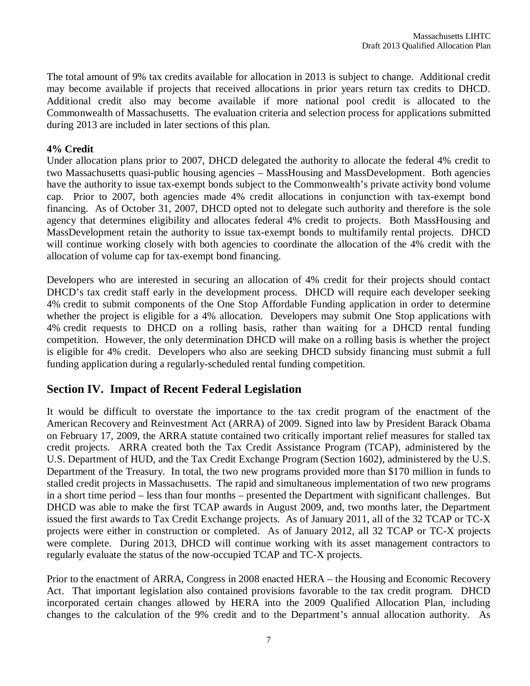The total amount of 9% tax credits available for allocation in 2013 is subject to change. Additional credit may become available if projects that received allocations in prior years return tax credits to DHCD. Additional credit also may become available if more national pool credit is allocated to the Commonwealth of Massachusetts. The evaluation criteria and selection process for applications submitted during 2013 are included in later sections of this plan.

#### **4% Credit**

Under allocation plans prior to 2007, DHCD delegated the authority to allocate the federal 4% credit to two Massachusetts quasi-public housing agencies – MassHousing and MassDevelopment. Both agencies have the authority to issue tax-exempt bonds subject to the Commonwealth's private activity bond volume cap. Prior to 2007, both agencies made 4% credit allocations in conjunction with tax-exempt bond financing. As of October 31, 2007, DHCD opted not to delegate such authority and therefore is the sole agency that determines eligibility and allocates federal 4% credit to projects. Both MassHousing and MassDevelopment retain the authority to issue tax-exempt bonds to multifamily rental projects. DHCD will continue working closely with both agencies to coordinate the allocation of the 4% credit with the allocation of volume cap for tax-exempt bond financing.

Developers who are interested in securing an allocation of 4% credit for their projects should contact DHCD's tax credit staff early in the development process. DHCD will require each developer seeking 4% credit to submit components of the One Stop Affordable Funding application in order to determine whether the project is eligible for a 4% allocation. Developers may submit One Stop applications with 4% credit requests to DHCD on a rolling basis, rather than waiting for a DHCD rental funding competition. However, the only determination DHCD will make on a rolling basis is whether the project is eligible for 4% credit. Developers who also are seeking DHCD subsidy financing must submit a full funding application during a regularly-scheduled rental funding competition.

# **Section IV. Impact of Recent Federal Legislation**

It would be difficult to overstate the importance to the tax credit program of the enactment of the American Recovery and Reinvestment Act (ARRA) of 2009. Signed into law by President Barack Obama on February 17, 2009, the ARRA statute contained two critically important relief measures for stalled tax credit projects. ARRA created both the Tax Credit Assistance Program (TCAP), administered by the U.S. Department of HUD, and the Tax Credit Exchange Program (Section 1602), administered by the U.S. Department of the Treasury. In total, the two new programs provided more than \$170 million in funds to stalled credit projects in Massachusetts. The rapid and simultaneous implementation of two new programs in a short time period – less than four months – presented the Department with significant challenges. But DHCD was able to make the first TCAP awards in August 2009, and, two months later, the Department issued the first awards to Tax Credit Exchange projects. As of January 2011, all of the 32 TCAP or TC-X projects were either in construction or completed. As of January 2012, all 32 TCAP or TC-X projects were complete. During 2013, DHCD will continue working with its asset management contractors to regularly evaluate the status of the now-occupied TCAP and TC-X projects.

Prior to the enactment of ARRA, Congress in 2008 enacted HERA – the Housing and Economic Recovery Act. That important legislation also contained provisions favorable to the tax credit program. DHCD incorporated certain changes allowed by HERA into the 2009 Qualified Allocation Plan, including changes to the calculation of the 9% credit and to the Department's annual allocation authority. As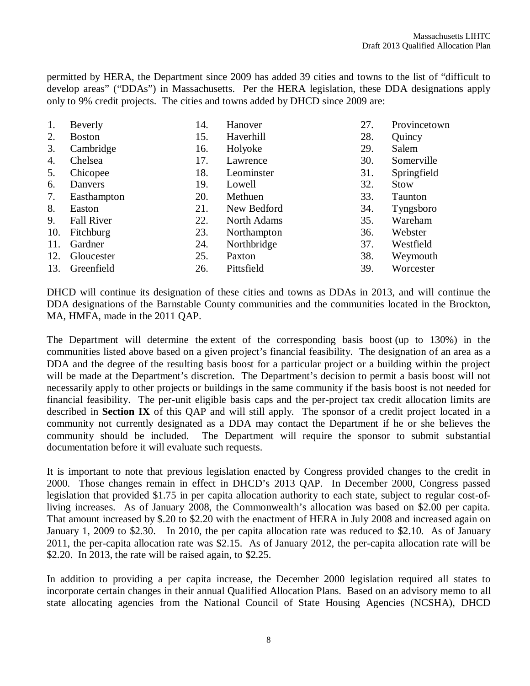permitted by HERA, the Department since 2009 has added 39 cities and towns to the list of "difficult to develop areas" ("DDAs") in Massachusetts. Per the HERA legislation, these DDA designations apply only to 9% credit projects. The cities and towns added by DHCD since 2009 are:

| 1.  | Beverly           | 14. | Hanover     | 27. | Provincetown |
|-----|-------------------|-----|-------------|-----|--------------|
| 2.  | <b>Boston</b>     | 15. | Haverhill   | 28. | Quincy       |
| 3.  | Cambridge         | 16. | Holyoke     | 29. | Salem        |
| 4.  | Chelsea           | 17. | Lawrence    | 30. | Somerville   |
| 5.  | Chicopee          | 18. | Leominster  | 31. | Springfield  |
| 6.  | Danvers           | 19. | Lowell      | 32. | <b>Stow</b>  |
| 7.  | Easthampton       | 20. | Methuen     | 33. | Taunton      |
| 8.  | Easton            | 21. | New Bedford | 34. | Tyngsboro    |
| 9.  | <b>Fall River</b> | 22. | North Adams | 35. | Wareham      |
| 10. | Fitchburg         | 23. | Northampton | 36. | Webster      |
| 11. | Gardner           | 24. | Northbridge | 37. | Westfield    |
| 12. | Gloucester        | 25. | Paxton      | 38. | Weymouth     |
| 13. | Greenfield        | 26. | Pittsfield  | 39. | Worcester    |

DHCD will continue its designation of these cities and towns as DDAs in 2013, and will continue the DDA designations of the Barnstable County communities and the communities located in the Brockton, MA, HMFA, made in the 2011 QAP.

The Department will determine the extent of the corresponding basis boost (up to 130%) in the communities listed above based on a given project's financial feasibility. The designation of an area as a DDA and the degree of the resulting basis boost for a particular project or a building within the project will be made at the Department's discretion. The Department's decision to permit a basis boost will not necessarily apply to other projects or buildings in the same community if the basis boost is not needed for financial feasibility. The per-unit eligible basis caps and the per-project tax credit allocation limits are described in **Section IX** of this QAP and will still apply. The sponsor of a credit project located in a community not currently designated as a DDA may contact the Department if he or she believes the community should be included. The Department will require the sponsor to submit substantial documentation before it will evaluate such requests.

It is important to note that previous legislation enacted by Congress provided changes to the credit in 2000. Those changes remain in effect in DHCD's 2013 QAP. In December 2000, Congress passed legislation that provided \$1.75 in per capita allocation authority to each state, subject to regular cost-ofliving increases. As of January 2008, the Commonwealth's allocation was based on \$2.00 per capita. That amount increased by \$.20 to \$2.20 with the enactment of HERA in July 2008 and increased again on January 1, 2009 to \$2.30. In 2010, the per capita allocation rate was reduced to \$2.10. As of January 2011, the per-capita allocation rate was \$2.15. As of January 2012, the per-capita allocation rate will be \$2.20. In 2013, the rate will be raised again, to \$2.25.

In addition to providing a per capita increase, the December 2000 legislation required all states to incorporate certain changes in their annual Qualified Allocation Plans. Based on an advisory memo to all state allocating agencies from the National Council of State Housing Agencies (NCSHA), DHCD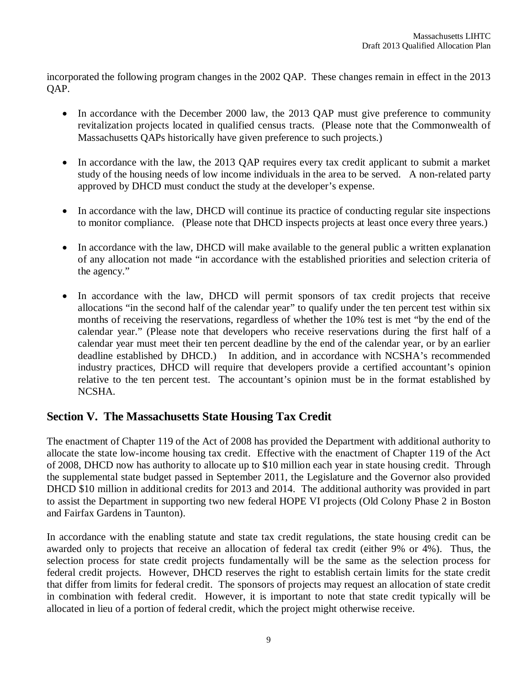incorporated the following program changes in the 2002 QAP. These changes remain in effect in the 2013 QAP.

- In accordance with the December 2000 law, the 2013 QAP must give preference to community revitalization projects located in qualified census tracts. (Please note that the Commonwealth of Massachusetts QAPs historically have given preference to such projects.)
- In accordance with the law, the 2013 QAP requires every tax credit applicant to submit a market study of the housing needs of low income individuals in the area to be served. A non-related party approved by DHCD must conduct the study at the developer's expense.
- In accordance with the law, DHCD will continue its practice of conducting regular site inspections to monitor compliance. (Please note that DHCD inspects projects at least once every three years.)
- In accordance with the law, DHCD will make available to the general public a written explanation of any allocation not made "in accordance with the established priorities and selection criteria of the agency."
- In accordance with the law, DHCD will permit sponsors of tax credit projects that receive allocations "in the second half of the calendar year" to qualify under the ten percent test within six months of receiving the reservations, regardless of whether the 10% test is met "by the end of the calendar year." (Please note that developers who receive reservations during the first half of a calendar year must meet their ten percent deadline by the end of the calendar year, or by an earlier deadline established by DHCD.) In addition, and in accordance with NCSHA's recommended industry practices, DHCD will require that developers provide a certified accountant's opinion relative to the ten percent test. The accountant's opinion must be in the format established by NCSHA.

# **Section V. The Massachusetts State Housing Tax Credit**

The enactment of Chapter 119 of the Act of 2008 has provided the Department with additional authority to allocate the state low-income housing tax credit. Effective with the enactment of Chapter 119 of the Act of 2008, DHCD now has authority to allocate up to \$10 million each year in state housing credit. Through the supplemental state budget passed in September 2011, the Legislature and the Governor also provided DHCD \$10 million in additional credits for 2013 and 2014. The additional authority was provided in part to assist the Department in supporting two new federal HOPE VI projects (Old Colony Phase 2 in Boston and Fairfax Gardens in Taunton).

In accordance with the enabling statute and state tax credit regulations, the state housing credit can be awarded only to projects that receive an allocation of federal tax credit (either 9% or 4%). Thus, the selection process for state credit projects fundamentally will be the same as the selection process for federal credit projects. However, DHCD reserves the right to establish certain limits for the state credit that differ from limits for federal credit. The sponsors of projects may request an allocation of state credit in combination with federal credit. However, it is important to note that state credit typically will be allocated in lieu of a portion of federal credit, which the project might otherwise receive.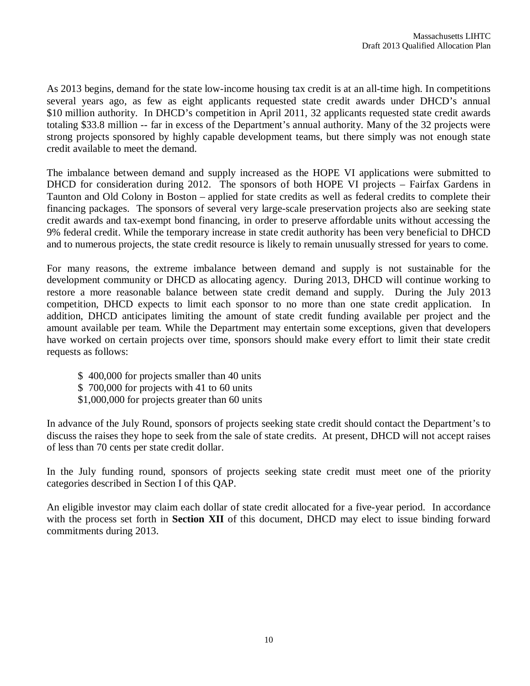As 2013 begins, demand for the state low-income housing tax credit is at an all-time high. In competitions several years ago, as few as eight applicants requested state credit awards under DHCD's annual \$10 million authority. In DHCD's competition in April 2011, 32 applicants requested state credit awards totaling \$33.8 million -- far in excess of the Department's annual authority. Many of the 32 projects were strong projects sponsored by highly capable development teams, but there simply was not enough state credit available to meet the demand.

The imbalance between demand and supply increased as the HOPE VI applications were submitted to DHCD for consideration during 2012. The sponsors of both HOPE VI projects – Fairfax Gardens in Taunton and Old Colony in Boston – applied for state credits as well as federal credits to complete their financing packages. The sponsors of several very large-scale preservation projects also are seeking state credit awards and tax-exempt bond financing, in order to preserve affordable units without accessing the 9% federal credit. While the temporary increase in state credit authority has been very beneficial to DHCD and to numerous projects, the state credit resource is likely to remain unusually stressed for years to come.

For many reasons, the extreme imbalance between demand and supply is not sustainable for the development community or DHCD as allocating agency. During 2013, DHCD will continue working to restore a more reasonable balance between state credit demand and supply. During the July 2013 competition, DHCD expects to limit each sponsor to no more than one state credit application. In addition, DHCD anticipates limiting the amount of state credit funding available per project and the amount available per team. While the Department may entertain some exceptions, given that developers have worked on certain projects over time, sponsors should make every effort to limit their state credit requests as follows:

- \$ 400,000 for projects smaller than 40 units
- \$ 700,000 for projects with 41 to 60 units
- \$1,000,000 for projects greater than 60 units

In advance of the July Round, sponsors of projects seeking state credit should contact the Department's to discuss the raises they hope to seek from the sale of state credits. At present, DHCD will not accept raises of less than 70 cents per state credit dollar.

In the July funding round, sponsors of projects seeking state credit must meet one of the priority categories described in Section I of this QAP.

An eligible investor may claim each dollar of state credit allocated for a five-year period. In accordance with the process set forth in **Section XII** of this document, DHCD may elect to issue binding forward commitments during 2013.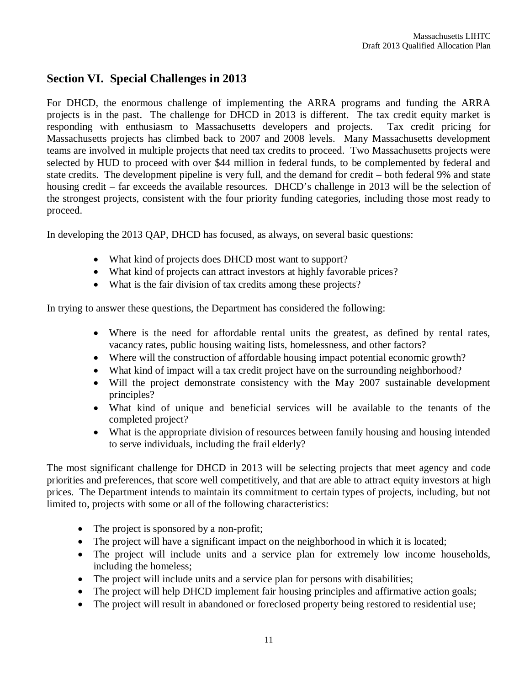# **Section VI. Special Challenges in 2013**

For DHCD, the enormous challenge of implementing the ARRA programs and funding the ARRA projects is in the past. The challenge for DHCD in 2013 is different. The tax credit equity market is responding with enthusiasm to Massachusetts developers and projects. Tax credit pricing for Massachusetts projects has climbed back to 2007 and 2008 levels. Many Massachusetts development teams are involved in multiple projects that need tax credits to proceed. Two Massachusetts projects were selected by HUD to proceed with over \$44 million in federal funds, to be complemented by federal and state credits. The development pipeline is very full, and the demand for credit – both federal 9% and state housing credit – far exceeds the available resources. DHCD's challenge in 2013 will be the selection of the strongest projects, consistent with the four priority funding categories, including those most ready to proceed.

In developing the 2013 QAP, DHCD has focused, as always, on several basic questions:

- What kind of projects does DHCD most want to support?
- What kind of projects can attract investors at highly favorable prices?
- What is the fair division of tax credits among these projects?

In trying to answer these questions, the Department has considered the following:

- Where is the need for affordable rental units the greatest, as defined by rental rates, vacancy rates, public housing waiting lists, homelessness, and other factors?
- Where will the construction of affordable housing impact potential economic growth?
- What kind of impact will a tax credit project have on the surrounding neighborhood?
- Will the project demonstrate consistency with the May 2007 sustainable development principles?
- What kind of unique and beneficial services will be available to the tenants of the completed project?
- What is the appropriate division of resources between family housing and housing intended to serve individuals, including the frail elderly?

The most significant challenge for DHCD in 2013 will be selecting projects that meet agency and code priorities and preferences, that score well competitively, and that are able to attract equity investors at high prices. The Department intends to maintain its commitment to certain types of projects, including, but not limited to, projects with some or all of the following characteristics:

- The project is sponsored by a non-profit;
- The project will have a significant impact on the neighborhood in which it is located;
- The project will include units and a service plan for extremely low income households, including the homeless;
- The project will include units and a service plan for persons with disabilities;
- The project will help DHCD implement fair housing principles and affirmative action goals;
- The project will result in abandoned or foreclosed property being restored to residential use;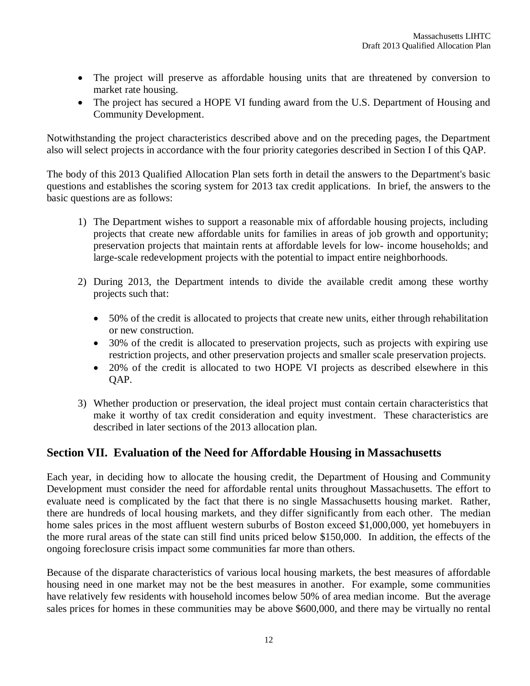- The project will preserve as affordable housing units that are threatened by conversion to market rate housing.
- The project has secured a HOPE VI funding award from the U.S. Department of Housing and Community Development.

Notwithstanding the project characteristics described above and on the preceding pages, the Department also will select projects in accordance with the four priority categories described in Section I of this QAP.

The body of this 2013 Qualified Allocation Plan sets forth in detail the answers to the Department's basic questions and establishes the scoring system for 2013 tax credit applications. In brief, the answers to the basic questions are as follows:

- 1) The Department wishes to support a reasonable mix of affordable housing projects, including projects that create new affordable units for families in areas of job growth and opportunity; preservation projects that maintain rents at affordable levels for low- income households; and large-scale redevelopment projects with the potential to impact entire neighborhoods.
- 2) During 2013, the Department intends to divide the available credit among these worthy projects such that:
	- 50% of the credit is allocated to projects that create new units, either through rehabilitation or new construction.
	- 30% of the credit is allocated to preservation projects, such as projects with expiring use restriction projects, and other preservation projects and smaller scale preservation projects.
	- 20% of the credit is allocated to two HOPE VI projects as described elsewhere in this OAP.
- 3) Whether production or preservation, the ideal project must contain certain characteristics that make it worthy of tax credit consideration and equity investment. These characteristics are described in later sections of the 2013 allocation plan.

# **Section VII. Evaluation of the Need for Affordable Housing in Massachusetts**

Each year, in deciding how to allocate the housing credit, the Department of Housing and Community Development must consider the need for affordable rental units throughout Massachusetts. The effort to evaluate need is complicated by the fact that there is no single Massachusetts housing market. Rather, there are hundreds of local housing markets, and they differ significantly from each other. The median home sales prices in the most affluent western suburbs of Boston exceed \$1,000,000, yet homebuyers in the more rural areas of the state can still find units priced below \$150,000. In addition, the effects of the ongoing foreclosure crisis impact some communities far more than others.

Because of the disparate characteristics of various local housing markets, the best measures of affordable housing need in one market may not be the best measures in another. For example, some communities have relatively few residents with household incomes below 50% of area median income. But the average sales prices for homes in these communities may be above \$600,000, and there may be virtually no rental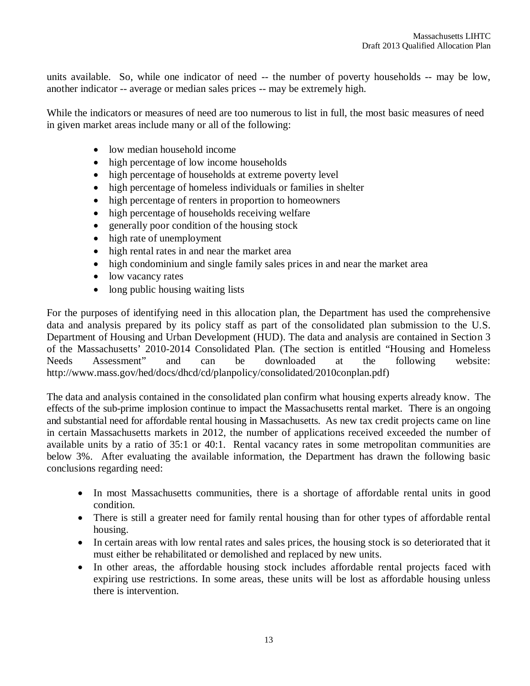units available. So, while one indicator of need -- the number of poverty households -- may be low, another indicator -- average or median sales prices -- may be extremely high.

While the indicators or measures of need are too numerous to list in full, the most basic measures of need in given market areas include many or all of the following:

- low median household income
- high percentage of low income households
- high percentage of households at extreme poverty level
- high percentage of homeless individuals or families in shelter
- high percentage of renters in proportion to homeowners
- high percentage of households receiving welfare
- generally poor condition of the housing stock
- high rate of unemployment
- high rental rates in and near the market area
- high condominium and single family sales prices in and near the market area
- low vacancy rates
- long public housing waiting lists

For the purposes of identifying need in this allocation plan, the Department has used the comprehensive data and analysis prepared by its policy staff as part of the consolidated plan submission to the U.S. Department of Housing and Urban Development (HUD). The data and analysis are contained in Section 3 of the Massachusetts' 2010-2014 Consolidated Plan. (The section is entitled "Housing and Homeless Needs Assessment" and can be downloaded at the following website: http://www.mass.gov/hed/docs/dhcd/cd/planpolicy/consolidated/2010conplan.pdf)

The data and analysis contained in the consolidated plan confirm what housing experts already know. The effects of the sub-prime implosion continue to impact the Massachusetts rental market. There is an ongoing and substantial need for affordable rental housing in Massachusetts. As new tax credit projects came on line in certain Massachusetts markets in 2012, the number of applications received exceeded the number of available units by a ratio of 35:1 or 40:1. Rental vacancy rates in some metropolitan communities are below 3%. After evaluating the available information, the Department has drawn the following basic conclusions regarding need:

- In most Massachusetts communities, there is a shortage of affordable rental units in good condition.
- There is still a greater need for family rental housing than for other types of affordable rental housing.
- In certain areas with low rental rates and sales prices, the housing stock is so deteriorated that it must either be rehabilitated or demolished and replaced by new units.
- In other areas, the affordable housing stock includes affordable rental projects faced with expiring use restrictions. In some areas, these units will be lost as affordable housing unless there is intervention.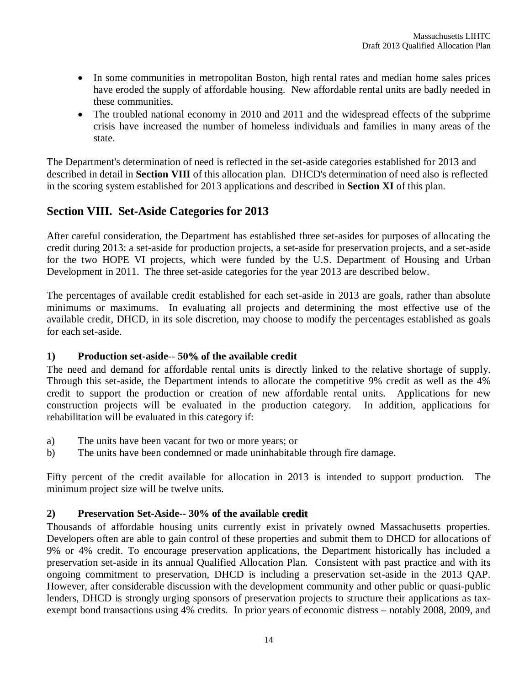- In some communities in metropolitan Boston, high rental rates and median home sales prices have eroded the supply of affordable housing. New affordable rental units are badly needed in these communities.
- The troubled national economy in 2010 and 2011 and the widespread effects of the subprime crisis have increased the number of homeless individuals and families in many areas of the state.

The Department's determination of need is reflected in the set-aside categories established for 2013 and described in detail in **Section VIII** of this allocation plan. DHCD's determination of need also is reflected in the scoring system established for 2013 applications and described in **Section XI** of this plan.

# **Section VIII. Set-Aside Categories for 2013**

After careful consideration, the Department has established three set-asides for purposes of allocating the credit during 2013: a set-aside for production projects, a set-aside for preservation projects, and a set-aside for the two HOPE VI projects, which were funded by the U.S. Department of Housing and Urban Development in 2011. The three set-aside categories for the year 2013 are described below.

The percentages of available credit established for each set-aside in 2013 are goals, rather than absolute minimums or maximums. In evaluating all projects and determining the most effective use of the available credit, DHCD, in its sole discretion, may choose to modify the percentages established as goals for each set-aside.

# **1) Production set-aside**-- **50% of the available credit**

The need and demand for affordable rental units is directly linked to the relative shortage of supply. Through this set-aside, the Department intends to allocate the competitive 9% credit as well as the 4% credit to support the production or creation of new affordable rental units. Applications for new construction projects will be evaluated in the production category. In addition, applications for rehabilitation will be evaluated in this category if:

- a) The units have been vacant for two or more years; or
- b) The units have been condemned or made uninhabitable through fire damage.

Fifty percent of the credit available for allocation in 2013 is intended to support production. The minimum project size will be twelve units.

# **2) Preservation Set-Aside-- 30% of the available credit**

Thousands of affordable housing units currently exist in privately owned Massachusetts properties. Developers often are able to gain control of these properties and submit them to DHCD for allocations of 9% or 4% credit. To encourage preservation applications, the Department historically has included a preservation set-aside in its annual Qualified Allocation Plan. Consistent with past practice and with its ongoing commitment to preservation, DHCD is including a preservation set-aside in the 2013 QAP. However, after considerable discussion with the development community and other public or quasi-public lenders, DHCD is strongly urging sponsors of preservation projects to structure their applications as taxexempt bond transactions using 4% credits. In prior years of economic distress – notably 2008, 2009, and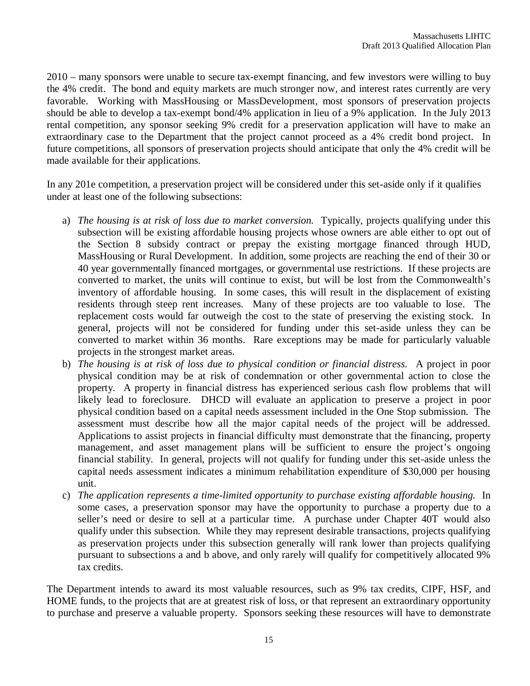2010 – many sponsors were unable to secure tax-exempt financing, and few investors were willing to buy the 4% credit. The bond and equity markets are much stronger now, and interest rates currently are very favorable. Working with MassHousing or MassDevelopment, most sponsors of preservation projects should be able to develop a tax-exempt bond/4% application in lieu of a 9% application. In the July 2013 rental competition, any sponsor seeking 9% credit for a preservation application will have to make an extraordinary case to the Department that the project cannot proceed as a 4% credit bond project. In future competitions, all sponsors of preservation projects should anticipate that only the 4% credit will be made available for their applications.

In any 201e competition, a preservation project will be considered under this set-aside only if it qualifies under at least one of the following subsections:

- a) *The housing is at risk of loss due to market conversion.* Typically, projects qualifying under this subsection will be existing affordable housing projects whose owners are able either to opt out of the Section 8 subsidy contract or prepay the existing mortgage financed through HUD, MassHousing or Rural Development. In addition, some projects are reaching the end of their 30 or 40 year governmentally financed mortgages, or governmental use restrictions. If these projects are converted to market, the units will continue to exist, but will be lost from the Commonwealth's inventory of affordable housing. In some cases, this will result in the displacement of existing residents through steep rent increases. Many of these projects are too valuable to lose. The replacement costs would far outweigh the cost to the state of preserving the existing stock. In general, projects will not be considered for funding under this set-aside unless they can be converted to market within 36 months. Rare exceptions may be made for particularly valuable projects in the strongest market areas.
- b) *The housing is at risk of loss due to physical condition or financial distress.* A project in poor physical condition may be at risk of condemnation or other governmental action to close the property. A property in financial distress has experienced serious cash flow problems that will likely lead to foreclosure. DHCD will evaluate an application to preserve a project in poor physical condition based on a capital needs assessment included in the One Stop submission. The assessment must describe how all the major capital needs of the project will be addressed. Applications to assist projects in financial difficulty must demonstrate that the financing, property management, and asset management plans will be sufficient to ensure the project's ongoing financial stability. In general, projects will not qualify for funding under this set-aside unless the capital needs assessment indicates a minimum rehabilitation expenditure of \$30,000 per housing unit.
- c) *The application represents a time-limited opportunity to purchase existing affordable housing.* In some cases, a preservation sponsor may have the opportunity to purchase a property due to a seller's need or desire to sell at a particular time. A purchase under Chapter 40T would also qualify under this subsection. While they may represent desirable transactions, projects qualifying as preservation projects under this subsection generally will rank lower than projects qualifying pursuant to subsections a and b above, and only rarely will qualify for competitively allocated 9% tax credits.

The Department intends to award its most valuable resources, such as 9% tax credits, CIPF, HSF, and HOME funds, to the projects that are at greatest risk of loss, or that represent an extraordinary opportunity to purchase and preserve a valuable property. Sponsors seeking these resources will have to demonstrate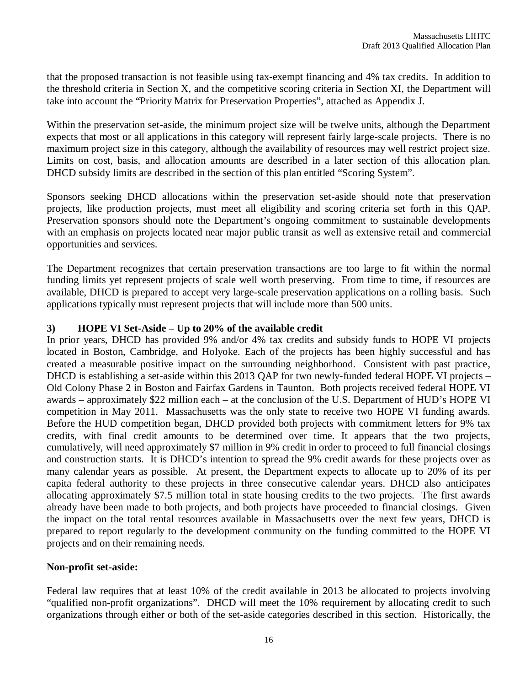that the proposed transaction is not feasible using tax-exempt financing and 4% tax credits. In addition to the threshold criteria in Section X, and the competitive scoring criteria in Section XI, the Department will take into account the "Priority Matrix for Preservation Properties", attached as Appendix J.

Within the preservation set-aside, the minimum project size will be twelve units, although the Department expects that most or all applications in this category will represent fairly large-scale projects. There is no maximum project size in this category, although the availability of resources may well restrict project size. Limits on cost, basis, and allocation amounts are described in a later section of this allocation plan. DHCD subsidy limits are described in the section of this plan entitled "Scoring System".

Sponsors seeking DHCD allocations within the preservation set-aside should note that preservation projects, like production projects, must meet all eligibility and scoring criteria set forth in this QAP. Preservation sponsors should note the Department's ongoing commitment to sustainable developments with an emphasis on projects located near major public transit as well as extensive retail and commercial opportunities and services.

The Department recognizes that certain preservation transactions are too large to fit within the normal funding limits yet represent projects of scale well worth preserving. From time to time, if resources are available, DHCD is prepared to accept very large-scale preservation applications on a rolling basis. Such applications typically must represent projects that will include more than 500 units.

### **3) HOPE VI Set-Aside – Up to 20% of the available credit**

In prior years, DHCD has provided 9% and/or 4% tax credits and subsidy funds to HOPE VI projects located in Boston, Cambridge, and Holyoke. Each of the projects has been highly successful and has created a measurable positive impact on the surrounding neighborhood. Consistent with past practice, DHCD is establishing a set-aside within this 2013 QAP for two newly-funded federal HOPE VI projects – Old Colony Phase 2 in Boston and Fairfax Gardens in Taunton. Both projects received federal HOPE VI awards – approximately \$22 million each – at the conclusion of the U.S. Department of HUD's HOPE VI competition in May 2011. Massachusetts was the only state to receive two HOPE VI funding awards. Before the HUD competition began, DHCD provided both projects with commitment letters for 9% tax credits, with final credit amounts to be determined over time. It appears that the two projects, cumulatively, will need approximately \$7 million in 9% credit in order to proceed to full financial closings and construction starts. It is DHCD's intention to spread the 9% credit awards for these projects over as many calendar years as possible. At present, the Department expects to allocate up to 20% of its per capita federal authority to these projects in three consecutive calendar years. DHCD also anticipates allocating approximately \$7.5 million total in state housing credits to the two projects. The first awards already have been made to both projects, and both projects have proceeded to financial closings. Given the impact on the total rental resources available in Massachusetts over the next few years, DHCD is prepared to report regularly to the development community on the funding committed to the HOPE VI projects and on their remaining needs.

#### **Non-profit set-aside:**

Federal law requires that at least 10% of the credit available in 2013 be allocated to projects involving "qualified non-profit organizations". DHCD will meet the 10% requirement by allocating credit to such organizations through either or both of the set-aside categories described in this section. Historically, the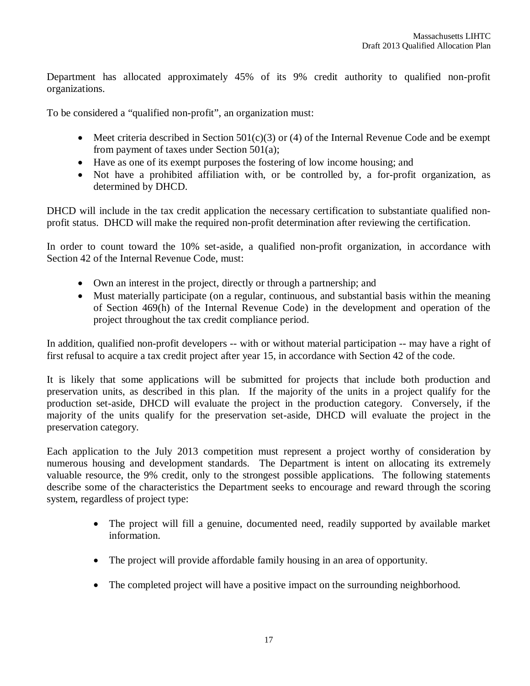Department has allocated approximately 45% of its 9% credit authority to qualified non-profit organizations.

To be considered a "qualified non-profit", an organization must:

- Meet criteria described in Section  $501(c)(3)$  or (4) of the Internal Revenue Code and be exempt from payment of taxes under Section 501(a);
- Have as one of its exempt purposes the fostering of low income housing; and
- Not have a prohibited affiliation with, or be controlled by, a for-profit organization, as determined by DHCD.

DHCD will include in the tax credit application the necessary certification to substantiate qualified nonprofit status. DHCD will make the required non-profit determination after reviewing the certification.

In order to count toward the 10% set-aside, a qualified non-profit organization, in accordance with Section 42 of the Internal Revenue Code, must:

- Own an interest in the project, directly or through a partnership; and
- Must materially participate (on a regular, continuous, and substantial basis within the meaning of Section 469(h) of the Internal Revenue Code) in the development and operation of the project throughout the tax credit compliance period.

In addition, qualified non-profit developers -- with or without material participation -- may have a right of first refusal to acquire a tax credit project after year 15, in accordance with Section 42 of the code.

It is likely that some applications will be submitted for projects that include both production and preservation units, as described in this plan. If the majority of the units in a project qualify for the production set-aside, DHCD will evaluate the project in the production category. Conversely, if the majority of the units qualify for the preservation set-aside, DHCD will evaluate the project in the preservation category.

Each application to the July 2013 competition must represent a project worthy of consideration by numerous housing and development standards. The Department is intent on allocating its extremely valuable resource, the 9% credit, only to the strongest possible applications. The following statements describe some of the characteristics the Department seeks to encourage and reward through the scoring system, regardless of project type:

- The project will fill a genuine, documented need, readily supported by available market information.
- The project will provide affordable family housing in an area of opportunity.
- The completed project will have a positive impact on the surrounding neighborhood.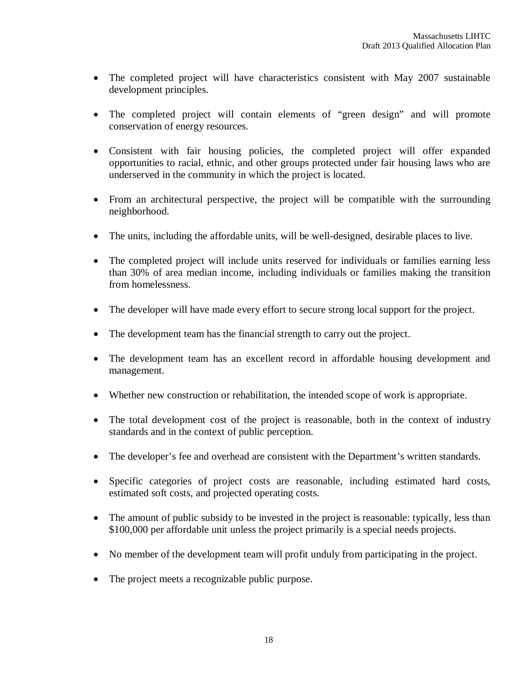- The completed project will have characteristics consistent with May 2007 sustainable development principles.
- The completed project will contain elements of "green design" and will promote conservation of energy resources.
- Consistent with fair housing policies, the completed project will offer expanded opportunities to racial, ethnic, and other groups protected under fair housing laws who are underserved in the community in which the project is located.
- From an architectural perspective, the project will be compatible with the surrounding neighborhood.
- The units, including the affordable units, will be well-designed, desirable places to live.
- The completed project will include units reserved for individuals or families earning less than 30% of area median income, including individuals or families making the transition from homelessness.
- The developer will have made every effort to secure strong local support for the project.
- The development team has the financial strength to carry out the project.
- The development team has an excellent record in affordable housing development and management.
- Whether new construction or rehabilitation, the intended scope of work is appropriate.
- The total development cost of the project is reasonable, both in the context of industry standards and in the context of public perception.
- The developer's fee and overhead are consistent with the Department's written standards.
- Specific categories of project costs are reasonable, including estimated hard costs, estimated soft costs, and projected operating costs.
- The amount of public subsidy to be invested in the project is reasonable: typically, less than \$100,000 per affordable unit unless the project primarily is a special needs projects.
- No member of the development team will profit unduly from participating in the project.
- The project meets a recognizable public purpose.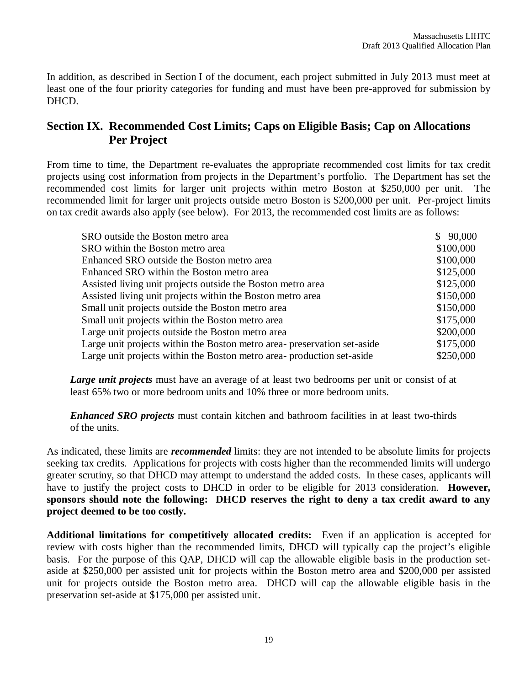In addition, as described in Section I of the document, each project submitted in July 2013 must meet at least one of the four priority categories for funding and must have been pre-approved for submission by DHCD.

# **Section IX. Recommended Cost Limits; Caps on Eligible Basis; Cap on Allocations Per Project**

From time to time, the Department re-evaluates the appropriate recommended cost limits for tax credit projects using cost information from projects in the Department's portfolio. The Department has set the recommended cost limits for larger unit projects within metro Boston at \$250,000 per unit. The recommended limit for larger unit projects outside metro Boston is \$200,000 per unit. Per-project limits on tax credit awards also apply (see below). For 2013, the recommended cost limits are as follows:

| SRO outside the Boston metro area                                        | \$90,000  |
|--------------------------------------------------------------------------|-----------|
| SRO within the Boston metro area                                         | \$100,000 |
| Enhanced SRO outside the Boston metro area                               | \$100,000 |
| Enhanced SRO within the Boston metro area                                | \$125,000 |
| Assisted living unit projects outside the Boston metro area              | \$125,000 |
| Assisted living unit projects within the Boston metro area               | \$150,000 |
| Small unit projects outside the Boston metro area                        | \$150,000 |
| Small unit projects within the Boston metro area                         | \$175,000 |
| Large unit projects outside the Boston metro area                        | \$200,000 |
| Large unit projects within the Boston metro area- preservation set-aside | \$175,000 |
| Large unit projects within the Boston metro area- production set-aside   | \$250,000 |

*Large unit projects* must have an average of at least two bedrooms per unit or consist of at least 65% two or more bedroom units and 10% three or more bedroom units.

*Enhanced SRO projects* must contain kitchen and bathroom facilities in at least two-thirds of the units.

As indicated, these limits are *recommended* limits: they are not intended to be absolute limits for projects seeking tax credits. Applications for projects with costs higher than the recommended limits will undergo greater scrutiny, so that DHCD may attempt to understand the added costs. In these cases, applicants will have to justify the project costs to DHCD in order to be eligible for 2013 consideration. **However, sponsors should note the following: DHCD reserves the right to deny a tax credit award to any project deemed to be too costly.**

**Additional limitations for competitively allocated credits:** Even if an application is accepted for review with costs higher than the recommended limits, DHCD will typically cap the project's eligible basis. For the purpose of this QAP, DHCD will cap the allowable eligible basis in the production setaside at \$250,000 per assisted unit for projects within the Boston metro area and \$200,000 per assisted unit for projects outside the Boston metro area. DHCD will cap the allowable eligible basis in the preservation set-aside at \$175,000 per assisted unit.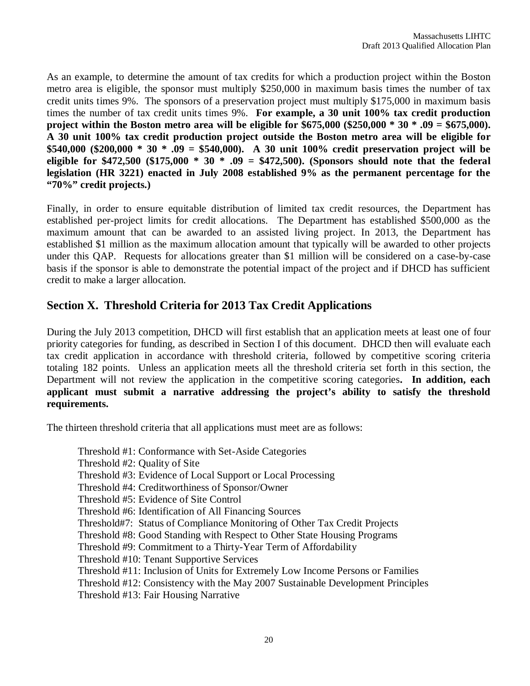As an example, to determine the amount of tax credits for which a production project within the Boston metro area is eligible, the sponsor must multiply \$250,000 in maximum basis times the number of tax credit units times 9%. The sponsors of a preservation project must multiply \$175,000 in maximum basis times the number of tax credit units times 9%. **For example, a 30 unit 100% tax credit production project within the Boston metro area will be eligible for \$675,000 (\$250,000 \* 30 \* .09 = \$675,000). A 30 unit 100% tax credit production project outside the Boston metro area will be eligible for \$540,000 (\$200,000 \* 30 \* .09 = \$540,000). A 30 unit 100% credit preservation project will be eligible for \$472,500 (\$175,000 \* 30 \* .09 = \$472,500). (Sponsors should note that the federal legislation (HR 3221) enacted in July 2008 established 9% as the permanent percentage for the "70%" credit projects.)**

Finally, in order to ensure equitable distribution of limited tax credit resources, the Department has established per-project limits for credit allocations. The Department has established \$500,000 as the maximum amount that can be awarded to an assisted living project. In 2013, the Department has established \$1 million as the maximum allocation amount that typically will be awarded to other projects under this QAP. Requests for allocations greater than \$1 million will be considered on a case-by-case basis if the sponsor is able to demonstrate the potential impact of the project and if DHCD has sufficient credit to make a larger allocation.

# **Section X. Threshold Criteria for 2013 Tax Credit Applications**

During the July 2013 competition, DHCD will first establish that an application meets at least one of four priority categories for funding, as described in Section I of this document. DHCD then will evaluate each tax credit application in accordance with threshold criteria, followed by competitive scoring criteria totaling 182 points. Unless an application meets all the threshold criteria set forth in this section, the Department will not review the application in the competitive scoring categories**. In addition, each applicant must submit a narrative addressing the project's ability to satisfy the threshold requirements.** 

The thirteen threshold criteria that all applications must meet are as follows:

Threshold #1: Conformance with Set-Aside Categories Threshold #2: Quality of Site Threshold #3: Evidence of Local Support or Local Processing Threshold #4: Creditworthiness of Sponsor/Owner Threshold #5: Evidence of Site Control Threshold #6: Identification of All Financing Sources Threshold#7: Status of Compliance Monitoring of Other Tax Credit Projects Threshold #8: Good Standing with Respect to Other State Housing Programs Threshold #9: Commitment to a Thirty-Year Term of Affordability Threshold #10: Tenant Supportive Services Threshold #11: Inclusion of Units for Extremely Low Income Persons or Families Threshold #12: Consistency with the May 2007 Sustainable Development Principles Threshold #13: Fair Housing Narrative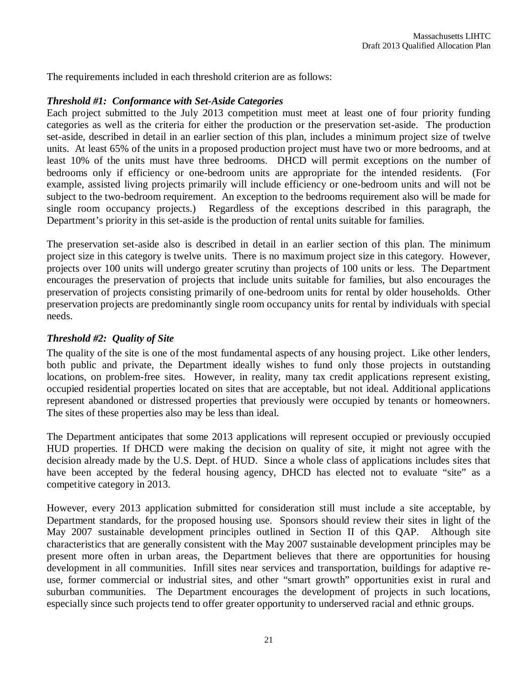The requirements included in each threshold criterion are as follows:

#### *Threshold #1: Conformance with Set-Aside Categories*

Each project submitted to the July 2013 competition must meet at least one of four priority funding categories as well as the criteria for either the production or the preservation set-aside. The production set-aside, described in detail in an earlier section of this plan, includes a minimum project size of twelve units. At least 65% of the units in a proposed production project must have two or more bedrooms, and at least 10% of the units must have three bedrooms. DHCD will permit exceptions on the number of bedrooms only if efficiency or one-bedroom units are appropriate for the intended residents. (For example, assisted living projects primarily will include efficiency or one-bedroom units and will not be subject to the two-bedroom requirement. An exception to the bedrooms requirement also will be made for single room occupancy projects.) Regardless of the exceptions described in this paragraph, the Department's priority in this set-aside is the production of rental units suitable for families.

The preservation set-aside also is described in detail in an earlier section of this plan. The minimum project size in this category is twelve units. There is no maximum project size in this category. However, projects over 100 units will undergo greater scrutiny than projects of 100 units or less. The Department encourages the preservation of projects that include units suitable for families, but also encourages the preservation of projects consisting primarily of one-bedroom units for rental by older households. Other preservation projects are predominantly single room occupancy units for rental by individuals with special needs.

#### *Threshold #2: Quality of Site*

The quality of the site is one of the most fundamental aspects of any housing project. Like other lenders, both public and private, the Department ideally wishes to fund only those projects in outstanding locations, on problem-free sites. However, in reality, many tax credit applications represent existing, occupied residential properties located on sites that are acceptable, but not ideal. Additional applications represent abandoned or distressed properties that previously were occupied by tenants or homeowners. The sites of these properties also may be less than ideal.

The Department anticipates that some 2013 applications will represent occupied or previously occupied HUD properties. If DHCD were making the decision on quality of site, it might not agree with the decision already made by the U.S. Dept. of HUD. Since a whole class of applications includes sites that have been accepted by the federal housing agency, DHCD has elected not to evaluate "site" as a competitive category in 2013.

However, every 2013 application submitted for consideration still must include a site acceptable, by Department standards, for the proposed housing use. Sponsors should review their sites in light of the May 2007 sustainable development principles outlined in Section II of this QAP. Although site characteristics that are generally consistent with the May 2007 sustainable development principles may be present more often in urban areas, the Department believes that there are opportunities for housing development in all communities. Infill sites near services and transportation, buildings for adaptive reuse, former commercial or industrial sites, and other "smart growth" opportunities exist in rural and suburban communities. The Department encourages the development of projects in such locations, especially since such projects tend to offer greater opportunity to underserved racial and ethnic groups.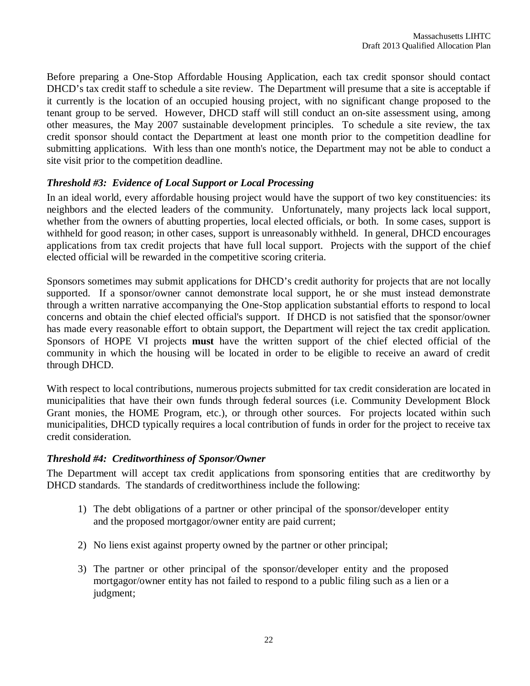Before preparing a One-Stop Affordable Housing Application, each tax credit sponsor should contact DHCD's tax credit staff to schedule a site review. The Department will presume that a site is acceptable if it currently is the location of an occupied housing project, with no significant change proposed to the tenant group to be served. However, DHCD staff will still conduct an on-site assessment using, among other measures, the May 2007 sustainable development principles. To schedule a site review, the tax credit sponsor should contact the Department at least one month prior to the competition deadline for submitting applications. With less than one month's notice, the Department may not be able to conduct a site visit prior to the competition deadline.

# *Threshold #3: Evidence of Local Support or Local Processing*

In an ideal world, every affordable housing project would have the support of two key constituencies: its neighbors and the elected leaders of the community. Unfortunately, many projects lack local support, whether from the owners of abutting properties, local elected officials, or both. In some cases, support is withheld for good reason; in other cases, support is unreasonably withheld. In general, DHCD encourages applications from tax credit projects that have full local support. Projects with the support of the chief elected official will be rewarded in the competitive scoring criteria.

Sponsors sometimes may submit applications for DHCD's credit authority for projects that are not locally supported. If a sponsor/owner cannot demonstrate local support, he or she must instead demonstrate through a written narrative accompanying the One-Stop application substantial efforts to respond to local concerns and obtain the chief elected official's support. If DHCD is not satisfied that the sponsor/owner has made every reasonable effort to obtain support, the Department will reject the tax credit application. Sponsors of HOPE VI projects **must** have the written support of the chief elected official of the community in which the housing will be located in order to be eligible to receive an award of credit through DHCD.

With respect to local contributions, numerous projects submitted for tax credit consideration are located in municipalities that have their own funds through federal sources (i.e. Community Development Block Grant monies, the HOME Program, etc.), or through other sources. For projects located within such municipalities, DHCD typically requires a local contribution of funds in order for the project to receive tax credit consideration.

# *Threshold #4: Creditworthiness of Sponsor/Owner*

The Department will accept tax credit applications from sponsoring entities that are creditworthy by DHCD standards. The standards of creditworthiness include the following:

- 1) The debt obligations of a partner or other principal of the sponsor/developer entity and the proposed mortgagor/owner entity are paid current;
- 2) No liens exist against property owned by the partner or other principal;
- 3) The partner or other principal of the sponsor/developer entity and the proposed mortgagor/owner entity has not failed to respond to a public filing such as a lien or a judgment;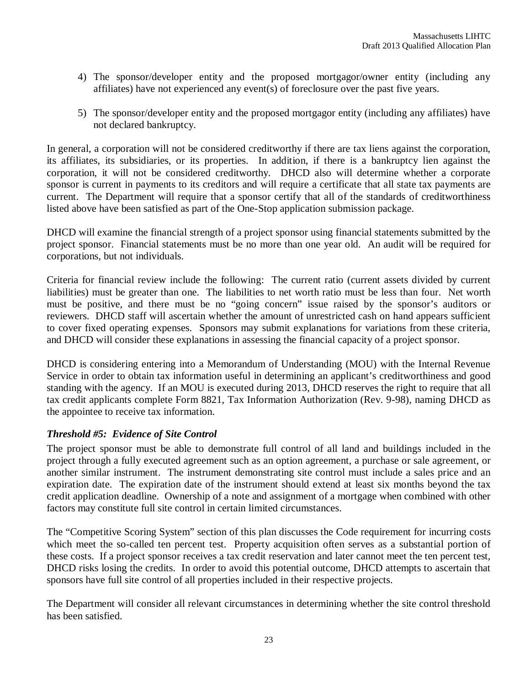- 4) The sponsor/developer entity and the proposed mortgagor/owner entity (including any affiliates) have not experienced any event(s) of foreclosure over the past five years.
- 5) The sponsor/developer entity and the proposed mortgagor entity (including any affiliates) have not declared bankruptcy.

In general, a corporation will not be considered creditworthy if there are tax liens against the corporation, its affiliates, its subsidiaries, or its properties. In addition, if there is a bankruptcy lien against the corporation, it will not be considered creditworthy. DHCD also will determine whether a corporate sponsor is current in payments to its creditors and will require a certificate that all state tax payments are current. The Department will require that a sponsor certify that all of the standards of creditworthiness listed above have been satisfied as part of the One-Stop application submission package.

DHCD will examine the financial strength of a project sponsor using financial statements submitted by the project sponsor. Financial statements must be no more than one year old. An audit will be required for corporations, but not individuals.

Criteria for financial review include the following: The current ratio (current assets divided by current liabilities) must be greater than one. The liabilities to net worth ratio must be less than four. Net worth must be positive, and there must be no "going concern" issue raised by the sponsor's auditors or reviewers. DHCD staff will ascertain whether the amount of unrestricted cash on hand appears sufficient to cover fixed operating expenses. Sponsors may submit explanations for variations from these criteria, and DHCD will consider these explanations in assessing the financial capacity of a project sponsor.

DHCD is considering entering into a Memorandum of Understanding (MOU) with the Internal Revenue Service in order to obtain tax information useful in determining an applicant's creditworthiness and good standing with the agency. If an MOU is executed during 2013, DHCD reserves the right to require that all tax credit applicants complete Form 8821, Tax Information Authorization (Rev. 9-98), naming DHCD as the appointee to receive tax information.

# *Threshold #5: Evidence of Site Control*

The project sponsor must be able to demonstrate full control of all land and buildings included in the project through a fully executed agreement such as an option agreement, a purchase or sale agreement, or another similar instrument. The instrument demonstrating site control must include a sales price and an expiration date. The expiration date of the instrument should extend at least six months beyond the tax credit application deadline. Ownership of a note and assignment of a mortgage when combined with other factors may constitute full site control in certain limited circumstances.

The "Competitive Scoring System" section of this plan discusses the Code requirement for incurring costs which meet the so-called ten percent test. Property acquisition often serves as a substantial portion of these costs. If a project sponsor receives a tax credit reservation and later cannot meet the ten percent test, DHCD risks losing the credits. In order to avoid this potential outcome, DHCD attempts to ascertain that sponsors have full site control of all properties included in their respective projects.

The Department will consider all relevant circumstances in determining whether the site control threshold has been satisfied.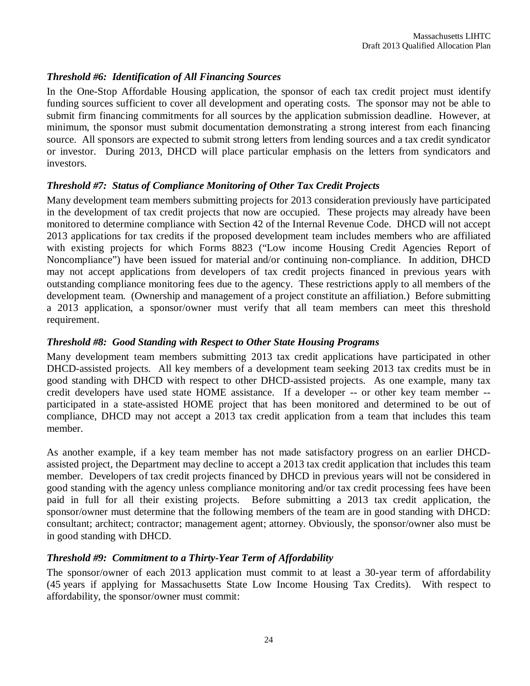# *Threshold #6: Identification of All Financing Sources*

In the One-Stop Affordable Housing application, the sponsor of each tax credit project must identify funding sources sufficient to cover all development and operating costs. The sponsor may not be able to submit firm financing commitments for all sources by the application submission deadline. However, at minimum, the sponsor must submit documentation demonstrating a strong interest from each financing source. All sponsors are expected to submit strong letters from lending sources and a tax credit syndicator or investor. During 2013, DHCD will place particular emphasis on the letters from syndicators and investors.

### *Threshold #7: Status of Compliance Monitoring of Other Tax Credit Projects*

Many development team members submitting projects for 2013 consideration previously have participated in the development of tax credit projects that now are occupied. These projects may already have been monitored to determine compliance with Section 42 of the Internal Revenue Code. DHCD will not accept 2013 applications for tax credits if the proposed development team includes members who are affiliated with existing projects for which Forms 8823 ("Low income Housing Credit Agencies Report of Noncompliance") have been issued for material and/or continuing non-compliance. In addition, DHCD may not accept applications from developers of tax credit projects financed in previous years with outstanding compliance monitoring fees due to the agency. These restrictions apply to all members of the development team. (Ownership and management of a project constitute an affiliation.) Before submitting a 2013 application, a sponsor/owner must verify that all team members can meet this threshold requirement.

#### *Threshold #8: Good Standing with Respect to Other State Housing Programs*

Many development team members submitting 2013 tax credit applications have participated in other DHCD-assisted projects. All key members of a development team seeking 2013 tax credits must be in good standing with DHCD with respect to other DHCD-assisted projects. As one example, many tax credit developers have used state HOME assistance. If a developer -- or other key team member - participated in a state-assisted HOME project that has been monitored and determined to be out of compliance, DHCD may not accept a 2013 tax credit application from a team that includes this team member.

As another example, if a key team member has not made satisfactory progress on an earlier DHCDassisted project, the Department may decline to accept a 2013 tax credit application that includes this team member. Developers of tax credit projects financed by DHCD in previous years will not be considered in good standing with the agency unless compliance monitoring and/or tax credit processing fees have been paid in full for all their existing projects. Before submitting a 2013 tax credit application, the sponsor/owner must determine that the following members of the team are in good standing with DHCD: consultant; architect; contractor; management agent; attorney. Obviously, the sponsor/owner also must be in good standing with DHCD.

#### *Threshold #9: Commitment to a Thirty-Year Term of Affordability*

The sponsor/owner of each 2013 application must commit to at least a 30-year term of affordability (45 years if applying for Massachusetts State Low Income Housing Tax Credits). With respect to affordability, the sponsor/owner must commit: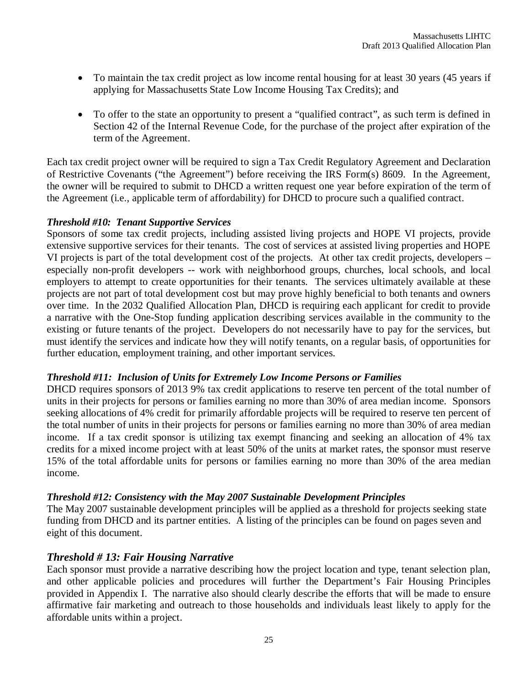- To maintain the tax credit project as low income rental housing for at least 30 years (45 years if applying for Massachusetts State Low Income Housing Tax Credits); and
- To offer to the state an opportunity to present a "qualified contract", as such term is defined in Section 42 of the Internal Revenue Code, for the purchase of the project after expiration of the term of the Agreement.

Each tax credit project owner will be required to sign a Tax Credit Regulatory Agreement and Declaration of Restrictive Covenants ("the Agreement") before receiving the IRS Form(s) 8609. In the Agreement, the owner will be required to submit to DHCD a written request one year before expiration of the term of the Agreement (i.e., applicable term of affordability) for DHCD to procure such a qualified contract.

### *Threshold #10: Tenant Supportive Services*

Sponsors of some tax credit projects, including assisted living projects and HOPE VI projects, provide extensive supportive services for their tenants. The cost of services at assisted living properties and HOPE VI projects is part of the total development cost of the projects. At other tax credit projects, developers – especially non-profit developers -- work with neighborhood groups, churches, local schools, and local employers to attempt to create opportunities for their tenants. The services ultimately available at these projects are not part of total development cost but may prove highly beneficial to both tenants and owners over time. In the 2032 Qualified Allocation Plan, DHCD is requiring each applicant for credit to provide a narrative with the One-Stop funding application describing services available in the community to the existing or future tenants of the project. Developers do not necessarily have to pay for the services, but must identify the services and indicate how they will notify tenants, on a regular basis, of opportunities for further education, employment training, and other important services.

#### *Threshold #11: Inclusion of Units for Extremely Low Income Persons or Families*

DHCD requires sponsors of 2013 9% tax credit applications to reserve ten percent of the total number of units in their projects for persons or families earning no more than 30% of area median income. Sponsors seeking allocations of 4% credit for primarily affordable projects will be required to reserve ten percent of the total number of units in their projects for persons or families earning no more than 30% of area median income. If a tax credit sponsor is utilizing tax exempt financing and seeking an allocation of 4% tax credits for a mixed income project with at least 50% of the units at market rates, the sponsor must reserve 15% of the total affordable units for persons or families earning no more than 30% of the area median income.

# *Threshold #12: Consistency with the May 2007 Sustainable Development Principles*

The May 2007 sustainable development principles will be applied as a threshold for projects seeking state funding from DHCD and its partner entities. A listing of the principles can be found on pages seven and eight of this document.

# *Threshold # 13: Fair Housing Narrative*

Each sponsor must provide a narrative describing how the project location and type, tenant selection plan, and other applicable policies and procedures will further the Department's Fair Housing Principles provided in Appendix I. The narrative also should clearly describe the efforts that will be made to ensure affirmative fair marketing and outreach to those households and individuals least likely to apply for the affordable units within a project.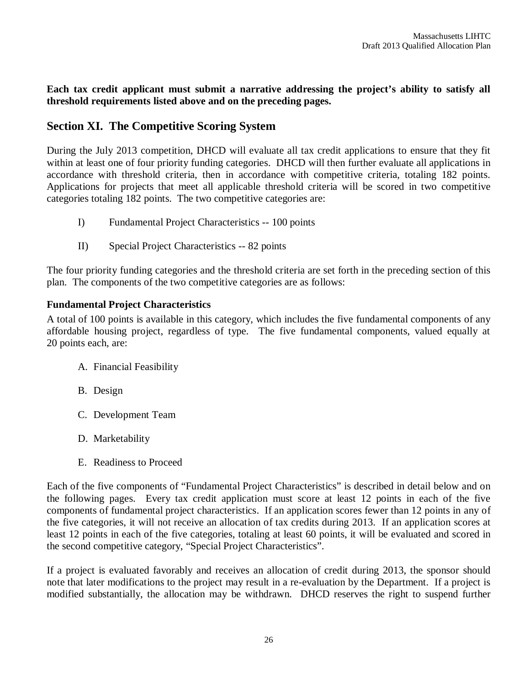**Each tax credit applicant must submit a narrative addressing the project's ability to satisfy all threshold requirements listed above and on the preceding pages.** 

# **Section XI. The Competitive Scoring System**

During the July 2013 competition, DHCD will evaluate all tax credit applications to ensure that they fit within at least one of four priority funding categories. DHCD will then further evaluate all applications in accordance with threshold criteria, then in accordance with competitive criteria, totaling 182 points. Applications for projects that meet all applicable threshold criteria will be scored in two competitive categories totaling 182 points. The two competitive categories are:

- I) Fundamental Project Characteristics -- 100 points
- II) Special Project Characteristics -- 82 points

The four priority funding categories and the threshold criteria are set forth in the preceding section of this plan. The components of the two competitive categories are as follows:

# **Fundamental Project Characteristics**

A total of 100 points is available in this category, which includes the five fundamental components of any affordable housing project, regardless of type. The five fundamental components, valued equally at 20 points each, are:

- A. Financial Feasibility
- B. Design
- C. Development Team
- D. Marketability
- E. Readiness to Proceed

Each of the five components of "Fundamental Project Characteristics" is described in detail below and on the following pages. Every tax credit application must score at least 12 points in each of the five components of fundamental project characteristics. If an application scores fewer than 12 points in any of the five categories, it will not receive an allocation of tax credits during 2013. If an application scores at least 12 points in each of the five categories, totaling at least 60 points, it will be evaluated and scored in the second competitive category, "Special Project Characteristics".

If a project is evaluated favorably and receives an allocation of credit during 2013, the sponsor should note that later modifications to the project may result in a re-evaluation by the Department. If a project is modified substantially, the allocation may be withdrawn. DHCD reserves the right to suspend further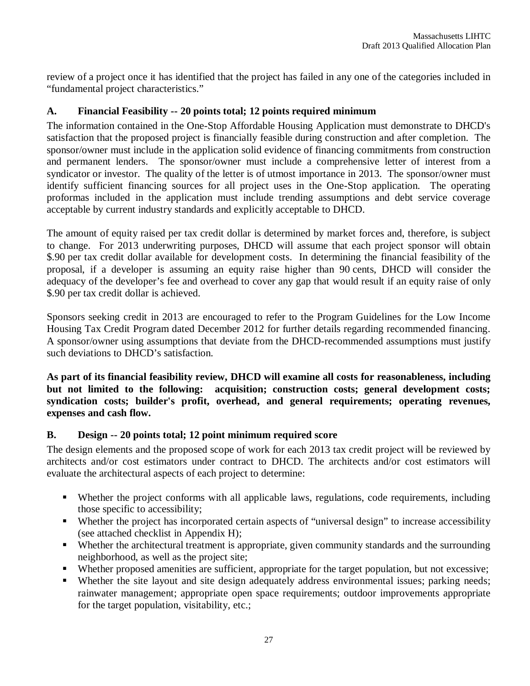review of a project once it has identified that the project has failed in any one of the categories included in "fundamental project characteristics."

# **A. Financial Feasibility -- 20 points total; 12 points required minimum**

The information contained in the One-Stop Affordable Housing Application must demonstrate to DHCD's satisfaction that the proposed project is financially feasible during construction and after completion. The sponsor/owner must include in the application solid evidence of financing commitments from construction and permanent lenders. The sponsor/owner must include a comprehensive letter of interest from a syndicator or investor. The quality of the letter is of utmost importance in 2013. The sponsor/owner must identify sufficient financing sources for all project uses in the One-Stop application. The operating proformas included in the application must include trending assumptions and debt service coverage acceptable by current industry standards and explicitly acceptable to DHCD.

The amount of equity raised per tax credit dollar is determined by market forces and, therefore, is subject to change. For 2013 underwriting purposes, DHCD will assume that each project sponsor will obtain \$.90 per tax credit dollar available for development costs. In determining the financial feasibility of the proposal, if a developer is assuming an equity raise higher than 90 cents, DHCD will consider the adequacy of the developer's fee and overhead to cover any gap that would result if an equity raise of only \$.90 per tax credit dollar is achieved.

Sponsors seeking credit in 2013 are encouraged to refer to the Program Guidelines for the Low Income Housing Tax Credit Program dated December 2012 for further details regarding recommended financing. A sponsor/owner using assumptions that deviate from the DHCD-recommended assumptions must justify such deviations to DHCD's satisfaction.

**As part of its financial feasibility review, DHCD will examine all costs for reasonableness, including but not limited to the following: acquisition; construction costs; general development costs; syndication costs; builder's profit, overhead, and general requirements; operating revenues, expenses and cash flow.** 

# **B. Design -- 20 points total; 12 point minimum required score**

The design elements and the proposed scope of work for each 2013 tax credit project will be reviewed by architects and/or cost estimators under contract to DHCD. The architects and/or cost estimators will evaluate the architectural aspects of each project to determine:

- Whether the project conforms with all applicable laws, regulations, code requirements, including those specific to accessibility;
- Whether the project has incorporated certain aspects of "universal design" to increase accessibility (see attached checklist in Appendix H);
- Whether the architectural treatment is appropriate, given community standards and the surrounding neighborhood, as well as the project site;
- Whether proposed amenities are sufficient, appropriate for the target population, but not excessive;
- Whether the site layout and site design adequately address environmental issues; parking needs; rainwater management; appropriate open space requirements; outdoor improvements appropriate for the target population, visitability, etc.;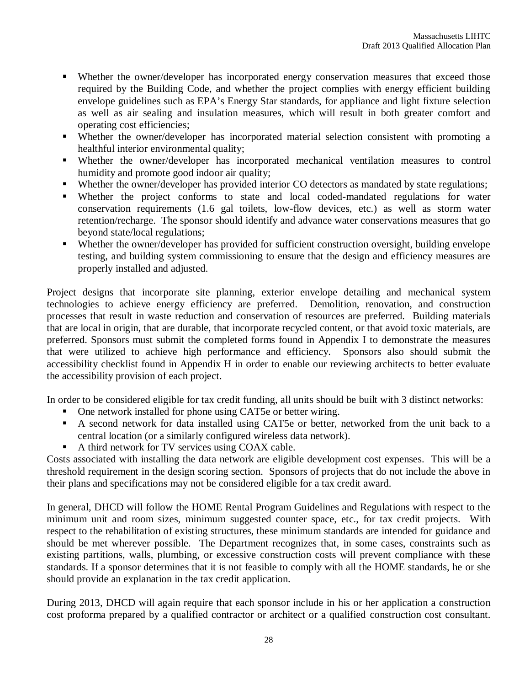- Whether the owner/developer has incorporated energy conservation measures that exceed those required by the Building Code, and whether the project complies with energy efficient building envelope guidelines such as EPA's Energy Star standards, for appliance and light fixture selection as well as air sealing and insulation measures, which will result in both greater comfort and operating cost efficiencies;
- Whether the owner/developer has incorporated material selection consistent with promoting a healthful interior environmental quality;
- Whether the owner/developer has incorporated mechanical ventilation measures to control humidity and promote good indoor air quality;
- Whether the owner/developer has provided interior CO detectors as mandated by state regulations;
- Whether the project conforms to state and local coded-mandated regulations for water conservation requirements (1.6 gal toilets, low-flow devices, etc.) as well as storm water retention/recharge. The sponsor should identify and advance water conservations measures that go beyond state/local regulations;
- Whether the owner/developer has provided for sufficient construction oversight, building envelope testing, and building system commissioning to ensure that the design and efficiency measures are properly installed and adjusted.

Project designs that incorporate site planning, exterior envelope detailing and mechanical system technologies to achieve energy efficiency are preferred. Demolition, renovation, and construction processes that result in waste reduction and conservation of resources are preferred. Building materials that are local in origin, that are durable, that incorporate recycled content, or that avoid toxic materials, are preferred. Sponsors must submit the completed forms found in Appendix I to demonstrate the measures that were utilized to achieve high performance and efficiency. Sponsors also should submit the accessibility checklist found in Appendix H in order to enable our reviewing architects to better evaluate the accessibility provision of each project.

In order to be considered eligible for tax credit funding, all units should be built with 3 distinct networks:

- One network installed for phone using CAT5e or better wiring.
- A second network for data installed using CAT5e or better, networked from the unit back to a central location (or a similarly configured wireless data network).
- A third network for TV services using COAX cable.

Costs associated with installing the data network are eligible development cost expenses. This will be a threshold requirement in the design scoring section. Sponsors of projects that do not include the above in their plans and specifications may not be considered eligible for a tax credit award.

In general, DHCD will follow the HOME Rental Program Guidelines and Regulations with respect to the minimum unit and room sizes, minimum suggested counter space, etc., for tax credit projects. With respect to the rehabilitation of existing structures, these minimum standards are intended for guidance and should be met wherever possible. The Department recognizes that, in some cases, constraints such as existing partitions, walls, plumbing, or excessive construction costs will prevent compliance with these standards. If a sponsor determines that it is not feasible to comply with all the HOME standards, he or she should provide an explanation in the tax credit application.

During 2013, DHCD will again require that each sponsor include in his or her application a construction cost proforma prepared by a qualified contractor or architect or a qualified construction cost consultant.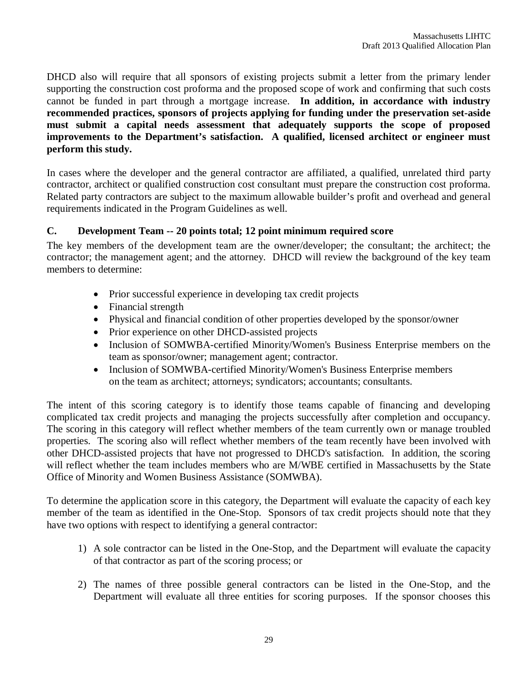DHCD also will require that all sponsors of existing projects submit a letter from the primary lender supporting the construction cost proforma and the proposed scope of work and confirming that such costs cannot be funded in part through a mortgage increase. **In addition, in accordance with industry recommended practices, sponsors of projects applying for funding under the preservation set-aside must submit a capital needs assessment that adequately supports the scope of proposed improvements to the Department's satisfaction. A qualified, licensed architect or engineer must perform this study.** 

In cases where the developer and the general contractor are affiliated, a qualified, unrelated third party contractor, architect or qualified construction cost consultant must prepare the construction cost proforma. Related party contractors are subject to the maximum allowable builder's profit and overhead and general requirements indicated in the Program Guidelines as well.

### **C. Development Team -- 20 points total; 12 point minimum required score**

The key members of the development team are the owner/developer; the consultant; the architect; the contractor; the management agent; and the attorney. DHCD will review the background of the key team members to determine:

- Prior successful experience in developing tax credit projects
- Financial strength
- Physical and financial condition of other properties developed by the sponsor/owner
- Prior experience on other DHCD-assisted projects
- Inclusion of SOMWBA-certified Minority/Women's Business Enterprise members on the team as sponsor/owner; management agent; contractor.
- Inclusion of SOMWBA-certified Minority/Women's Business Enterprise members on the team as architect; attorneys; syndicators; accountants; consultants.

The intent of this scoring category is to identify those teams capable of financing and developing complicated tax credit projects and managing the projects successfully after completion and occupancy. The scoring in this category will reflect whether members of the team currently own or manage troubled properties. The scoring also will reflect whether members of the team recently have been involved with other DHCD-assisted projects that have not progressed to DHCD's satisfaction. In addition, the scoring will reflect whether the team includes members who are M/WBE certified in Massachusetts by the State Office of Minority and Women Business Assistance (SOMWBA).

To determine the application score in this category, the Department will evaluate the capacity of each key member of the team as identified in the One-Stop. Sponsors of tax credit projects should note that they have two options with respect to identifying a general contractor:

- 1) A sole contractor can be listed in the One-Stop, and the Department will evaluate the capacity of that contractor as part of the scoring process; or
- 2) The names of three possible general contractors can be listed in the One-Stop, and the Department will evaluate all three entities for scoring purposes. If the sponsor chooses this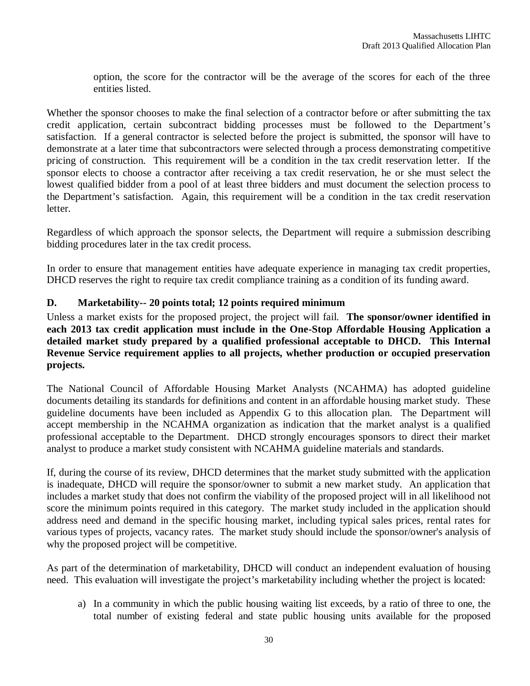option, the score for the contractor will be the average of the scores for each of the three entities listed.

Whether the sponsor chooses to make the final selection of a contractor before or after submitting the tax credit application, certain subcontract bidding processes must be followed to the Department's satisfaction. If a general contractor is selected before the project is submitted, the sponsor will have to demonstrate at a later time that subcontractors were selected through a process demonstrating competitive pricing of construction. This requirement will be a condition in the tax credit reservation letter. If the sponsor elects to choose a contractor after receiving a tax credit reservation, he or she must select the lowest qualified bidder from a pool of at least three bidders and must document the selection process to the Department's satisfaction. Again, this requirement will be a condition in the tax credit reservation letter.

Regardless of which approach the sponsor selects, the Department will require a submission describing bidding procedures later in the tax credit process.

In order to ensure that management entities have adequate experience in managing tax credit properties, DHCD reserves the right to require tax credit compliance training as a condition of its funding award.

# **D. Marketability-- 20 points total; 12 points required minimum**

Unless a market exists for the proposed project, the project will fail. **The sponsor/owner identified in each 2013 tax credit application must include in the One-Stop Affordable Housing Application a detailed market study prepared by a qualified professional acceptable to DHCD. This Internal Revenue Service requirement applies to all projects, whether production or occupied preservation projects.**

The National Council of Affordable Housing Market Analysts (NCAHMA) has adopted guideline documents detailing its standards for definitions and content in an affordable housing market study. These guideline documents have been included as Appendix G to this allocation plan. The Department will accept membership in the NCAHMA organization as indication that the market analyst is a qualified professional acceptable to the Department. DHCD strongly encourages sponsors to direct their market analyst to produce a market study consistent with NCAHMA guideline materials and standards.

If, during the course of its review, DHCD determines that the market study submitted with the application is inadequate, DHCD will require the sponsor/owner to submit a new market study. An application that includes a market study that does not confirm the viability of the proposed project will in all likelihood not score the minimum points required in this category. The market study included in the application should address need and demand in the specific housing market, including typical sales prices, rental rates for various types of projects, vacancy rates. The market study should include the sponsor/owner's analysis of why the proposed project will be competitive.

As part of the determination of marketability, DHCD will conduct an independent evaluation of housing need. This evaluation will investigate the project's marketability including whether the project is located:

a) In a community in which the public housing waiting list exceeds, by a ratio of three to one, the total number of existing federal and state public housing units available for the proposed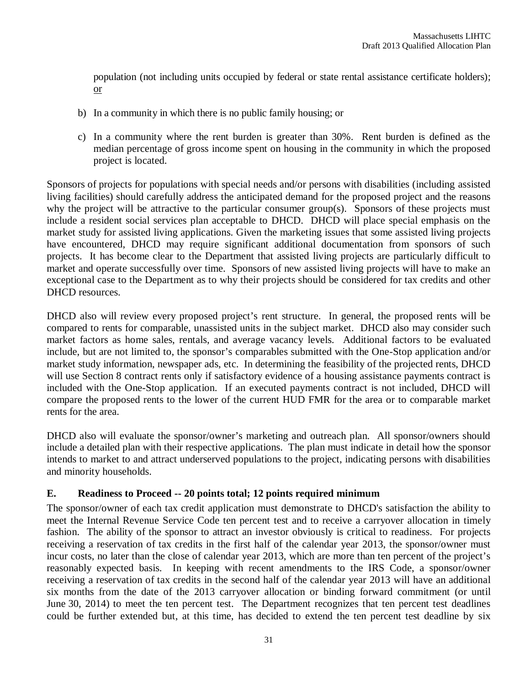population (not including units occupied by federal or state rental assistance certificate holders); or

- b) In a community in which there is no public family housing; or
- c) In a community where the rent burden is greater than 30%. Rent burden is defined as the median percentage of gross income spent on housing in the community in which the proposed project is located.

Sponsors of projects for populations with special needs and/or persons with disabilities (including assisted living facilities) should carefully address the anticipated demand for the proposed project and the reasons why the project will be attractive to the particular consumer group(s). Sponsors of these projects must include a resident social services plan acceptable to DHCD. DHCD will place special emphasis on the market study for assisted living applications. Given the marketing issues that some assisted living projects have encountered, DHCD may require significant additional documentation from sponsors of such projects. It has become clear to the Department that assisted living projects are particularly difficult to market and operate successfully over time. Sponsors of new assisted living projects will have to make an exceptional case to the Department as to why their projects should be considered for tax credits and other DHCD resources.

DHCD also will review every proposed project's rent structure. In general, the proposed rents will be compared to rents for comparable, unassisted units in the subject market. DHCD also may consider such market factors as home sales, rentals, and average vacancy levels. Additional factors to be evaluated include, but are not limited to, the sponsor's comparables submitted with the One-Stop application and/or market study information, newspaper ads, etc. In determining the feasibility of the projected rents, DHCD will use Section 8 contract rents only if satisfactory evidence of a housing assistance payments contract is included with the One-Stop application. If an executed payments contract is not included, DHCD will compare the proposed rents to the lower of the current HUD FMR for the area or to comparable market rents for the area.

DHCD also will evaluate the sponsor/owner's marketing and outreach plan. All sponsor/owners should include a detailed plan with their respective applications. The plan must indicate in detail how the sponsor intends to market to and attract underserved populations to the project, indicating persons with disabilities and minority households.

# **E. Readiness to Proceed -- 20 points total; 12 points required minimum**

The sponsor/owner of each tax credit application must demonstrate to DHCD's satisfaction the ability to meet the Internal Revenue Service Code ten percent test and to receive a carryover allocation in timely fashion. The ability of the sponsor to attract an investor obviously is critical to readiness. For projects receiving a reservation of tax credits in the first half of the calendar year 2013, the sponsor/owner must incur costs, no later than the close of calendar year 2013, which are more than ten percent of the project's reasonably expected basis. In keeping with recent amendments to the IRS Code, a sponsor/owner receiving a reservation of tax credits in the second half of the calendar year 2013 will have an additional six months from the date of the 2013 carryover allocation or binding forward commitment (or until June 30, 2014) to meet the ten percent test. The Department recognizes that ten percent test deadlines could be further extended but, at this time, has decided to extend the ten percent test deadline by six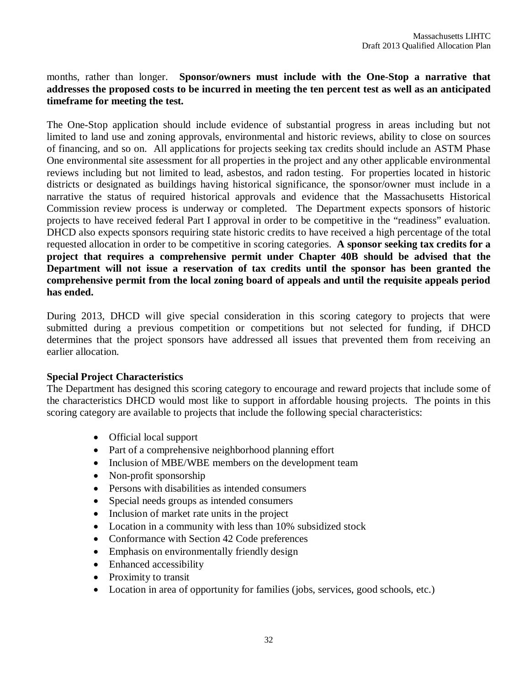### months, rather than longer. **Sponsor/owners must include with the One-Stop a narrative that addresses the proposed costs to be incurred in meeting the ten percent test as well as an anticipated timeframe for meeting the test.**

The One-Stop application should include evidence of substantial progress in areas including but not limited to land use and zoning approvals, environmental and historic reviews, ability to close on sources of financing, and so on. All applications for projects seeking tax credits should include an ASTM Phase One environmental site assessment for all properties in the project and any other applicable environmental reviews including but not limited to lead, asbestos, and radon testing. For properties located in historic districts or designated as buildings having historical significance, the sponsor/owner must include in a narrative the status of required historical approvals and evidence that the Massachusetts Historical Commission review process is underway or completed.The Department expects sponsors of historic projects to have received federal Part I approval in order to be competitive in the "readiness" evaluation. DHCD also expects sponsors requiring state historic credits to have received a high percentage of the total requested allocation in order to be competitive in scoring categories. **A sponsor seeking tax credits for a project that requires a comprehensive permit under Chapter 40B should be advised that the Department will not issue a reservation of tax credits until the sponsor has been granted the comprehensive permit from the local zoning board of appeals and until the requisite appeals period has ended.** 

During 2013, DHCD will give special consideration in this scoring category to projects that were submitted during a previous competition or competitions but not selected for funding, if DHCD determines that the project sponsors have addressed all issues that prevented them from receiving an earlier allocation.

#### **Special Project Characteristics**

The Department has designed this scoring category to encourage and reward projects that include some of the characteristics DHCD would most like to support in affordable housing projects. The points in this scoring category are available to projects that include the following special characteristics:

- Official local support
- Part of a comprehensive neighborhood planning effort
- Inclusion of MBE/WBE members on the development team
- Non-profit sponsorship
- Persons with disabilities as intended consumers
- Special needs groups as intended consumers
- Inclusion of market rate units in the project
- Location in a community with less than 10% subsidized stock
- Conformance with Section 42 Code preferences
- Emphasis on environmentally friendly design
- Enhanced accessibility
- Proximity to transit
- Location in area of opportunity for families (jobs, services, good schools, etc.)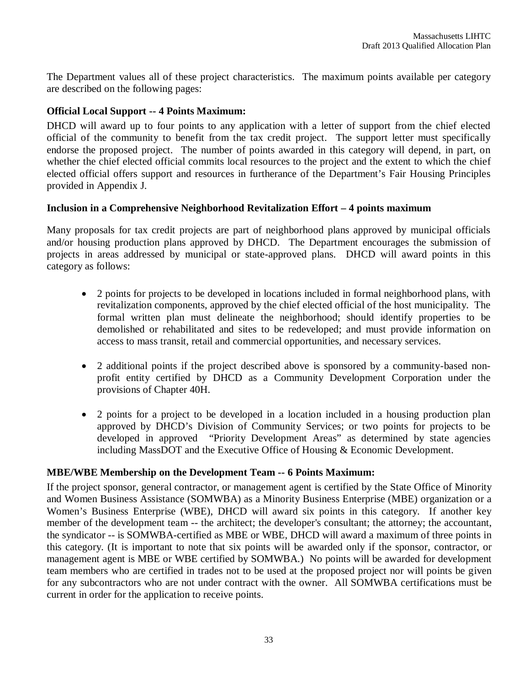The Department values all of these project characteristics. The maximum points available per category are described on the following pages:

# **Official Local Support -- 4 Points Maximum:**

DHCD will award up to four points to any application with a letter of support from the chief elected official of the community to benefit from the tax credit project. The support letter must specifically endorse the proposed project. The number of points awarded in this category will depend, in part, on whether the chief elected official commits local resources to the project and the extent to which the chief elected official offers support and resources in furtherance of the Department's Fair Housing Principles provided in Appendix J.

### **Inclusion in a Comprehensive Neighborhood Revitalization Effort – 4 points maximum**

Many proposals for tax credit projects are part of neighborhood plans approved by municipal officials and/or housing production plans approved by DHCD. The Department encourages the submission of projects in areas addressed by municipal or state-approved plans. DHCD will award points in this category as follows:

- 2 points for projects to be developed in locations included in formal neighborhood plans, with revitalization components, approved by the chief elected official of the host municipality. The formal written plan must delineate the neighborhood; should identify properties to be demolished or rehabilitated and sites to be redeveloped; and must provide information on access to mass transit, retail and commercial opportunities, and necessary services.
- 2 additional points if the project described above is sponsored by a community-based nonprofit entity certified by DHCD as a Community Development Corporation under the provisions of Chapter 40H.
- 2 points for a project to be developed in a location included in a housing production plan approved by DHCD's Division of Community Services; or two points for projects to be developed in approved "Priority Development Areas" as determined by state agencies including MassDOT and the Executive Office of Housing & Economic Development.

#### **MBE/WBE Membership on the Development Team -- 6 Points Maximum:**

If the project sponsor, general contractor, or management agent is certified by the State Office of Minority and Women Business Assistance (SOMWBA) as a Minority Business Enterprise (MBE) organization or a Women's Business Enterprise (WBE), DHCD will award six points in this category. If another key member of the development team -- the architect; the developer's consultant; the attorney; the accountant, the syndicator -- is SOMWBA-certified as MBE or WBE, DHCD will award a maximum of three points in this category. (It is important to note that six points will be awarded only if the sponsor, contractor, or management agent is MBE or WBE certified by SOMWBA.) No points will be awarded for development team members who are certified in trades not to be used at the proposed project nor will points be given for any subcontractors who are not under contract with the owner. All SOMWBA certifications must be current in order for the application to receive points.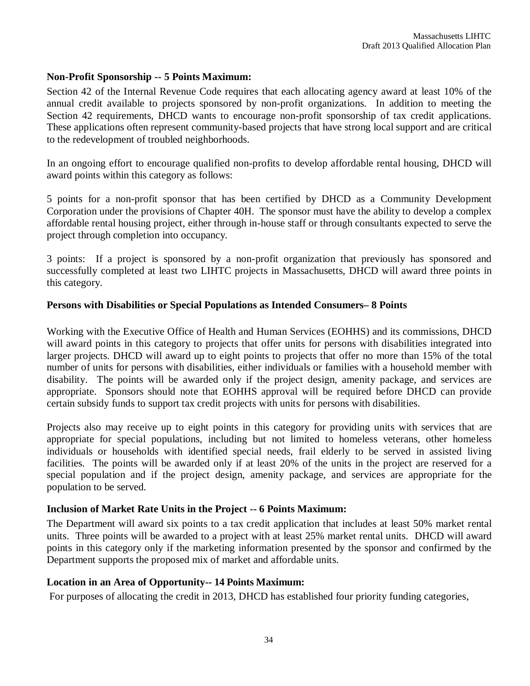#### **Non-Profit Sponsorship -- 5 Points Maximum:**

Section 42 of the Internal Revenue Code requires that each allocating agency award at least 10% of the annual credit available to projects sponsored by non-profit organizations. In addition to meeting the Section 42 requirements, DHCD wants to encourage non-profit sponsorship of tax credit applications. These applications often represent community-based projects that have strong local support and are critical to the redevelopment of troubled neighborhoods.

In an ongoing effort to encourage qualified non-profits to develop affordable rental housing, DHCD will award points within this category as follows:

5 points for a non-profit sponsor that has been certified by DHCD as a Community Development Corporation under the provisions of Chapter 40H. The sponsor must have the ability to develop a complex affordable rental housing project, either through in-house staff or through consultants expected to serve the project through completion into occupancy.

3 points: If a project is sponsored by a non-profit organization that previously has sponsored and successfully completed at least two LIHTC projects in Massachusetts, DHCD will award three points in this category.

#### **Persons with Disabilities or Special Populations as Intended Consumers– 8 Points**

Working with the Executive Office of Health and Human Services (EOHHS) and its commissions, DHCD will award points in this category to projects that offer units for persons with disabilities integrated into larger projects. DHCD will award up to eight points to projects that offer no more than 15% of the total number of units for persons with disabilities, either individuals or families with a household member with disability. The points will be awarded only if the project design, amenity package, and services are appropriate. Sponsors should note that EOHHS approval will be required before DHCD can provide certain subsidy funds to support tax credit projects with units for persons with disabilities.

Projects also may receive up to eight points in this category for providing units with services that are appropriate for special populations, including but not limited to homeless veterans, other homeless individuals or households with identified special needs, frail elderly to be served in assisted living facilities. The points will be awarded only if at least 20% of the units in the project are reserved for a special population and if the project design, amenity package, and services are appropriate for the population to be served.

#### **Inclusion of Market Rate Units in the Project -- 6 Points Maximum:**

The Department will award six points to a tax credit application that includes at least 50% market rental units. Three points will be awarded to a project with at least 25% market rental units. DHCD will award points in this category only if the marketing information presented by the sponsor and confirmed by the Department supports the proposed mix of market and affordable units.

#### **Location in an Area of Opportunity-- 14 Points Maximum:**

For purposes of allocating the credit in 2013, DHCD has established four priority funding categories,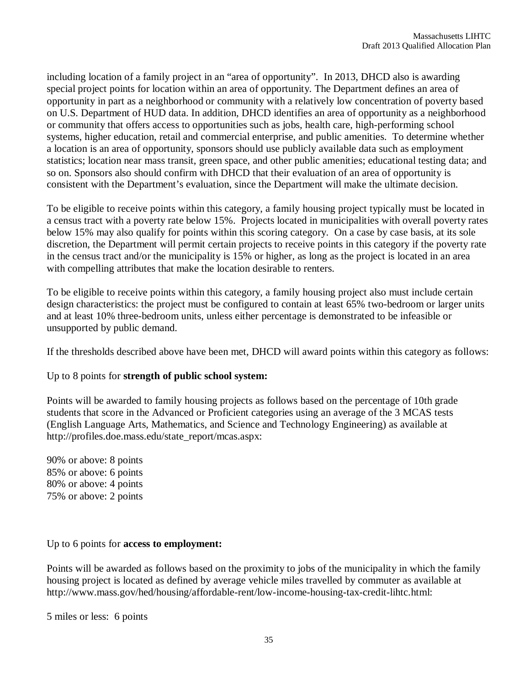including location of a family project in an "area of opportunity". In 2013, DHCD also is awarding special project points for location within an area of opportunity. The Department defines an area of opportunity in part as a neighborhood or community with a relatively low concentration of poverty based on U.S. Department of HUD data. In addition, DHCD identifies an area of opportunity as a neighborhood or community that offers access to opportunities such as jobs, health care, high-performing school systems, higher education, retail and commercial enterprise, and public amenities. To determine whether a location is an area of opportunity, sponsors should use publicly available data such as employment statistics; location near mass transit, green space, and other public amenities; educational testing data; and so on. Sponsors also should confirm with DHCD that their evaluation of an area of opportunity is consistent with the Department's evaluation, since the Department will make the ultimate decision.

To be eligible to receive points within this category, a family housing project typically must be located in a census tract with a poverty rate below 15%. Projects located in municipalities with overall poverty rates below 15% may also qualify for points within this scoring category. On a case by case basis, at its sole discretion, the Department will permit certain projects to receive points in this category if the poverty rate in the census tract and/or the municipality is 15% or higher, as long as the project is located in an area with compelling attributes that make the location desirable to renters.

To be eligible to receive points within this category, a family housing project also must include certain design characteristics: the project must be configured to contain at least 65% two-bedroom or larger units and at least 10% three-bedroom units, unless either percentage is demonstrated to be infeasible or unsupported by public demand.

If the thresholds described above have been met, DHCD will award points within this category as follows:

#### Up to 8 points for **strength of public school system:**

Points will be awarded to family housing projects as follows based on the percentage of 10th grade students that score in the Advanced or Proficient categories using an average of the 3 MCAS tests (English Language Arts, Mathematics, and Science and Technology Engineering) as available at http://profiles.doe.mass.edu/state\_report/mcas.aspx:

90% or above: 8 points 85% or above: 6 points 80% or above: 4 points 75% or above: 2 points

#### Up to 6 points for **access to employment:**

Points will be awarded as follows based on the proximity to jobs of the municipality in which the family housing project is located as defined by average vehicle miles travelled by commuter as available at http://www.mass.gov/hed/housing/affordable-rent/low-income-housing-tax-credit-lihtc.html:

5 miles or less: 6 points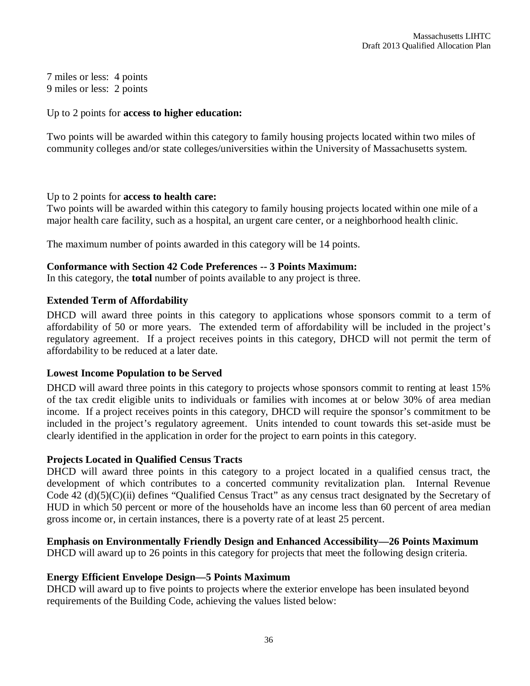7 miles or less: 4 points 9 miles or less: 2 points

#### Up to 2 points for **access to higher education:**

Two points will be awarded within this category to family housing projects located within two miles of community colleges and/or state colleges/universities within the University of Massachusetts system.

#### Up to 2 points for **access to health care:**

Two points will be awarded within this category to family housing projects located within one mile of a major health care facility, such as a hospital, an urgent care center, or a neighborhood health clinic.

The maximum number of points awarded in this category will be 14 points.

#### **Conformance with Section 42 Code Preferences -- 3 Points Maximum:**

In this category, the **total** number of points available to any project is three.

# **Extended Term of Affordability**

DHCD will award three points in this category to applications whose sponsors commit to a term of affordability of 50 or more years. The extended term of affordability will be included in the project's regulatory agreement. If a project receives points in this category, DHCD will not permit the term of affordability to be reduced at a later date.

# **Lowest Income Population to be Served**

DHCD will award three points in this category to projects whose sponsors commit to renting at least 15% of the tax credit eligible units to individuals or families with incomes at or below 30% of area median income. If a project receives points in this category, DHCD will require the sponsor's commitment to be included in the project's regulatory agreement. Units intended to count towards this set-aside must be clearly identified in the application in order for the project to earn points in this category.

#### **Projects Located in Qualified Census Tracts**

DHCD will award three points in this category to a project located in a qualified census tract, the development of which contributes to a concerted community revitalization plan. Internal Revenue Code 42 (d)(5)(C)(ii) defines "Qualified Census Tract" as any census tract designated by the Secretary of HUD in which 50 percent or more of the households have an income less than 60 percent of area median gross income or, in certain instances, there is a poverty rate of at least 25 percent.

# **Emphasis on Environmentally Friendly Design and Enhanced Accessibility—26 Points Maximum**

DHCD will award up to 26 points in this category for projects that meet the following design criteria.

#### **Energy Efficient Envelope Design—5 Points Maximum**

DHCD will award up to five points to projects where the exterior envelope has been insulated beyond requirements of the Building Code, achieving the values listed below: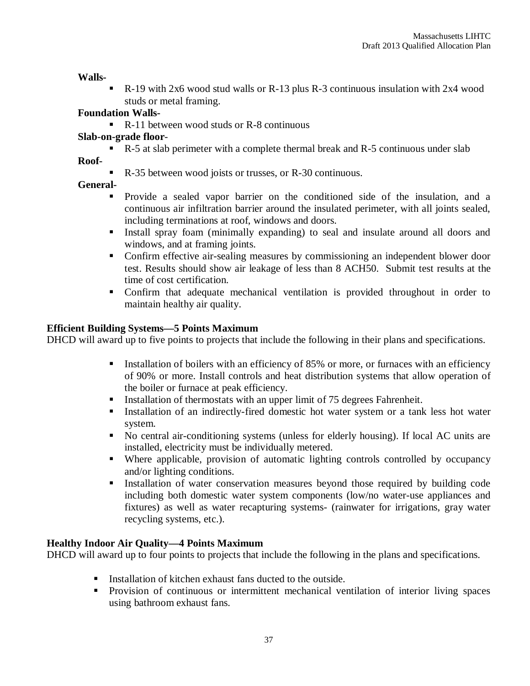**Walls-**

R-19 with 2x6 wood stud walls or R-13 plus R-3 continuous insulation with 2x4 wood studs or metal framing.

# **Foundation Walls-**

■ R-11 between wood studs or R-8 continuous

# **Slab-on-grade floor**-

**R**-5 at slab perimeter with a complete thermal break and R-5 continuous under slab

**Roof-**

R-35 between wood joists or trusses, or R-30 continuous.

# **General-**

- Provide a sealed vapor barrier on the conditioned side of the insulation, and a continuous air infiltration barrier around the insulated perimeter, with all joints sealed, including terminations at roof, windows and doors.
- Install spray foam (minimally expanding) to seal and insulate around all doors and windows, and at framing joints.
- Confirm effective air-sealing measures by commissioning an independent blower door test. Results should show air leakage of less than 8 ACH50. Submit test results at the time of cost certification.
- Confirm that adequate mechanical ventilation is provided throughout in order to maintain healthy air quality.

# **Efficient Building Systems—5 Points Maximum**

DHCD will award up to five points to projects that include the following in their plans and specifications.

- Installation of boilers with an efficiency of 85% or more, or furnaces with an efficiency of 90% or more. Install controls and heat distribution systems that allow operation of the boiler or furnace at peak efficiency.
- Installation of thermostats with an upper limit of 75 degrees Fahrenheit.
- Installation of an indirectly-fired domestic hot water system or a tank less hot water system.
- No central air-conditioning systems (unless for elderly housing). If local AC units are installed, electricity must be individually metered.
- Where applicable, provision of automatic lighting controls controlled by occupancy and/or lighting conditions.
- Installation of water conservation measures beyond those required by building code including both domestic water system components (low/no water-use appliances and fixtures) as well as water recapturing systems- (rainwater for irrigations, gray water recycling systems, etc.).

# **Healthy Indoor Air Quality—4 Points Maximum**

DHCD will award up to four points to projects that include the following in the plans and specifications.

- Installation of kitchen exhaust fans ducted to the outside.
- **Provision of continuous or intermittent mechanical ventilation of interior living spaces** using bathroom exhaust fans.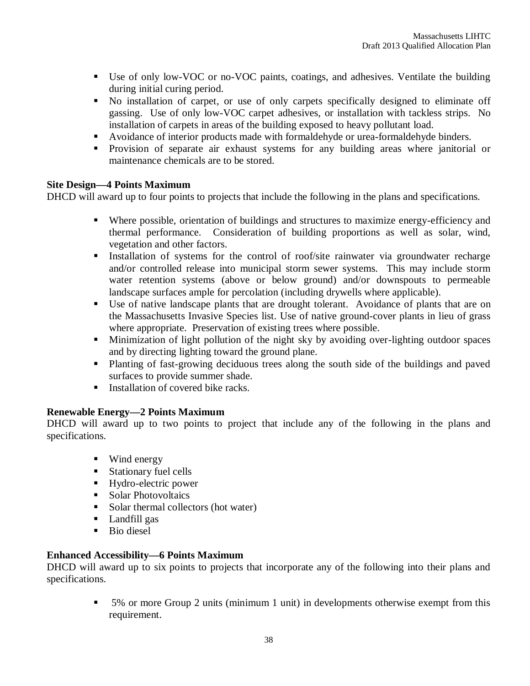- Use of only low-VOC or no-VOC paints, coatings, and adhesives. Ventilate the building during initial curing period.
- No installation of carpet, or use of only carpets specifically designed to eliminate off gassing. Use of only low-VOC carpet adhesives, or installation with tackless strips. No installation of carpets in areas of the building exposed to heavy pollutant load.
- Avoidance of interior products made with formaldehyde or urea-formaldehyde binders.
- **Provision of separate air exhaust systems for any building areas where janitorial or** maintenance chemicals are to be stored.

#### **Site Design—4 Points Maximum**

DHCD will award up to four points to projects that include the following in the plans and specifications.

- Where possible, orientation of buildings and structures to maximize energy-efficiency and thermal performance. Consideration of building proportions as well as solar, wind, vegetation and other factors.
- Installation of systems for the control of roof/site rainwater via groundwater recharge and/or controlled release into municipal storm sewer systems. This may include storm water retention systems (above or below ground) and/or downspouts to permeable landscape surfaces ample for percolation (including drywells where applicable).
- Use of native landscape plants that are drought tolerant. Avoidance of plants that are on the Massachusetts Invasive Species list. Use of native ground-cover plants in lieu of grass where appropriate. Preservation of existing trees where possible.
- Minimization of light pollution of the night sky by avoiding over-lighting outdoor spaces and by directing lighting toward the ground plane.
- Planting of fast-growing deciduous trees along the south side of the buildings and paved surfaces to provide summer shade.
- $\blacksquare$  Installation of covered bike racks.

# **Renewable Energy—2 Points Maximum**

DHCD will award up to two points to project that include any of the following in the plans and specifications.

- **Wind energy**
- **Stationary fuel cells**
- **Hydro-electric power**
- **Solar Photovoltaics**
- Solar thermal collectors (hot water)
- **Landfill gas**
- Bio diesel

# **Enhanced Accessibility—6 Points Maximum**

DHCD will award up to six points to projects that incorporate any of the following into their plans and specifications.

> 5% or more Group 2 units (minimum 1 unit) in developments otherwise exempt from this requirement.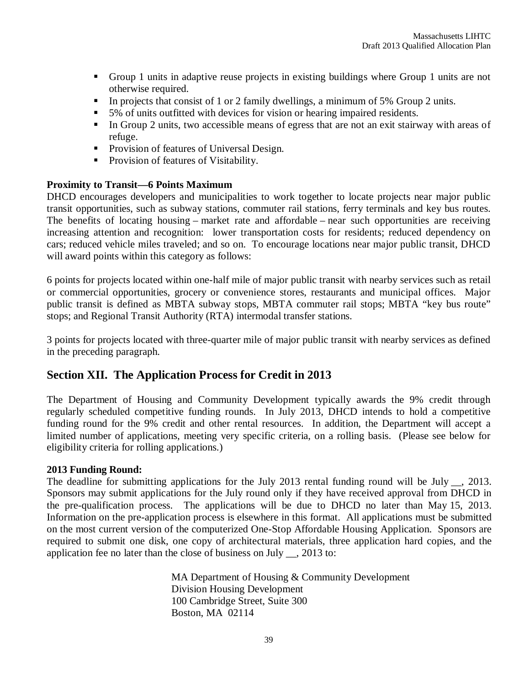- Group 1 units in adaptive reuse projects in existing buildings where Group 1 units are not otherwise required.
- In projects that consist of 1 or 2 family dwellings, a minimum of 5% Group 2 units.
- 5% of units outfitted with devices for vision or hearing impaired residents.
- In Group 2 units, two accessible means of egress that are not an exit stairway with areas of refuge.
- Provision of features of Universal Design.
- **Provision of features of Visitability.**

#### **Proximity to Transit—6 Points Maximum**

DHCD encourages developers and municipalities to work together to locate projects near major public transit opportunities, such as subway stations, commuter rail stations, ferry terminals and key bus routes. The benefits of locating housing – market rate and affordable – near such opportunities are receiving increasing attention and recognition: lower transportation costs for residents; reduced dependency on cars; reduced vehicle miles traveled; and so on. To encourage locations near major public transit, DHCD will award points within this category as follows:

6 points for projects located within one-half mile of major public transit with nearby services such as retail or commercial opportunities, grocery or convenience stores, restaurants and municipal offices. Major public transit is defined as MBTA subway stops, MBTA commuter rail stops; MBTA "key bus route" stops; and Regional Transit Authority (RTA) intermodal transfer stations.

3 points for projects located with three-quarter mile of major public transit with nearby services as defined in the preceding paragraph.

# **Section XII. The Application Process for Credit in 2013**

The Department of Housing and Community Development typically awards the 9% credit through regularly scheduled competitive funding rounds. In July 2013, DHCD intends to hold a competitive funding round for the 9% credit and other rental resources. In addition, the Department will accept a limited number of applications, meeting very specific criteria, on a rolling basis. (Please see below for eligibility criteria for rolling applications.)

#### **2013 Funding Round:**

The deadline for submitting applications for the July 2013 rental funding round will be July \_\_, 2013. Sponsors may submit applications for the July round only if they have received approval from DHCD in the pre-qualification process. The applications will be due to DHCD no later than May 15, 2013. Information on the pre-application process is elsewhere in this format. All applications must be submitted on the most current version of the computerized One-Stop Affordable Housing Application. Sponsors are required to submit one disk, one copy of architectural materials, three application hard copies, and the application fee no later than the close of business on July \_\_, 2013 to:

> MA Department of Housing & Community Development Division Housing Development 100 Cambridge Street, Suite 300 Boston, MA 02114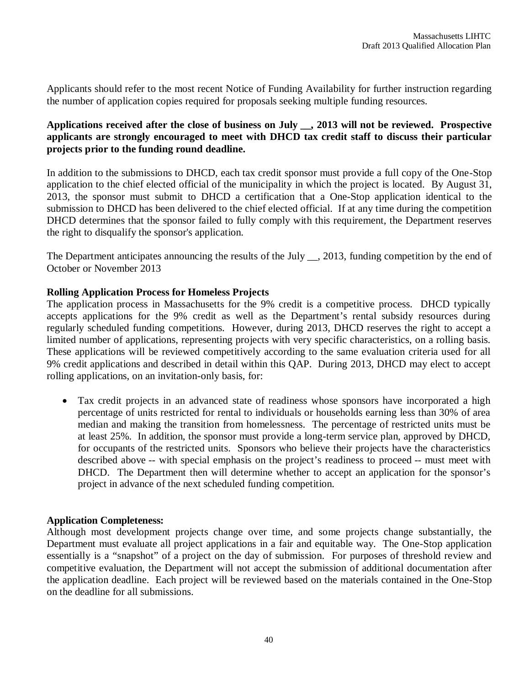Applicants should refer to the most recent Notice of Funding Availability for further instruction regarding the number of application copies required for proposals seeking multiple funding resources.

# **Applications received after the close of business on July \_\_, 2013 will not be reviewed. Prospective applicants are strongly encouraged to meet with DHCD tax credit staff to discuss their particular projects prior to the funding round deadline.**

In addition to the submissions to DHCD, each tax credit sponsor must provide a full copy of the One-Stop application to the chief elected official of the municipality in which the project is located. By August 31, 2013, the sponsor must submit to DHCD a certification that a One-Stop application identical to the submission to DHCD has been delivered to the chief elected official. If at any time during the competition DHCD determines that the sponsor failed to fully comply with this requirement, the Department reserves the right to disqualify the sponsor's application.

The Department anticipates announcing the results of the July \_\_, 2013, funding competition by the end of October or November 2013

#### **Rolling Application Process for Homeless Projects**

The application process in Massachusetts for the 9% credit is a competitive process. DHCD typically accepts applications for the 9% credit as well as the Department's rental subsidy resources during regularly scheduled funding competitions. However, during 2013, DHCD reserves the right to accept a limited number of applications, representing projects with very specific characteristics, on a rolling basis. These applications will be reviewed competitively according to the same evaluation criteria used for all 9% credit applications and described in detail within this QAP. During 2013, DHCD may elect to accept rolling applications, on an invitation-only basis, for:

 Tax credit projects in an advanced state of readiness whose sponsors have incorporated a high percentage of units restricted for rental to individuals or households earning less than 30% of area median and making the transition from homelessness. The percentage of restricted units must be at least 25%. In addition, the sponsor must provide a long-term service plan, approved by DHCD, for occupants of the restricted units. Sponsors who believe their projects have the characteristics described above -- with special emphasis on the project's readiness to proceed -- must meet with DHCD. The Department then will determine whether to accept an application for the sponsor's project in advance of the next scheduled funding competition.

#### **Application Completeness:**

Although most development projects change over time, and some projects change substantially, the Department must evaluate all project applications in a fair and equitable way. The One-Stop application essentially is a "snapshot" of a project on the day of submission. For purposes of threshold review and competitive evaluation, the Department will not accept the submission of additional documentation after the application deadline. Each project will be reviewed based on the materials contained in the One-Stop on the deadline for all submissions.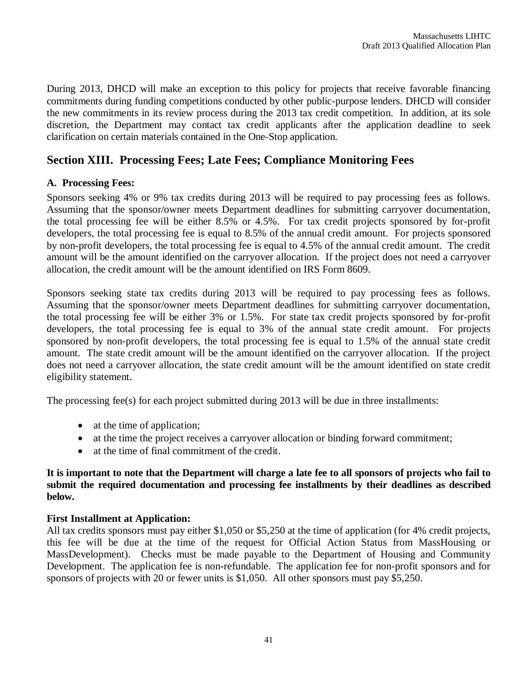During 2013, DHCD will make an exception to this policy for projects that receive favorable financing commitments during funding competitions conducted by other public-purpose lenders. DHCD will consider the new commitments in its review process during the 2013 tax credit competition. In addition, at its sole discretion, the Department may contact tax credit applicants after the application deadline to seek clarification on certain materials contained in the One-Stop application.

# **Section XIII. Processing Fees; Late Fees; Compliance Monitoring Fees**

#### **A. Processing Fees:**

Sponsors seeking 4% or 9% tax credits during 2013 will be required to pay processing fees as follows. Assuming that the sponsor/owner meets Department deadlines for submitting carryover documentation, the total processing fee will be either 8.5% or 4.5%. For tax credit projects sponsored by for-profit developers, the total processing fee is equal to 8.5% of the annual credit amount. For projects sponsored by non-profit developers, the total processing fee is equal to 4.5% of the annual credit amount. The credit amount will be the amount identified on the carryover allocation. If the project does not need a carryover allocation, the credit amount will be the amount identified on IRS Form 8609.

Sponsors seeking state tax credits during 2013 will be required to pay processing fees as follows. Assuming that the sponsor/owner meets Department deadlines for submitting carryover documentation, the total processing fee will be either 3% or 1.5%. For state tax credit projects sponsored by for-profit developers, the total processing fee is equal to 3% of the annual state credit amount. For projects sponsored by non-profit developers, the total processing fee is equal to 1.5% of the annual state credit amount. The state credit amount will be the amount identified on the carryover allocation. If the project does not need a carryover allocation, the state credit amount will be the amount identified on state credit eligibility statement.

The processing fee(s) for each project submitted during 2013 will be due in three installments:

- at the time of application;
- at the time the project receives a carryover allocation or binding forward commitment;
- at the time of final commitment of the credit.

#### **It is important to note that the Department will charge a late fee to all sponsors of projects who fail to submit the required documentation and processing fee installments by their deadlines as described below.**

#### **First Installment at Application:**

All tax credits sponsors must pay either \$1,050 or \$5,250 at the time of application (for 4% credit projects, this fee will be due at the time of the request for Official Action Status from MassHousing or MassDevelopment). Checks must be made payable to the Department of Housing and Community Development. The application fee is non-refundable. The application fee for non-profit sponsors and for sponsors of projects with 20 or fewer units is \$1,050. All other sponsors must pay \$5,250.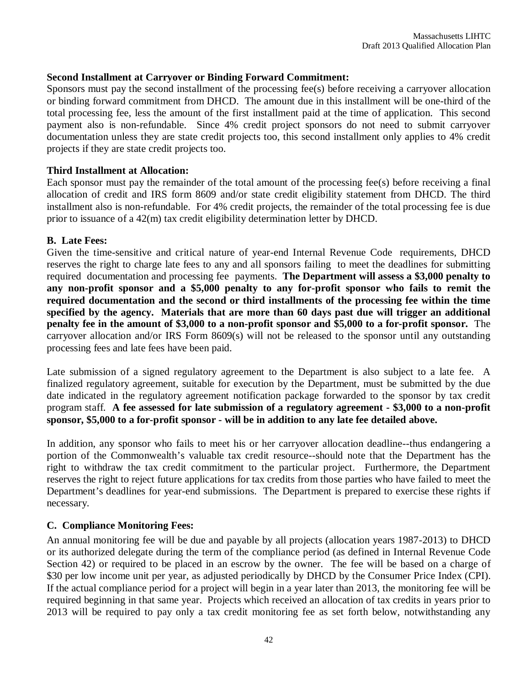#### **Second Installment at Carryover or Binding Forward Commitment:**

Sponsors must pay the second installment of the processing fee(s) before receiving a carryover allocation or binding forward commitment from DHCD. The amount due in this installment will be one-third of the total processing fee, less the amount of the first installment paid at the time of application. This second payment also is non-refundable. Since 4% credit project sponsors do not need to submit carryover documentation unless they are state credit projects too, this second installment only applies to 4% credit projects if they are state credit projects too.

#### **Third Installment at Allocation:**

Each sponsor must pay the remainder of the total amount of the processing fee(s) before receiving a final allocation of credit and IRS form 8609 and/or state credit eligibility statement from DHCD. The third installment also is non-refundable. For 4% credit projects, the remainder of the total processing fee is due prior to issuance of a 42(m) tax credit eligibility determination letter by DHCD.

#### **B. Late Fees:**

Given the time-sensitive and critical nature of year-end Internal Revenue Code requirements, DHCD reserves the right to charge late fees to any and all sponsors failing to meet the deadlines for submitting required documentation and processing fee payments. **The Department will assess a \$3,000 penalty to any non-profit sponsor and a \$5,000 penalty to any for-profit sponsor who fails to remit the required documentation and the second or third installments of the processing fee within the time specified by the agency. Materials that are more than 60 days past due will trigger an additional penalty fee in the amount of \$3,000 to a non-profit sponsor and \$5,000 to a for-profit sponsor.** The carryover allocation and/or IRS Form 8609(s) will not be released to the sponsor until any outstanding processing fees and late fees have been paid.

Late submission of a signed regulatory agreement to the Department is also subject to a late fee. A finalized regulatory agreement, suitable for execution by the Department, must be submitted by the due date indicated in the regulatory agreement notification package forwarded to the sponsor by tax credit program staff. **A fee assessed for late submission of a regulatory agreement - \$3,000 to a non-profit sponsor, \$5,000 to a for-profit sponsor - will be in addition to any late fee detailed above.**

In addition, any sponsor who fails to meet his or her carryover allocation deadline--thus endangering a portion of the Commonwealth's valuable tax credit resource--should note that the Department has the right to withdraw the tax credit commitment to the particular project. Furthermore, the Department reserves the right to reject future applications for tax credits from those parties who have failed to meet the Department's deadlines for year-end submissions. The Department is prepared to exercise these rights if necessary.

#### **C. Compliance Monitoring Fees:**

An annual monitoring fee will be due and payable by all projects (allocation years 1987-2013) to DHCD or its authorized delegate during the term of the compliance period (as defined in Internal Revenue Code Section 42) or required to be placed in an escrow by the owner. The fee will be based on a charge of \$30 per low income unit per year, as adjusted periodically by DHCD by the Consumer Price Index (CPI). If the actual compliance period for a project will begin in a year later than 2013, the monitoring fee will be required beginning in that same year. Projects which received an allocation of tax credits in years prior to 2013 will be required to pay only a tax credit monitoring fee as set forth below, notwithstanding any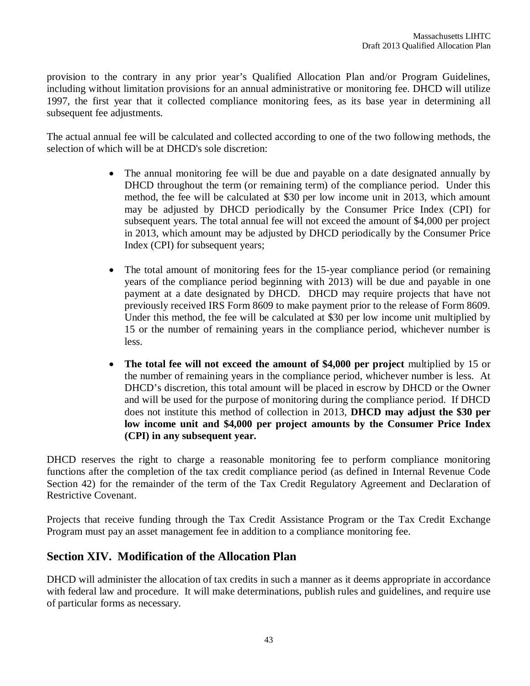provision to the contrary in any prior year's Qualified Allocation Plan and/or Program Guidelines, including without limitation provisions for an annual administrative or monitoring fee. DHCD will utilize 1997, the first year that it collected compliance monitoring fees, as its base year in determining all subsequent fee adjustments.

The actual annual fee will be calculated and collected according to one of the two following methods, the selection of which will be at DHCD's sole discretion:

- The annual monitoring fee will be due and payable on a date designated annually by DHCD throughout the term (or remaining term) of the compliance period. Under this method, the fee will be calculated at \$30 per low income unit in 2013, which amount may be adjusted by DHCD periodically by the Consumer Price Index (CPI) for subsequent years. The total annual fee will not exceed the amount of \$4,000 per project in 2013, which amount may be adjusted by DHCD periodically by the Consumer Price Index (CPI) for subsequent years;
- The total amount of monitoring fees for the 15-year compliance period (or remaining years of the compliance period beginning with 2013) will be due and payable in one payment at a date designated by DHCD. DHCD may require projects that have not previously received IRS Form 8609 to make payment prior to the release of Form 8609. Under this method, the fee will be calculated at \$30 per low income unit multiplied by 15 or the number of remaining years in the compliance period, whichever number is less.
- **The total fee will not exceed the amount of \$4,000 per project** multiplied by 15 or the number of remaining years in the compliance period, whichever number is less. At DHCD's discretion, this total amount will be placed in escrow by DHCD or the Owner and will be used for the purpose of monitoring during the compliance period. If DHCD does not institute this method of collection in 2013, **DHCD may adjust the \$30 per low income unit and \$4,000 per project amounts by the Consumer Price Index (CPI) in any subsequent year.**

DHCD reserves the right to charge a reasonable monitoring fee to perform compliance monitoring functions after the completion of the tax credit compliance period (as defined in Internal Revenue Code Section 42) for the remainder of the term of the Tax Credit Regulatory Agreement and Declaration of Restrictive Covenant.

Projects that receive funding through the Tax Credit Assistance Program or the Tax Credit Exchange Program must pay an asset management fee in addition to a compliance monitoring fee.

# **Section XIV. Modification of the Allocation Plan**

DHCD will administer the allocation of tax credits in such a manner as it deems appropriate in accordance with federal law and procedure. It will make determinations, publish rules and guidelines, and require use of particular forms as necessary.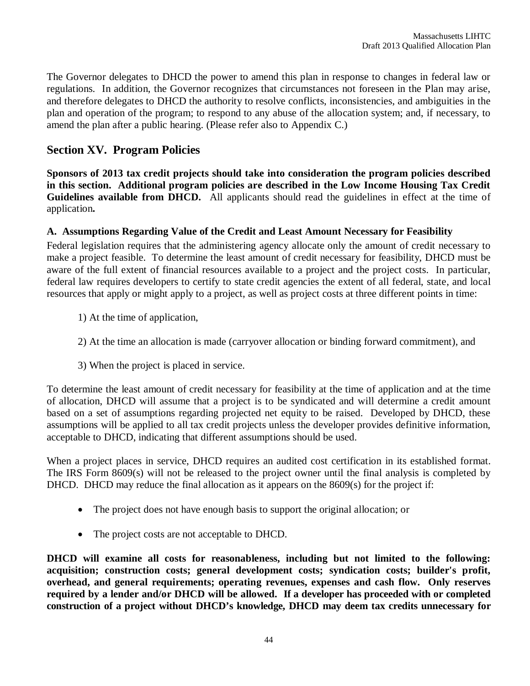The Governor delegates to DHCD the power to amend this plan in response to changes in federal law or regulations. In addition, the Governor recognizes that circumstances not foreseen in the Plan may arise, and therefore delegates to DHCD the authority to resolve conflicts, inconsistencies, and ambiguities in the plan and operation of the program; to respond to any abuse of the allocation system; and, if necessary, to amend the plan after a public hearing. (Please refer also to Appendix C.)

# **Section XV. Program Policies**

**Sponsors of 2013 tax credit projects should take into consideration the program policies described in this section. Additional program policies are described in the Low Income Housing Tax Credit Guidelines available from DHCD.** All applicants should read the guidelines in effect at the time of application**.**

# **A. Assumptions Regarding Value of the Credit and Least Amount Necessary for Feasibility**

Federal legislation requires that the administering agency allocate only the amount of credit necessary to make a project feasible. To determine the least amount of credit necessary for feasibility, DHCD must be aware of the full extent of financial resources available to a project and the project costs. In particular, federal law requires developers to certify to state credit agencies the extent of all federal, state, and local resources that apply or might apply to a project, as well as project costs at three different points in time:

- 1) At the time of application,
- 2) At the time an allocation is made (carryover allocation or binding forward commitment), and
- 3) When the project is placed in service.

To determine the least amount of credit necessary for feasibility at the time of application and at the time of allocation, DHCD will assume that a project is to be syndicated and will determine a credit amount based on a set of assumptions regarding projected net equity to be raised. Developed by DHCD, these assumptions will be applied to all tax credit projects unless the developer provides definitive information, acceptable to DHCD, indicating that different assumptions should be used.

When a project places in service, DHCD requires an audited cost certification in its established format. The IRS Form 8609(s) will not be released to the project owner until the final analysis is completed by DHCD. DHCD may reduce the final allocation as it appears on the 8609(s) for the project if:

- The project does not have enough basis to support the original allocation; or
- The project costs are not acceptable to DHCD.

**DHCD will examine all costs for reasonableness, including but not limited to the following: acquisition; construction costs; general development costs; syndication costs; builder's profit, overhead, and general requirements; operating revenues, expenses and cash flow. Only reserves required by a lender and/or DHCD will be allowed. If a developer has proceeded with or completed construction of a project without DHCD's knowledge, DHCD may deem tax credits unnecessary for**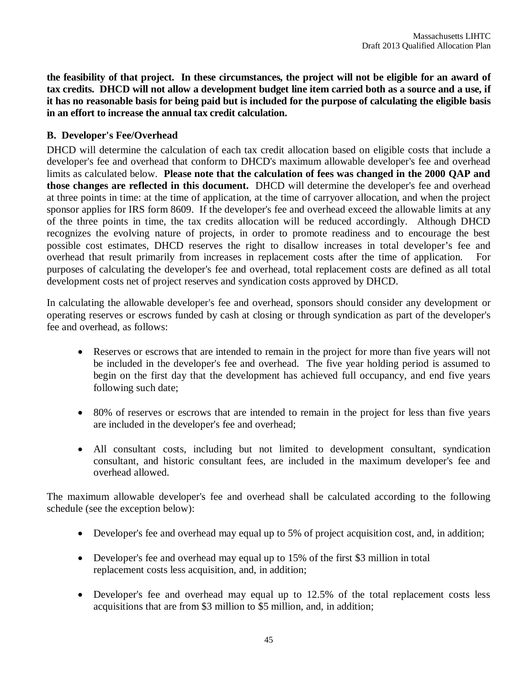**the feasibility of that project. In these circumstances, the project will not be eligible for an award of tax credits. DHCD will not allow a development budget line item carried both as a source and a use, if it has no reasonable basis for being paid but is included for the purpose of calculating the eligible basis in an effort to increase the annual tax credit calculation.**

#### **B. Developer's Fee/Overhead**

DHCD will determine the calculation of each tax credit allocation based on eligible costs that include a developer's fee and overhead that conform to DHCD's maximum allowable developer's fee and overhead limits as calculated below. **Please note that the calculation of fees was changed in the 2000 QAP and those changes are reflected in this document.** DHCD will determine the developer's fee and overhead at three points in time: at the time of application, at the time of carryover allocation, and when the project sponsor applies for IRS form 8609. If the developer's fee and overhead exceed the allowable limits at any of the three points in time, the tax credits allocation will be reduced accordingly. Although DHCD recognizes the evolving nature of projects, in order to promote readiness and to encourage the best possible cost estimates, DHCD reserves the right to disallow increases in total developer's fee and overhead that result primarily from increases in replacement costs after the time of application. For purposes of calculating the developer's fee and overhead, total replacement costs are defined as all total development costs net of project reserves and syndication costs approved by DHCD.

In calculating the allowable developer's fee and overhead, sponsors should consider any development or operating reserves or escrows funded by cash at closing or through syndication as part of the developer's fee and overhead, as follows:

- Reserves or escrows that are intended to remain in the project for more than five years will not be included in the developer's fee and overhead. The five year holding period is assumed to begin on the first day that the development has achieved full occupancy, and end five years following such date;
- 80% of reserves or escrows that are intended to remain in the project for less than five years are included in the developer's fee and overhead;
- All consultant costs, including but not limited to development consultant, syndication consultant, and historic consultant fees, are included in the maximum developer's fee and overhead allowed.

The maximum allowable developer's fee and overhead shall be calculated according to the following schedule (see the exception below):

- Developer's fee and overhead may equal up to 5% of project acquisition cost, and, in addition;
- Developer's fee and overhead may equal up to 15% of the first \$3 million in total replacement costs less acquisition, and, in addition;
- Developer's fee and overhead may equal up to 12.5% of the total replacement costs less acquisitions that are from \$3 million to \$5 million, and, in addition;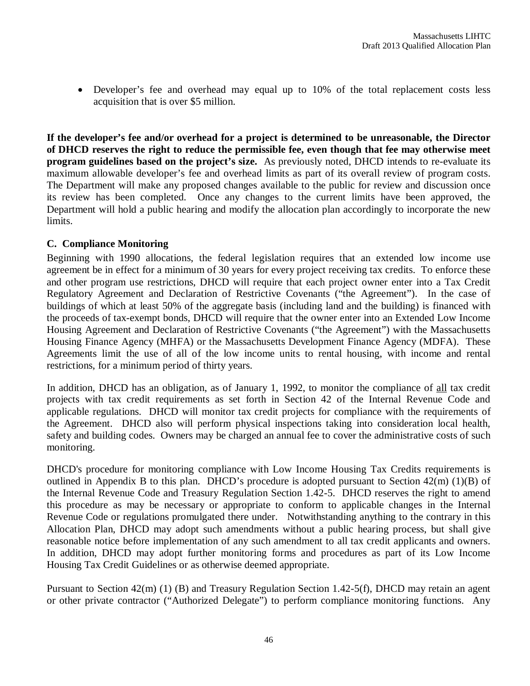Developer's fee and overhead may equal up to 10% of the total replacement costs less acquisition that is over \$5 million.

**If the developer's fee and/or overhead for a project is determined to be unreasonable, the Director of DHCD reserves the right to reduce the permissible fee, even though that fee may otherwise meet program guidelines based on the project's size.** As previously noted, DHCD intends to re-evaluate its maximum allowable developer's fee and overhead limits as part of its overall review of program costs. The Department will make any proposed changes available to the public for review and discussion once its review has been completed. Once any changes to the current limits have been approved, the Department will hold a public hearing and modify the allocation plan accordingly to incorporate the new limits.

#### **C. Compliance Monitoring**

Beginning with 1990 allocations, the federal legislation requires that an extended low income use agreement be in effect for a minimum of 30 years for every project receiving tax credits. To enforce these and other program use restrictions, DHCD will require that each project owner enter into a Tax Credit Regulatory Agreement and Declaration of Restrictive Covenants ("the Agreement"). In the case of buildings of which at least 50% of the aggregate basis (including land and the building) is financed with the proceeds of tax-exempt bonds, DHCD will require that the owner enter into an Extended Low Income Housing Agreement and Declaration of Restrictive Covenants ("the Agreement") with the Massachusetts Housing Finance Agency (MHFA) or the Massachusetts Development Finance Agency (MDFA). These Agreements limit the use of all of the low income units to rental housing, with income and rental restrictions, for a minimum period of thirty years.

In addition, DHCD has an obligation, as of January 1, 1992, to monitor the compliance of all tax credit projects with tax credit requirements as set forth in Section 42 of the Internal Revenue Code and applicable regulations. DHCD will monitor tax credit projects for compliance with the requirements of the Agreement. DHCD also will perform physical inspections taking into consideration local health, safety and building codes. Owners may be charged an annual fee to cover the administrative costs of such monitoring.

DHCD's procedure for monitoring compliance with Low Income Housing Tax Credits requirements is outlined in Appendix B to this plan. DHCD's procedure is adopted pursuant to Section 42(m) (1)(B) of the Internal Revenue Code and Treasury Regulation Section 1.42-5. DHCD reserves the right to amend this procedure as may be necessary or appropriate to conform to applicable changes in the Internal Revenue Code or regulations promulgated there under. Notwithstanding anything to the contrary in this Allocation Plan, DHCD may adopt such amendments without a public hearing process, but shall give reasonable notice before implementation of any such amendment to all tax credit applicants and owners. In addition, DHCD may adopt further monitoring forms and procedures as part of its Low Income Housing Tax Credit Guidelines or as otherwise deemed appropriate.

Pursuant to Section 42(m) (1) (B) and Treasury Regulation Section 1.42-5(f), DHCD may retain an agent or other private contractor ("Authorized Delegate") to perform compliance monitoring functions. Any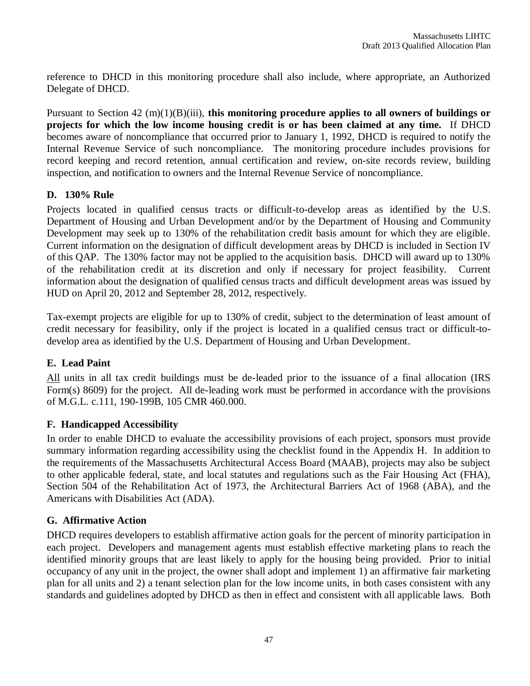reference to DHCD in this monitoring procedure shall also include, where appropriate, an Authorized Delegate of DHCD.

Pursuant to Section 42 (m)(1)(B)(iii), **this monitoring procedure applies to all owners of buildings or projects for which the low income housing credit is or has been claimed at any time.** If DHCD becomes aware of noncompliance that occurred prior to January 1, 1992, DHCD is required to notify the Internal Revenue Service of such noncompliance. The monitoring procedure includes provisions for record keeping and record retention, annual certification and review, on-site records review, building inspection, and notification to owners and the Internal Revenue Service of noncompliance.

# **D. 130% Rule**

Projects located in qualified census tracts or difficult-to-develop areas as identified by the U.S. Department of Housing and Urban Development and/or by the Department of Housing and Community Development may seek up to 130% of the rehabilitation credit basis amount for which they are eligible. Current information on the designation of difficult development areas by DHCD is included in Section IV of this QAP. The 130% factor may not be applied to the acquisition basis. DHCD will award up to 130% of the rehabilitation credit at its discretion and only if necessary for project feasibility. Current information about the designation of qualified census tracts and difficult development areas was issued by HUD on April 20, 2012 and September 28, 2012, respectively.

Tax-exempt projects are eligible for up to 130% of credit, subject to the determination of least amount of credit necessary for feasibility, only if the project is located in a qualified census tract or difficult-todevelop area as identified by the U.S. Department of Housing and Urban Development.

# **E. Lead Paint**

All units in all tax credit buildings must be de-leaded prior to the issuance of a final allocation (IRS Form(s) 8609) for the project. All de-leading work must be performed in accordance with the provisions of M.G.L. c.111, 190-199B, 105 CMR 460.000.

# **F. Handicapped Accessibility**

In order to enable DHCD to evaluate the accessibility provisions of each project, sponsors must provide summary information regarding accessibility using the checklist found in the Appendix H. In addition to the requirements of the Massachusetts Architectural Access Board (MAAB), projects may also be subject to other applicable federal, state, and local statutes and regulations such as the Fair Housing Act (FHA), Section 504 of the Rehabilitation Act of 1973, the Architectural Barriers Act of 1968 (ABA), and the Americans with Disabilities Act (ADA).

# **G. Affirmative Action**

DHCD requires developers to establish affirmative action goals for the percent of minority participation in each project. Developers and management agents must establish effective marketing plans to reach the identified minority groups that are least likely to apply for the housing being provided. Prior to initial occupancy of any unit in the project, the owner shall adopt and implement 1) an affirmative fair marketing plan for all units and 2) a tenant selection plan for the low income units, in both cases consistent with any standards and guidelines adopted by DHCD as then in effect and consistent with all applicable laws. Both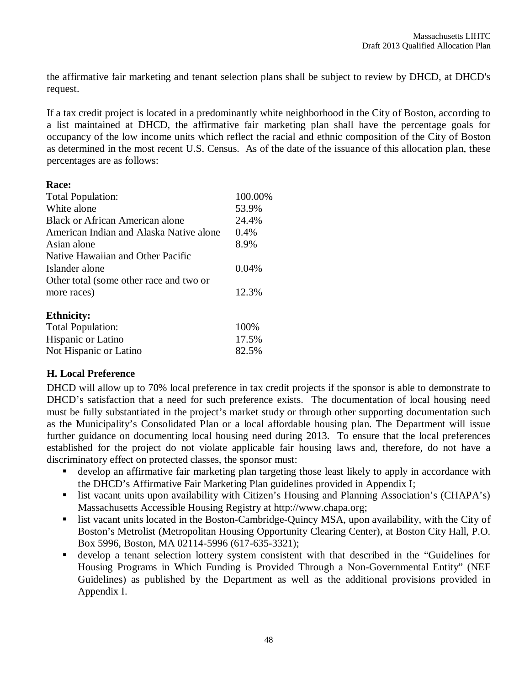the affirmative fair marketing and tenant selection plans shall be subject to review by DHCD, at DHCD's request.

If a tax credit project is located in a predominantly white neighborhood in the City of Boston, according to a list maintained at DHCD, the affirmative fair marketing plan shall have the percentage goals for occupancy of the low income units which reflect the racial and ethnic composition of the City of Boston as determined in the most recent U.S. Census. As of the date of the issuance of this allocation plan, these percentages are as follows:

#### **Race:**

| Total Population:                       | 100.00% |
|-----------------------------------------|---------|
| White alone                             | 53.9%   |
| Black or African American alone         | 24.4%   |
| American Indian and Alaska Native alone | 0.4%    |
| Asian alone                             | 8.9%    |
| Native Hawaiian and Other Pacific       |         |
| Islander alone                          | 0.04%   |
| Other total (some other race and two or |         |
| more races)                             | 12.3%   |
| <b>Ethnicity:</b>                       |         |
| <b>Total Population:</b>                | 100%    |
| <b>Hispanic or Latino</b>               | 17.5%   |

Not Hispanic or Latino 82.5%

# **H. Local Preference**

DHCD will allow up to 70% local preference in tax credit projects if the sponsor is able to demonstrate to DHCD's satisfaction that a need for such preference exists. The documentation of local housing need must be fully substantiated in the project's market study or through other supporting documentation such as the Municipality's Consolidated Plan or a local affordable housing plan. The Department will issue further guidance on documenting local housing need during 2013. To ensure that the local preferences established for the project do not violate applicable fair housing laws and, therefore, do not have a discriminatory effect on protected classes, the sponsor must:

- develop an affirmative fair marketing plan targeting those least likely to apply in accordance with the DHCD's Affirmative Fair Marketing Plan guidelines provided in Appendix I;
- list vacant units upon availability with Citizen's Housing and Planning Association's (CHAPA's) Massachusetts Accessible Housing Registry at http://www.chapa.org;
- list vacant units located in the Boston-Cambridge-Quincy MSA, upon availability, with the City of Boston's Metrolist (Metropolitan Housing Opportunity Clearing Center), at Boston City Hall, P.O. Box 5996, Boston, MA 02114-5996 (617-635-3321);
- develop a tenant selection lottery system consistent with that described in the "Guidelines for Housing Programs in Which Funding is Provided Through a Non-Governmental Entity" (NEF Guidelines) as published by the Department as well as the additional provisions provided in Appendix I.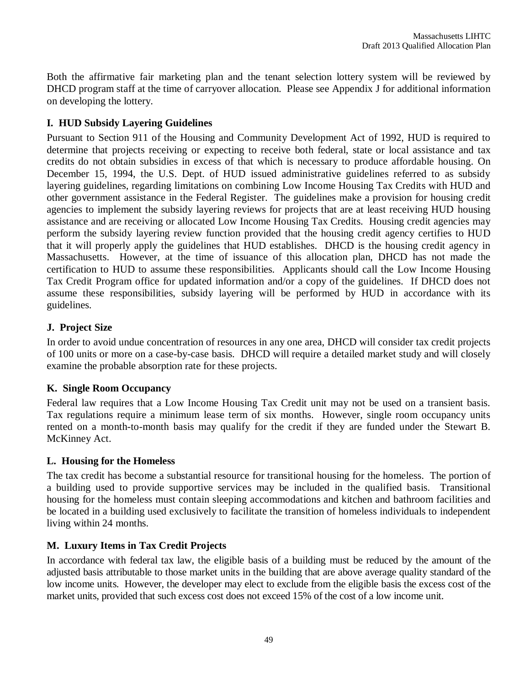Both the affirmative fair marketing plan and the tenant selection lottery system will be reviewed by DHCD program staff at the time of carryover allocation. Please see Appendix J for additional information on developing the lottery.

# **I. HUD Subsidy Layering Guidelines**

Pursuant to Section 911 of the Housing and Community Development Act of 1992, HUD is required to determine that projects receiving or expecting to receive both federal, state or local assistance and tax credits do not obtain subsidies in excess of that which is necessary to produce affordable housing. On December 15, 1994, the U.S. Dept. of HUD issued administrative guidelines referred to as subsidy layering guidelines, regarding limitations on combining Low Income Housing Tax Credits with HUD and other government assistance in the Federal Register. The guidelines make a provision for housing credit agencies to implement the subsidy layering reviews for projects that are at least receiving HUD housing assistance and are receiving or allocated Low Income Housing Tax Credits. Housing credit agencies may perform the subsidy layering review function provided that the housing credit agency certifies to HUD that it will properly apply the guidelines that HUD establishes. DHCD is the housing credit agency in Massachusetts. However, at the time of issuance of this allocation plan, DHCD has not made the certification to HUD to assume these responsibilities. Applicants should call the Low Income Housing Tax Credit Program office for updated information and/or a copy of the guidelines. If DHCD does not assume these responsibilities, subsidy layering will be performed by HUD in accordance with its guidelines.

# **J. Project Size**

In order to avoid undue concentration of resources in any one area, DHCD will consider tax credit projects of 100 units or more on a case-by-case basis. DHCD will require a detailed market study and will closely examine the probable absorption rate for these projects.

# **K. Single Room Occupancy**

Federal law requires that a Low Income Housing Tax Credit unit may not be used on a transient basis. Tax regulations require a minimum lease term of six months. However, single room occupancy units rented on a month-to-month basis may qualify for the credit if they are funded under the Stewart B. McKinney Act.

# **L. Housing for the Homeless**

The tax credit has become a substantial resource for transitional housing for the homeless. The portion of a building used to provide supportive services may be included in the qualified basis. Transitional housing for the homeless must contain sleeping accommodations and kitchen and bathroom facilities and be located in a building used exclusively to facilitate the transition of homeless individuals to independent living within 24 months.

# **M. Luxury Items in Tax Credit Projects**

In accordance with federal tax law, the eligible basis of a building must be reduced by the amount of the adjusted basis attributable to those market units in the building that are above average quality standard of the low income units. However, the developer may elect to exclude from the eligible basis the excess cost of the market units, provided that such excess cost does not exceed 15% of the cost of a low income unit.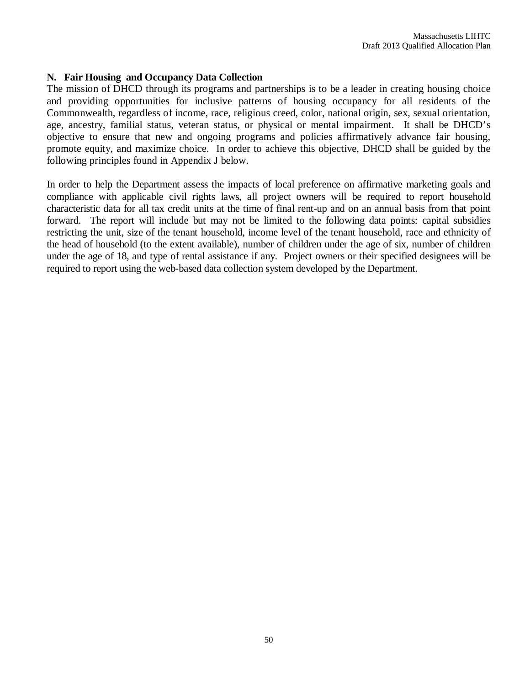#### **N. Fair Housing and Occupancy Data Collection**

The mission of DHCD through its programs and partnerships is to be a leader in creating housing choice and providing opportunities for inclusive patterns of housing occupancy for all residents of the Commonwealth, regardless of income, race, religious creed, color, national origin, sex, sexual orientation, age, ancestry, familial status, veteran status, or physical or mental impairment. It shall be DHCD's objective to ensure that new and ongoing programs and policies affirmatively advance fair housing, promote equity, and maximize choice. In order to achieve this objective, DHCD shall be guided by the following principles found in Appendix J below.

In order to help the Department assess the impacts of local preference on affirmative marketing goals and compliance with applicable civil rights laws, all project owners will be required to report household characteristic data for all tax credit units at the time of final rent-up and on an annual basis from that point forward. The report will include but may not be limited to the following data points: capital subsidies restricting the unit, size of the tenant household, income level of the tenant household, race and ethnicity of the head of household (to the extent available), number of children under the age of six, number of children under the age of 18, and type of rental assistance if any. Project owners or their specified designees will be required to report using the web-based data collection system developed by the Department.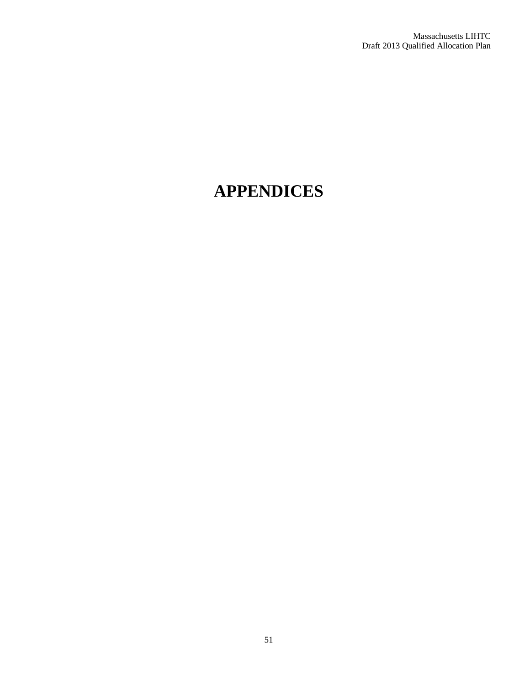# **APPENDICES**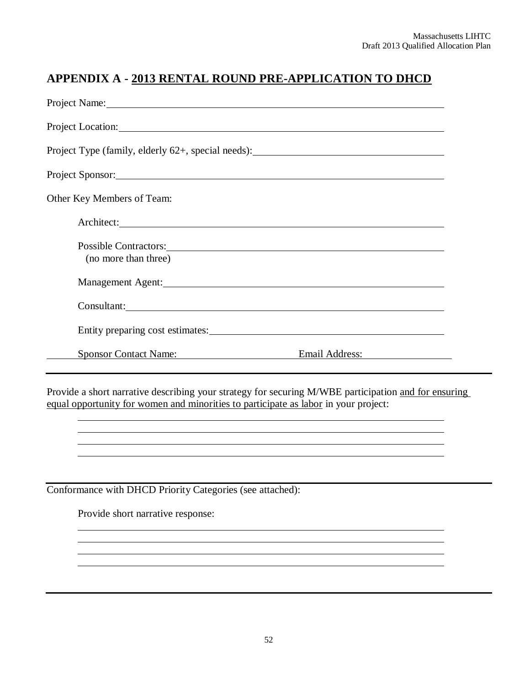# **APPENDIX A - 2013 RENTAL ROUND PRE-APPLICATION TO DHCD**

| Project Location: New York Contract Contract Contract Contract Contract Contract Contract Contract Contract Contract Contract Contract Contract Contract Contract Contract Contract Contract Contract Contract Contract Contra                         |                |  |  |  |  |
|--------------------------------------------------------------------------------------------------------------------------------------------------------------------------------------------------------------------------------------------------------|----------------|--|--|--|--|
| Project Type (family, elderly 62+, special needs): ______________________________                                                                                                                                                                      |                |  |  |  |  |
| Project Sponsor: 2000 and 2000 and 2000 and 2000 and 2000 and 2000 and 2000 and 2000 and 2000 and 2000 and 200                                                                                                                                         |                |  |  |  |  |
| Other Key Members of Team:                                                                                                                                                                                                                             |                |  |  |  |  |
| Architect: <u>Contractions</u>                                                                                                                                                                                                                         |                |  |  |  |  |
| Possible Contractors: 2000 and 2000 and 2000 and 2000 and 2000 and 2000 and 2000 and 2000 and 2000 and 2000 and 2000 and 2000 and 2000 and 2000 and 2000 and 2000 and 2000 and 2000 and 2000 and 2000 and 2000 and 2000 and 20<br>(no more than three) |                |  |  |  |  |
| Management Agent: 1997 and 1997 and 1997 and 1997 and 1997 and 1997 and 1997 and 1997 and 1997 and 1997 and 19                                                                                                                                         |                |  |  |  |  |
| Consultant: Consultant Consultant Consultant Consultant Consultant Consultant Consultant Consultant Consultant                                                                                                                                         |                |  |  |  |  |
| Entity preparing cost estimates: University of the set of the set of the set of the set of the set of the set of the set of the set of the set of the set of the set of the set of the set of the set of the set of the set of                         |                |  |  |  |  |
| <b>Sponsor Contact Name:</b>                                                                                                                                                                                                                           | Email Address: |  |  |  |  |

Provide a short narrative describing your strategy for securing M/WBE participation and for ensuring equal opportunity for women and minorities to participate as labor in your project:

Conformance with DHCD Priority Categories (see attached):

Provide short narrative response: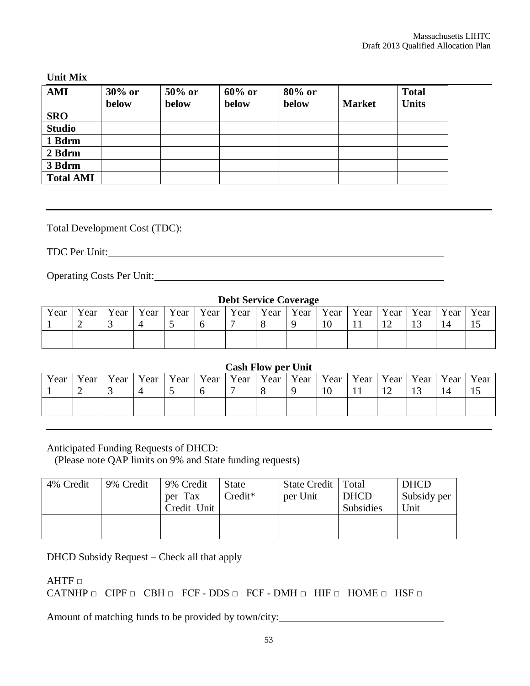#### **Unit Mix**

| <b>AMI</b>       | $30\%$ or<br>below | 50% or<br>below | $60\%$ or<br>below | 80% or<br>below | <b>Market</b> | <b>Total</b><br><b>Units</b> |
|------------------|--------------------|-----------------|--------------------|-----------------|---------------|------------------------------|
| <b>SRO</b>       |                    |                 |                    |                 |               |                              |
| <b>Studio</b>    |                    |                 |                    |                 |               |                              |
| 1 Bdrm           |                    |                 |                    |                 |               |                              |
| 2 Bdrm           |                    |                 |                    |                 |               |                              |
| 3 Bdrm           |                    |                 |                    |                 |               |                              |
| <b>Total AMI</b> |                    |                 |                    |                 |               |                              |

Total Development Cost (TDC):

TDC Per Unit:

Operating Costs Per Unit:

| <b>Debt Service Coverage</b> |      |      |      |      |      |      |             |      |                    |      |      |
|------------------------------|------|------|------|------|------|------|-------------|------|--------------------|------|------|
| Year                         | Year | Year | Year | Year | Year | Year | Year   Year | Year | Year   Year   Year | Year | Year |
|                              |      |      |      |      |      |      |             | 10   |                    |      |      |
|                              |      |      |      |      |      |      |             |      |                    |      |      |

#### **Cash Flow per Unit**

| Year | Year | Year | Year | Year | Year | Year   Year | $\vert$ Year $\vert$ | Year   Year   Year   Year   Year |   |  | Year |
|------|------|------|------|------|------|-------------|----------------------|----------------------------------|---|--|------|
|      | ∸    |      |      |      |      |             |                      | 10                               | ∸ |  | ΠJ   |
|      |      |      |      |      |      |             |                      |                                  |   |  |      |

Anticipated Funding Requests of DHCD:

(Please note QAP limits on 9% and State funding requests)

| 4% Credit | 9% Credit | 9% Credit<br>per Tax<br>Credit Unit | <b>State</b><br>$Credit*$ | State Credit   Total<br>per Unit | <b>DHCD</b><br><b>Subsidies</b> | <b>DHCD</b><br>Subsidy per<br>Unit |
|-----------|-----------|-------------------------------------|---------------------------|----------------------------------|---------------------------------|------------------------------------|
|           |           |                                     |                           |                                  |                                 |                                    |

DHCD Subsidy Request – Check all that apply

 $\mathsf{AHTF}\ \Box$ 

CATNHP  $\Box$  CIPF  $\Box$  CBH  $\Box$  FCF - DDS  $\Box$  FCF - DMH  $\Box$  HIF  $\Box$  HOME  $\Box$  HSF  $\Box$ 

Amount of matching funds to be provided by town/city: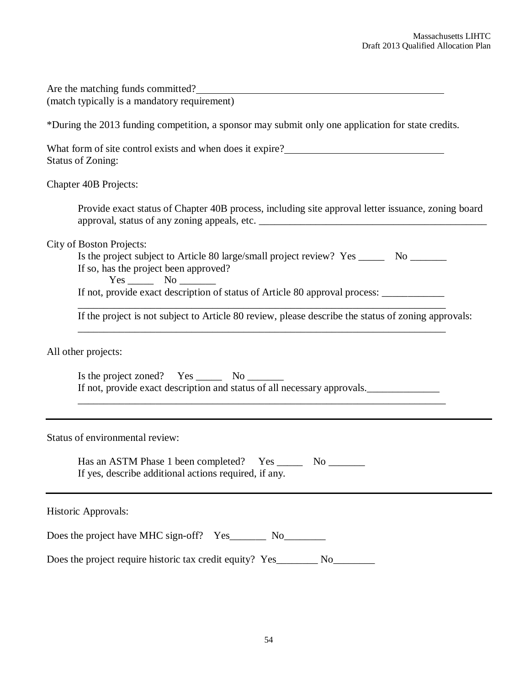| Are the matching funds committed?<br>(match typically is a mandatory requirement)                                                                                                                                                                                                                                                                                        |  |  |  |  |
|--------------------------------------------------------------------------------------------------------------------------------------------------------------------------------------------------------------------------------------------------------------------------------------------------------------------------------------------------------------------------|--|--|--|--|
| *During the 2013 funding competition, a sponsor may submit only one application for state credits.                                                                                                                                                                                                                                                                       |  |  |  |  |
| What form of site control exists and when does it expire?<br><b>Status of Zoning:</b>                                                                                                                                                                                                                                                                                    |  |  |  |  |
| Chapter 40B Projects:                                                                                                                                                                                                                                                                                                                                                    |  |  |  |  |
| Provide exact status of Chapter 40B process, including site approval letter issuance, zoning board                                                                                                                                                                                                                                                                       |  |  |  |  |
| <b>City of Boston Projects:</b><br>Is the project subject to Article 80 large/small project review? Yes ________ No ________<br>If so, has the project been approved?<br>If not, provide exact description of status of Article 80 approval process: ____________<br>If the project is not subject to Article 80 review, please describe the status of zoning approvals: |  |  |  |  |
| All other projects:                                                                                                                                                                                                                                                                                                                                                      |  |  |  |  |
| Is the project zoned? Yes _________ No __________<br>If not, provide exact description and status of all necessary approvals.                                                                                                                                                                                                                                            |  |  |  |  |
| Status of environmental review:                                                                                                                                                                                                                                                                                                                                          |  |  |  |  |
| Has an ASTM Phase 1 been completed? Yes<br>N <sub>0</sub><br>If yes, describe additional actions required, if any.                                                                                                                                                                                                                                                       |  |  |  |  |
| Historic Approvals:                                                                                                                                                                                                                                                                                                                                                      |  |  |  |  |
| Does the project have MHC sign-off? Yes__________ No____________                                                                                                                                                                                                                                                                                                         |  |  |  |  |
| No                                                                                                                                                                                                                                                                                                                                                                       |  |  |  |  |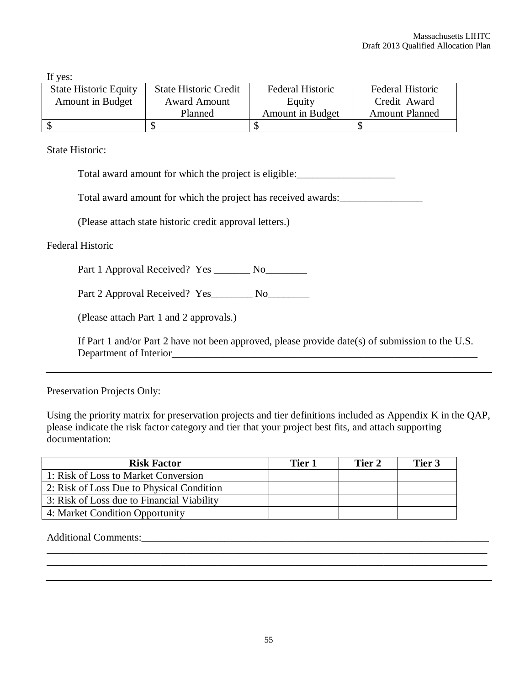If yes:

| <b>State Historic Equity</b> | <b>State Historic Credit</b> | Federal Historic | Federal Historic      |
|------------------------------|------------------------------|------------------|-----------------------|
| Amount in Budget             | <b>Award Amount</b>          | Equity           | Credit Award          |
|                              | Planned                      | Amount in Budget | <b>Amount Planned</b> |
|                              |                              |                  |                       |

State Historic:

Total award amount for which the project is eligible:\_\_\_\_\_\_\_\_\_\_\_\_\_\_\_\_\_\_\_

Total award amount for which the project has received awards:\_\_\_\_\_\_\_\_\_\_\_\_\_\_\_\_\_\_\_

(Please attach state historic credit approval letters.)

Federal Historic

Part 1 Approval Received? Yes \_\_\_\_\_\_\_ No\_\_\_\_\_\_\_\_

Part 2 Approval Received? Yes\_\_\_\_\_\_\_\_ No\_\_\_\_\_\_\_\_\_

(Please attach Part 1 and 2 approvals.)

If Part 1 and/or Part 2 have not been approved, please provide date(s) of submission to the U.S. Department of Interior

Preservation Projects Only:

Using the priority matrix for preservation projects and tier definitions included as Appendix K in the QAP, please indicate the risk factor category and tier that your project best fits, and attach supporting documentation:

| <b>Risk Factor</b>                         | Tier 1 | Tier 2 | Tier 3 |
|--------------------------------------------|--------|--------|--------|
| 1: Risk of Loss to Market Conversion       |        |        |        |
| 2: Risk of Loss Due to Physical Condition  |        |        |        |
| 3: Risk of Loss due to Financial Viability |        |        |        |
| 4: Market Condition Opportunity            |        |        |        |
|                                            |        |        |        |

Additional Comments:\_\_\_\_\_\_\_\_\_\_\_\_\_\_\_\_\_\_\_\_\_\_\_\_\_\_\_\_\_\_\_\_\_\_\_\_\_\_\_\_\_\_\_\_\_\_\_\_\_\_\_\_\_\_\_\_\_\_\_\_\_\_\_\_\_\_\_

\_\_\_\_\_\_\_\_\_\_\_\_\_\_\_\_\_\_\_\_\_\_\_\_\_\_\_\_\_\_\_\_\_\_\_\_\_\_\_\_\_\_\_\_\_\_\_\_\_\_\_\_\_\_\_\_\_\_\_\_\_\_\_\_\_\_\_\_\_\_\_\_\_\_\_\_\_\_\_\_\_\_\_\_\_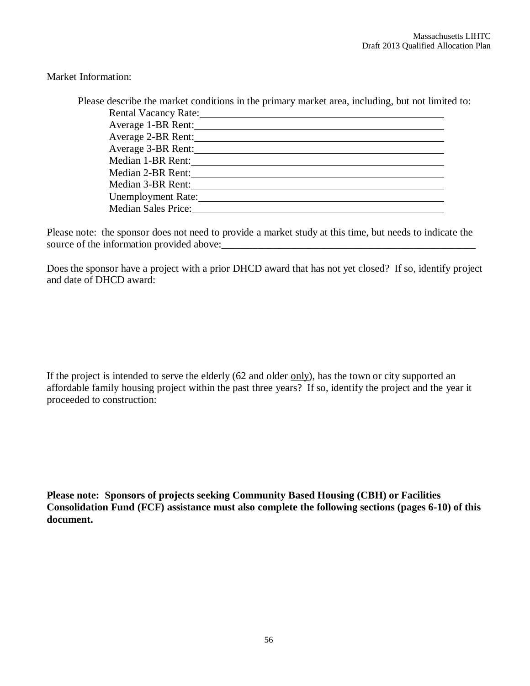Market Information:

| Please describe the market conditions in the primary market area, including, but not limited to:                                                                                                                               |  |
|--------------------------------------------------------------------------------------------------------------------------------------------------------------------------------------------------------------------------------|--|
| Rental Vacancy Rate: Manual Communication of the Communication of the Communication of the Communication of the Communication of the Communication of the Communication of the Communication of the Communication of the Commu |  |
| Average 1-BR Rent:                                                                                                                                                                                                             |  |
| Average 2-BR Rent:                                                                                                                                                                                                             |  |
| Average 3-BR Rent:                                                                                                                                                                                                             |  |
| Median 1-BR Rent:                                                                                                                                                                                                              |  |
| Median 2-BR Rent:                                                                                                                                                                                                              |  |
| Median 3-BR Rent:                                                                                                                                                                                                              |  |
| Unemployment Rate:                                                                                                                                                                                                             |  |
| <b>Median Sales Price:</b>                                                                                                                                                                                                     |  |
|                                                                                                                                                                                                                                |  |

Please note: the sponsor does not need to provide a market study at this time, but needs to indicate the source of the information provided above:

Does the sponsor have a project with a prior DHCD award that has not yet closed? If so, identify project and date of DHCD award:

If the project is intended to serve the elderly  $(62 \text{ and older only})$ , has the town or city supported an affordable family housing project within the past three years? If so, identify the project and the year it proceeded to construction:

**Please note: Sponsors of projects seeking Community Based Housing (CBH) or Facilities Consolidation Fund (FCF) assistance must also complete the following sections (pages 6-10) of this document.**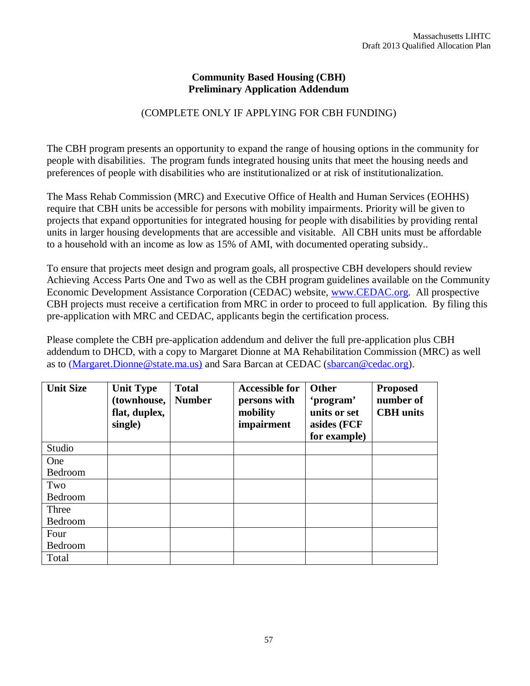#### **Community Based Housing (CBH) Preliminary Application Addendum**

# (COMPLETE ONLY IF APPLYING FOR CBH FUNDING)

The CBH program presents an opportunity to expand the range of housing options in the community for people with disabilities. The program funds integrated housing units that meet the housing needs and preferences of people with disabilities who are institutionalized or at risk of institutionalization.

The Mass Rehab Commission (MRC) and Executive Office of Health and Human Services (EOHHS) require that CBH units be accessible for persons with mobility impairments. Priority will be given to projects that expand opportunities for integrated housing for people with disabilities by providing rental units in larger housing developments that are accessible and visitable. All CBH units must be affordable to a household with an income as low as 15% of AMI, with documented operating subsidy..

To ensure that projects meet design and program goals, all prospective CBH developers should review Achieving Access Parts One and Two as well as the CBH program guidelines available on the Community Economic Development Assistance Corporation (CEDAC) website, www.CEDAC.org. All prospective CBH projects must receive a certification from MRC in order to proceed to full application. By filing this pre-application with MRC and CEDAC, applicants begin the certification process.

Please complete the CBH pre-application addendum and deliver the full pre-application plus CBH addendum to DHCD, with a copy to Margaret Dionne at MA Rehabilitation Commission (MRC) as well as to (Margaret.Dionne@state.ma.us) and Sara Barcan at CEDAC (sbarcan@cedac.org).

| <b>Unit Size</b> | <b>Unit Type</b><br>(townhouse,<br>flat, duplex,<br>single) | <b>Total</b><br><b>Number</b> | <b>Accessible for</b><br>persons with<br>mobility<br>impairment | Other<br>'program'<br>units or set<br>asides (FCF<br>for example) | <b>Proposed</b><br>number of<br><b>CBH</b> units |
|------------------|-------------------------------------------------------------|-------------------------------|-----------------------------------------------------------------|-------------------------------------------------------------------|--------------------------------------------------|
| Studio           |                                                             |                               |                                                                 |                                                                   |                                                  |
| One              |                                                             |                               |                                                                 |                                                                   |                                                  |
| Bedroom          |                                                             |                               |                                                                 |                                                                   |                                                  |
| Two              |                                                             |                               |                                                                 |                                                                   |                                                  |
| Bedroom          |                                                             |                               |                                                                 |                                                                   |                                                  |
| Three            |                                                             |                               |                                                                 |                                                                   |                                                  |
| Bedroom          |                                                             |                               |                                                                 |                                                                   |                                                  |
| Four             |                                                             |                               |                                                                 |                                                                   |                                                  |
|                  |                                                             |                               |                                                                 |                                                                   |                                                  |
| Bedroom<br>Total |                                                             |                               |                                                                 |                                                                   |                                                  |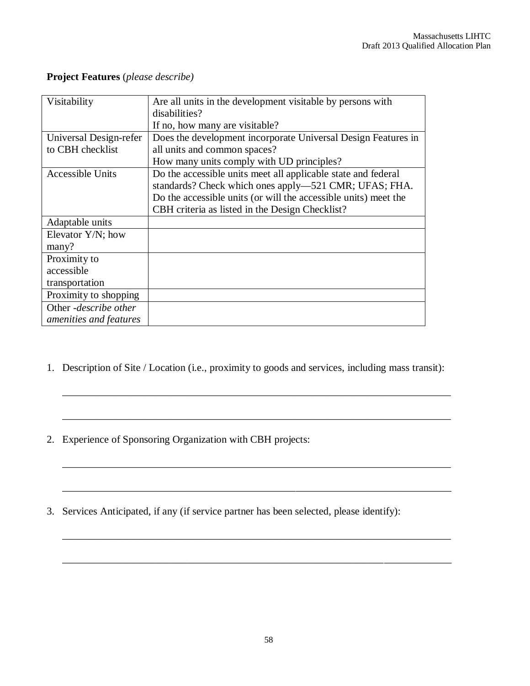| Visitability           | Are all units in the development visitable by persons with      |
|------------------------|-----------------------------------------------------------------|
|                        | disabilities?                                                   |
|                        | If no, how many are visitable?                                  |
| Universal Design-refer | Does the development incorporate Universal Design Features in   |
| to CBH checklist       | all units and common spaces?                                    |
|                        | How many units comply with UD principles?                       |
| Accessible Units       | Do the accessible units meet all applicable state and federal   |
|                        | standards? Check which ones apply—521 CMR; UFAS; FHA.           |
|                        | Do the accessible units (or will the accessible units) meet the |
|                        | CBH criteria as listed in the Design Checklist?                 |
| Adaptable units        |                                                                 |
| Elevator $Y/N$ ; how   |                                                                 |
| many?                  |                                                                 |
| Proximity to           |                                                                 |
| accessible             |                                                                 |
| transportation         |                                                                 |
| Proximity to shopping  |                                                                 |
| Other -describe other  |                                                                 |
| amenities and features |                                                                 |

# **Project Features** (*please describe)*

1. Description of Site / Location (i.e., proximity to goods and services, including mass transit):

\_\_\_\_\_\_\_\_\_\_\_\_\_\_\_\_\_\_\_\_\_\_\_\_\_\_\_\_\_\_\_\_\_\_\_\_\_\_\_\_\_\_\_\_\_\_\_\_\_\_\_\_\_\_\_\_\_\_\_\_\_\_\_\_\_\_\_\_\_\_\_\_\_\_\_

\_\_\_\_\_\_\_\_\_\_\_\_\_\_\_\_\_\_\_\_\_\_\_\_\_\_\_\_\_\_\_\_\_\_\_\_\_\_\_\_\_\_\_\_\_\_\_\_\_\_\_\_\_\_\_\_\_\_\_\_\_\_\_\_\_\_\_\_\_\_\_\_\_\_\_

\_\_\_\_\_\_\_\_\_\_\_\_\_\_\_\_\_\_\_\_\_\_\_\_\_\_\_\_\_\_\_\_\_\_\_\_\_\_\_\_\_\_\_\_\_\_\_\_\_\_\_\_\_\_\_\_\_\_\_\_\_\_\_\_\_\_\_\_\_\_\_\_\_\_\_

\_\_\_\_\_\_\_\_\_\_\_\_\_\_\_\_\_\_\_\_\_\_\_\_\_\_\_\_\_\_\_\_\_\_\_\_\_\_\_\_\_\_\_\_\_\_\_\_\_\_\_\_\_\_\_\_\_\_\_\_\_\_\_\_\_\_\_\_\_\_\_\_\_\_\_

- 2. Experience of Sponsoring Organization with CBH projects:
- 3. Services Anticipated, if any (if service partner has been selected, please identify):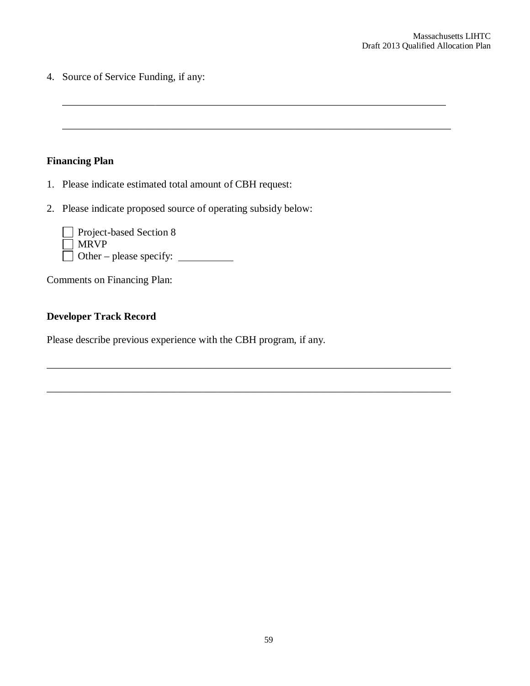4. Source of Service Funding, if any:

# **Financing Plan**

- 1. Please indicate estimated total amount of CBH request:
- 2. Please indicate proposed source of operating subsidy below:

\_\_\_\_\_\_\_\_\_\_\_\_\_\_\_\_\_\_\_\_\_\_\_\_\_\_\_\_\_\_\_\_\_\_\_\_\_\_\_\_\_\_\_\_\_\_\_\_\_\_\_\_\_\_\_\_\_\_\_\_\_\_\_\_\_\_\_\_\_\_\_\_\_\_

\_\_\_\_\_\_\_\_\_\_\_\_\_\_\_\_\_\_\_\_\_\_\_\_\_\_\_\_\_\_\_\_\_\_\_\_\_\_\_\_\_\_\_\_\_\_\_\_\_\_\_\_\_\_\_\_\_\_\_\_\_\_\_\_\_\_\_\_\_\_\_\_\_\_\_

\_\_\_\_\_\_\_\_\_\_\_\_\_\_\_\_\_\_\_\_\_\_\_\_\_\_\_\_\_\_\_\_\_\_\_\_\_\_\_\_\_\_\_\_\_\_\_\_\_\_\_\_\_\_\_\_\_\_\_\_\_\_\_\_\_\_\_\_\_\_\_\_\_\_\_\_\_\_

\_\_\_\_\_\_\_\_\_\_\_\_\_\_\_\_\_\_\_\_\_\_\_\_\_\_\_\_\_\_\_\_\_\_\_\_\_\_\_\_\_\_\_\_\_\_\_\_\_\_\_\_\_\_\_\_\_\_\_\_\_\_\_\_\_\_\_\_\_\_\_\_\_\_\_\_\_\_

| $\Box$ Project-based Section 8 |  |
|--------------------------------|--|
| $\Box$ MRVP                    |  |
| $\Box$ Other – please specify: |  |

Comments on Financing Plan:

# **Developer Track Record**

Please describe previous experience with the CBH program, if any.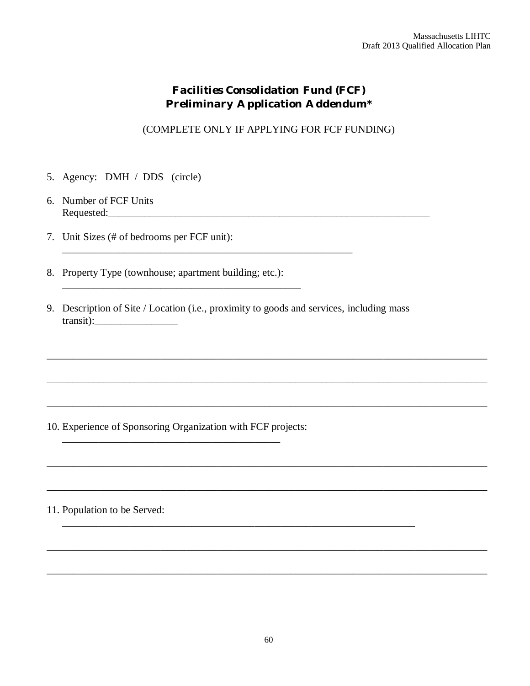# *Facilities Consolidation Fund (FCF) Preliminary Application Addendum\**

(COMPLETE ONLY IF APPLYING FOR FCF FUNDING)

- 5. Agency: DMH / DDS (circle)
- 6. Number of FCF Units Requested:\_\_\_\_\_\_\_\_\_\_\_\_\_\_\_\_\_\_\_\_\_\_\_\_\_\_\_\_\_\_\_\_\_\_\_\_\_\_\_\_\_\_\_\_\_\_\_\_\_\_\_\_\_\_\_\_\_\_\_\_\_\_
- 7. Unit Sizes (# of bedrooms per FCF unit):
- 8. Property Type (townhouse; apartment building; etc.):

\_\_\_\_\_\_\_\_\_\_\_\_\_\_\_\_\_\_\_\_\_\_\_\_\_\_\_\_\_\_\_\_\_\_\_\_\_\_\_\_\_\_\_\_\_\_

9. Description of Site / Location (i.e., proximity to goods and services, including mass transit):\_\_\_\_\_\_\_\_\_\_\_\_\_\_\_\_

\_\_\_\_\_\_\_\_\_\_\_\_\_\_\_\_\_\_\_\_\_\_\_\_\_\_\_\_\_\_\_\_\_\_\_\_\_\_\_\_\_\_\_\_\_\_\_\_\_\_\_\_\_\_\_\_\_\_\_\_\_\_\_\_\_\_\_\_\_\_\_\_\_\_\_\_\_\_\_\_\_\_\_\_\_

\_\_\_\_\_\_\_\_\_\_\_\_\_\_\_\_\_\_\_\_\_\_\_\_\_\_\_\_\_\_\_\_\_\_\_\_\_\_\_\_\_\_\_\_\_\_\_\_\_\_\_\_\_\_\_\_\_\_\_\_\_\_\_\_\_\_\_\_\_\_\_\_\_\_\_\_\_\_\_\_\_\_\_\_\_

\_\_\_\_\_\_\_\_\_\_\_\_\_\_\_\_\_\_\_\_\_\_\_\_\_\_\_\_\_\_\_\_\_\_\_\_\_\_\_\_\_\_\_\_\_\_\_\_\_\_\_\_\_\_\_\_\_\_\_\_\_\_\_\_\_\_\_\_\_\_\_\_\_\_\_\_\_\_\_\_\_\_\_\_\_

\_\_\_\_\_\_\_\_\_\_\_\_\_\_\_\_\_\_\_\_\_\_\_\_\_\_\_\_\_\_\_\_\_\_\_\_\_\_\_\_\_\_\_\_\_\_\_\_\_\_\_\_\_\_\_\_\_\_\_\_\_\_\_\_\_\_\_\_\_\_\_\_\_\_\_\_\_\_\_\_\_\_\_\_\_

\_\_\_\_\_\_\_\_\_\_\_\_\_\_\_\_\_\_\_\_\_\_\_\_\_\_\_\_\_\_\_\_\_\_\_\_\_\_\_\_\_\_\_\_\_\_\_\_\_\_\_\_\_\_\_\_\_\_\_\_\_\_\_\_\_\_\_\_\_\_\_\_\_\_\_\_\_\_\_\_\_\_\_\_\_

\_\_\_\_\_\_\_\_\_\_\_\_\_\_\_\_\_\_\_\_\_\_\_\_\_\_\_\_\_\_\_\_\_\_\_\_\_\_\_\_\_\_\_\_\_\_\_\_\_\_\_\_\_\_\_\_\_\_\_\_\_\_\_\_\_\_\_\_\_\_\_\_\_\_\_\_\_\_\_\_\_\_\_\_\_

\_\_\_\_\_\_\_\_\_\_\_\_\_\_\_\_\_\_\_\_\_\_\_\_\_\_\_\_\_\_\_\_\_\_\_\_\_\_\_\_\_\_\_\_\_\_\_\_\_\_\_\_\_\_\_\_\_\_\_\_\_\_\_\_\_\_\_\_\_\_\_\_\_\_\_\_\_\_\_\_\_\_\_\_\_

\_\_\_\_\_\_\_\_\_\_\_\_\_\_\_\_\_\_\_\_\_\_\_\_\_\_\_\_\_\_\_\_\_\_\_\_\_\_\_\_\_\_\_\_\_\_\_\_\_\_\_\_\_\_\_\_\_\_\_\_\_\_\_\_\_\_\_\_

\_\_\_\_\_\_\_\_\_\_\_\_\_\_\_\_\_\_\_\_\_\_\_\_\_\_\_\_\_\_\_\_\_\_\_\_\_\_\_\_\_\_\_\_\_\_\_\_\_\_\_\_\_\_\_\_

10. Experience of Sponsoring Organization with FCF projects:

\_\_\_\_\_\_\_\_\_\_\_\_\_\_\_\_\_\_\_\_\_\_\_\_\_\_\_\_\_\_\_\_\_\_\_\_\_\_\_\_\_\_

11. Population to be Served: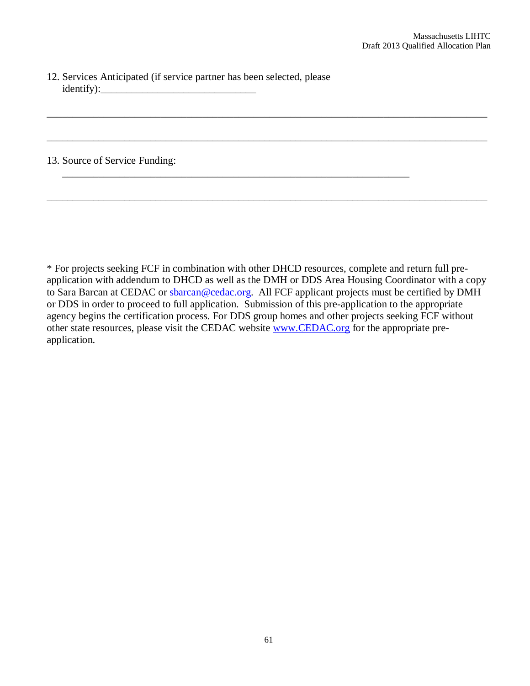12. Services Anticipated (if service partner has been selected, please  $identity):$ 

#### 13. Source of Service Funding:

\* For projects seeking FCF in combination with other DHCD resources, complete and return full preapplication with addendum to DHCD as well as the DMH or DDS Area Housing Coordinator with a copy to Sara Barcan at CEDAC or sbarcan@cedac.org. All FCF applicant projects must be certified by DMH or DDS in order to proceed to full application. Submission of this pre-application to the appropriate agency begins the certification process. For DDS group homes and other projects seeking FCF without other state resources, please visit the CEDAC website www.CEDAC.org for the appropriate preapplication.

\_\_\_\_\_\_\_\_\_\_\_\_\_\_\_\_\_\_\_\_\_\_\_\_\_\_\_\_\_\_\_\_\_\_\_\_\_\_\_\_\_\_\_\_\_\_\_\_\_\_\_\_\_\_\_\_\_\_\_\_\_\_\_\_\_\_\_\_\_\_\_\_\_\_\_\_\_\_\_\_\_\_\_\_\_

\_\_\_\_\_\_\_\_\_\_\_\_\_\_\_\_\_\_\_\_\_\_\_\_\_\_\_\_\_\_\_\_\_\_\_\_\_\_\_\_\_\_\_\_\_\_\_\_\_\_\_\_\_\_\_\_\_\_\_\_\_\_\_\_\_\_\_\_\_\_\_\_\_\_\_\_\_\_\_\_\_\_\_\_\_

\_\_\_\_\_\_\_\_\_\_\_\_\_\_\_\_\_\_\_\_\_\_\_\_\_\_\_\_\_\_\_\_\_\_\_\_\_\_\_\_\_\_\_\_\_\_\_\_\_\_\_\_\_\_\_\_\_\_\_\_\_\_\_\_\_\_\_\_\_\_\_\_\_\_\_\_\_\_\_\_\_\_\_\_\_

\_\_\_\_\_\_\_\_\_\_\_\_\_\_\_\_\_\_\_\_\_\_\_\_\_\_\_\_\_\_\_\_\_\_\_\_\_\_\_\_\_\_\_\_\_\_\_\_\_\_\_\_\_\_\_\_\_\_\_\_\_\_\_\_\_\_\_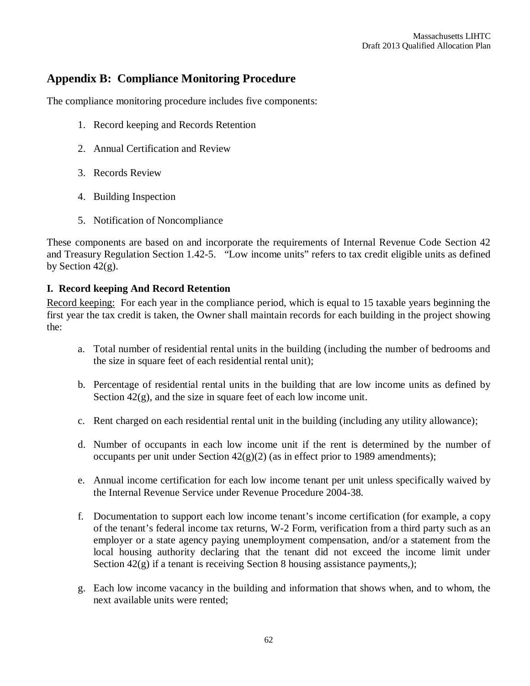# **Appendix B: Compliance Monitoring Procedure**

The compliance monitoring procedure includes five components:

- 1. Record keeping and Records Retention
- 2. Annual Certification and Review
- 3. Records Review
- 4. Building Inspection
- 5. Notification of Noncompliance

These components are based on and incorporate the requirements of Internal Revenue Code Section 42 and Treasury Regulation Section 1.42-5. "Low income units" refers to tax credit eligible units as defined by Section  $42(g)$ .

# **I. Record keeping And Record Retention**

Record keeping: For each year in the compliance period, which is equal to 15 taxable years beginning the first year the tax credit is taken, the Owner shall maintain records for each building in the project showing the:

- a. Total number of residential rental units in the building (including the number of bedrooms and the size in square feet of each residential rental unit);
- b. Percentage of residential rental units in the building that are low income units as defined by Section  $42(g)$ , and the size in square feet of each low income unit.
- c. Rent charged on each residential rental unit in the building (including any utility allowance);
- d. Number of occupants in each low income unit if the rent is determined by the number of occupants per unit under Section  $42(g)(2)$  (as in effect prior to 1989 amendments);
- e. Annual income certification for each low income tenant per unit unless specifically waived by the Internal Revenue Service under Revenue Procedure 2004-38.
- f. Documentation to support each low income tenant's income certification (for example, a copy of the tenant's federal income tax returns, W-2 Form, verification from a third party such as an employer or a state agency paying unemployment compensation, and/or a statement from the local housing authority declaring that the tenant did not exceed the income limit under Section  $42(g)$  if a tenant is receiving Section 8 housing assistance payments,);
- g. Each low income vacancy in the building and information that shows when, and to whom, the next available units were rented;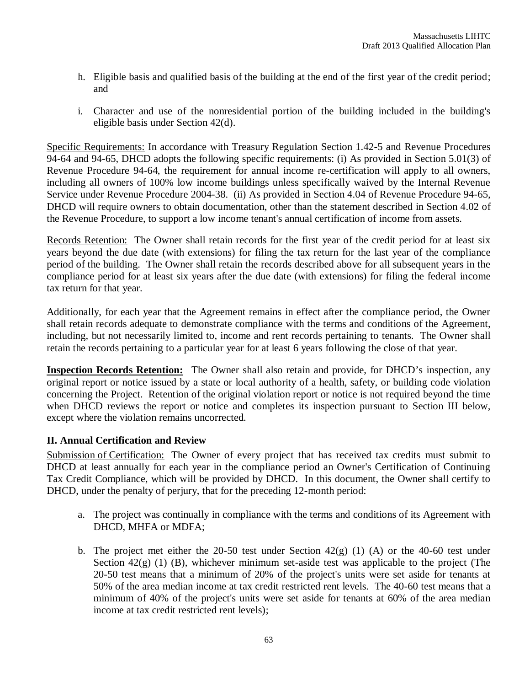- h. Eligible basis and qualified basis of the building at the end of the first year of the credit period; and
- i. Character and use of the nonresidential portion of the building included in the building's eligible basis under Section 42(d).

Specific Requirements: In accordance with Treasury Regulation Section 1.42-5 and Revenue Procedures 94-64 and 94-65, DHCD adopts the following specific requirements: (i) As provided in Section 5.01(3) of Revenue Procedure 94-64, the requirement for annual income re-certification will apply to all owners, including all owners of 100% low income buildings unless specifically waived by the Internal Revenue Service under Revenue Procedure 2004-38. (ii) As provided in Section 4.04 of Revenue Procedure 94-65, DHCD will require owners to obtain documentation, other than the statement described in Section 4.02 of the Revenue Procedure, to support a low income tenant's annual certification of income from assets.

Records Retention: The Owner shall retain records for the first year of the credit period for at least six years beyond the due date (with extensions) for filing the tax return for the last year of the compliance period of the building. The Owner shall retain the records described above for all subsequent years in the compliance period for at least six years after the due date (with extensions) for filing the federal income tax return for that year.

Additionally, for each year that the Agreement remains in effect after the compliance period, the Owner shall retain records adequate to demonstrate compliance with the terms and conditions of the Agreement, including, but not necessarily limited to, income and rent records pertaining to tenants. The Owner shall retain the records pertaining to a particular year for at least 6 years following the close of that year.

**Inspection Records Retention:** The Owner shall also retain and provide, for DHCD's inspection, any original report or notice issued by a state or local authority of a health, safety, or building code violation concerning the Project. Retention of the original violation report or notice is not required beyond the time when DHCD reviews the report or notice and completes its inspection pursuant to Section III below, except where the violation remains uncorrected*.*

# **II. Annual Certification and Review**

Submission of Certification: The Owner of every project that has received tax credits must submit to DHCD at least annually for each year in the compliance period an Owner's Certification of Continuing Tax Credit Compliance, which will be provided by DHCD. In this document, the Owner shall certify to DHCD, under the penalty of perjury, that for the preceding 12-month period:

- a. The project was continually in compliance with the terms and conditions of its Agreement with DHCD, MHFA or MDFA;
- b. The project met either the 20-50 test under Section  $42(g)$  (1) (A) or the 40-60 test under Section  $42(g)$  (1) (B), whichever minimum set-aside test was applicable to the project (The 20-50 test means that a minimum of 20% of the project's units were set aside for tenants at 50% of the area median income at tax credit restricted rent levels. The 40-60 test means that a minimum of 40% of the project's units were set aside for tenants at 60% of the area median income at tax credit restricted rent levels);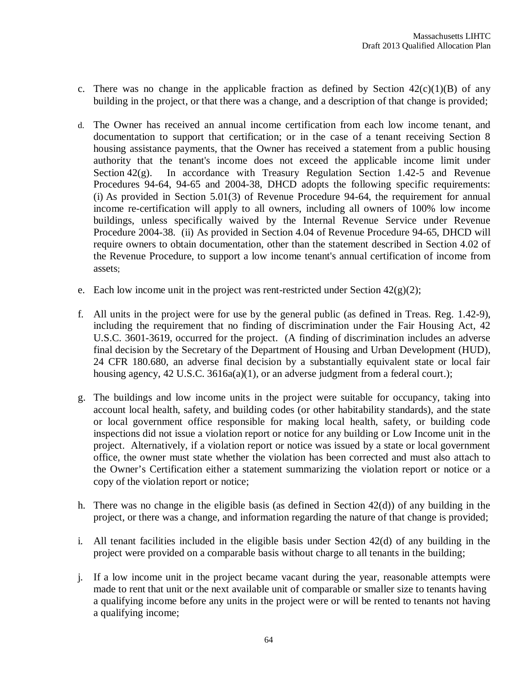- c. There was no change in the applicable fraction as defined by Section  $42(c)(1)(B)$  of any building in the project, or that there was a change, and a description of that change is provided;
- d. The Owner has received an annual income certification from each low income tenant, and documentation to support that certification; or in the case of a tenant receiving Section 8 housing assistance payments, that the Owner has received a statement from a public housing authority that the tenant's income does not exceed the applicable income limit under Section 42(g). In accordance with Treasury Regulation Section 1.42-5 and Revenue Procedures 94-64, 94-65 and 2004-38, DHCD adopts the following specific requirements: (i) As provided in Section 5.01(3) of Revenue Procedure 94-64, the requirement for annual income re-certification will apply to all owners, including all owners of 100% low income buildings, unless specifically waived by the Internal Revenue Service under Revenue Procedure 2004-38. (ii) As provided in Section 4.04 of Revenue Procedure 94-65, DHCD will require owners to obtain documentation, other than the statement described in Section 4.02 of the Revenue Procedure, to support a low income tenant's annual certification of income from assets;
- e. Each low income unit in the project was rent-restricted under Section  $42(g)(2)$ ;
- f. All units in the project were for use by the general public (as defined in Treas. Reg. 1.42-9), including the requirement that no finding of discrimination under the Fair Housing Act, 42 U.S.C. 3601-3619, occurred for the project. (A finding of discrimination includes an adverse final decision by the Secretary of the Department of Housing and Urban Development (HUD), 24 CFR 180.680, an adverse final decision by a substantially equivalent state or local fair housing agency, 42 U.S.C. 3616a(a)(1), or an adverse judgment from a federal court.);
- g. The buildings and low income units in the project were suitable for occupancy, taking into account local health, safety, and building codes (or other habitability standards), and the state or local government office responsible for making local health, safety, or building code inspections did not issue a violation report or notice for any building or Low Income unit in the project. Alternatively, if a violation report or notice was issued by a state or local government office, the owner must state whether the violation has been corrected and must also attach to the Owner's Certification either a statement summarizing the violation report or notice or a copy of the violation report or notice;
- h. There was no change in the eligible basis (as defined in Section 42(d)) of any building in the project, or there was a change, and information regarding the nature of that change is provided;
- i. All tenant facilities included in the eligible basis under Section 42(d) of any building in the project were provided on a comparable basis without charge to all tenants in the building;
- j. If a low income unit in the project became vacant during the year, reasonable attempts were made to rent that unit or the next available unit of comparable or smaller size to tenants having a qualifying income before any units in the project were or will be rented to tenants not having a qualifying income;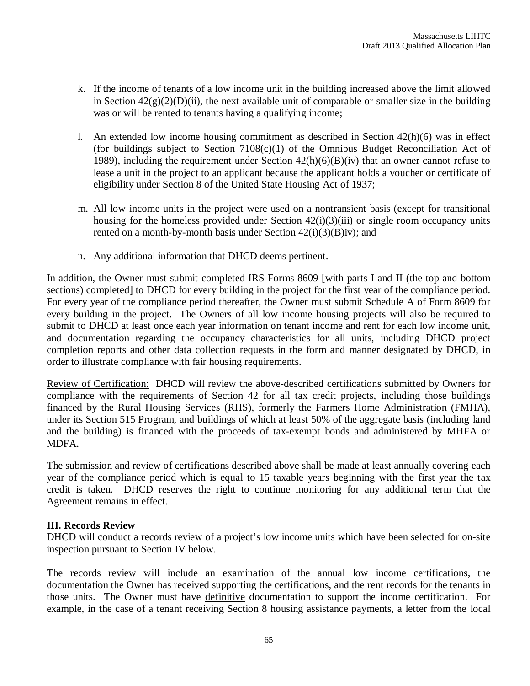- k. If the income of tenants of a low income unit in the building increased above the limit allowed in Section  $42(g)(2)(D)(ii)$ , the next available unit of comparable or smaller size in the building was or will be rented to tenants having a qualifying income;
- l. An extended low income housing commitment as described in Section  $42(h)(6)$  was in effect (for buildings subject to Section 7108(c)(1) of the Omnibus Budget Reconciliation Act of 1989), including the requirement under Section  $42(h)(6)(B)(iv)$  that an owner cannot refuse to lease a unit in the project to an applicant because the applicant holds a voucher or certificate of eligibility under Section 8 of the United State Housing Act of 1937;
- m. All low income units in the project were used on a nontransient basis (except for transitional housing for the homeless provided under Section  $42(i)(3)(iii)$  or single room occupancy units rented on a month-by-month basis under Section  $42(i)(3)(B)iv$ ; and
- n. Any additional information that DHCD deems pertinent.

In addition, the Owner must submit completed IRS Forms 8609 [with parts I and II (the top and bottom sections) completed] to DHCD for every building in the project for the first year of the compliance period. For every year of the compliance period thereafter, the Owner must submit Schedule A of Form 8609 for every building in the project. The Owners of all low income housing projects will also be required to submit to DHCD at least once each year information on tenant income and rent for each low income unit, and documentation regarding the occupancy characteristics for all units, including DHCD project completion reports and other data collection requests in the form and manner designated by DHCD, in order to illustrate compliance with fair housing requirements.

Review of Certification: DHCD will review the above-described certifications submitted by Owners for compliance with the requirements of Section 42 for all tax credit projects, including those buildings financed by the Rural Housing Services (RHS), formerly the Farmers Home Administration (FMHA), under its Section 515 Program, and buildings of which at least 50% of the aggregate basis (including land and the building) is financed with the proceeds of tax-exempt bonds and administered by MHFA or MDFA.

The submission and review of certifications described above shall be made at least annually covering each year of the compliance period which is equal to 15 taxable years beginning with the first year the tax credit is taken. DHCD reserves the right to continue monitoring for any additional term that the Agreement remains in effect.

#### **III. Records Review**

DHCD will conduct a records review of a project's low income units which have been selected for on-site inspection pursuant to Section IV below.

The records review will include an examination of the annual low income certifications, the documentation the Owner has received supporting the certifications, and the rent records for the tenants in those units. The Owner must have definitive documentation to support the income certification. For example, in the case of a tenant receiving Section 8 housing assistance payments, a letter from the local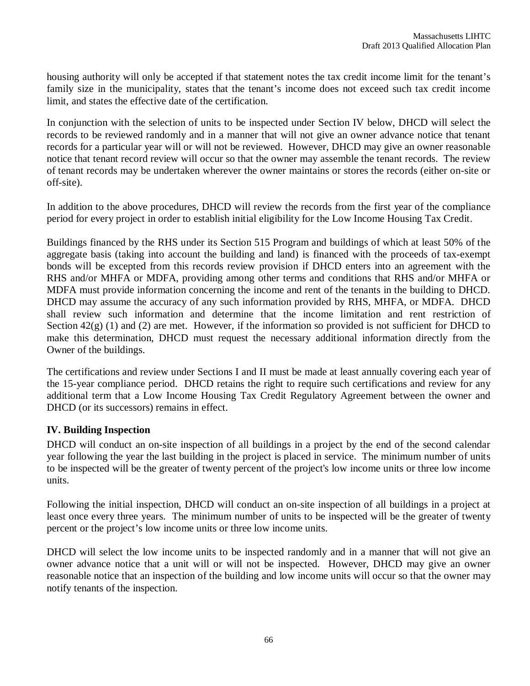housing authority will only be accepted if that statement notes the tax credit income limit for the tenant's family size in the municipality, states that the tenant's income does not exceed such tax credit income limit, and states the effective date of the certification.

In conjunction with the selection of units to be inspected under Section IV below, DHCD will select the records to be reviewed randomly and in a manner that will not give an owner advance notice that tenant records for a particular year will or will not be reviewed. However, DHCD may give an owner reasonable notice that tenant record review will occur so that the owner may assemble the tenant records. The review of tenant records may be undertaken wherever the owner maintains or stores the records (either on-site or off-site).

In addition to the above procedures, DHCD will review the records from the first year of the compliance period for every project in order to establish initial eligibility for the Low Income Housing Tax Credit.

Buildings financed by the RHS under its Section 515 Program and buildings of which at least 50% of the aggregate basis (taking into account the building and land) is financed with the proceeds of tax-exempt bonds will be excepted from this records review provision if DHCD enters into an agreement with the RHS and/or MHFA or MDFA, providing among other terms and conditions that RHS and/or MHFA or MDFA must provide information concerning the income and rent of the tenants in the building to DHCD. DHCD may assume the accuracy of any such information provided by RHS, MHFA, or MDFA. DHCD shall review such information and determine that the income limitation and rent restriction of Section  $42(g)$  (1) and (2) are met. However, if the information so provided is not sufficient for DHCD to make this determination, DHCD must request the necessary additional information directly from the Owner of the buildings.

The certifications and review under Sections I and II must be made at least annually covering each year of the 15-year compliance period. DHCD retains the right to require such certifications and review for any additional term that a Low Income Housing Tax Credit Regulatory Agreement between the owner and DHCD (or its successors) remains in effect.

# **IV. Building Inspection**

DHCD will conduct an on-site inspection of all buildings in a project by the end of the second calendar year following the year the last building in the project is placed in service. The minimum number of units to be inspected will be the greater of twenty percent of the project's low income units or three low income units.

Following the initial inspection, DHCD will conduct an on-site inspection of all buildings in a project at least once every three years. The minimum number of units to be inspected will be the greater of twenty percent or the project's low income units or three low income units.

DHCD will select the low income units to be inspected randomly and in a manner that will not give an owner advance notice that a unit will or will not be inspected. However, DHCD may give an owner reasonable notice that an inspection of the building and low income units will occur so that the owner may notify tenants of the inspection.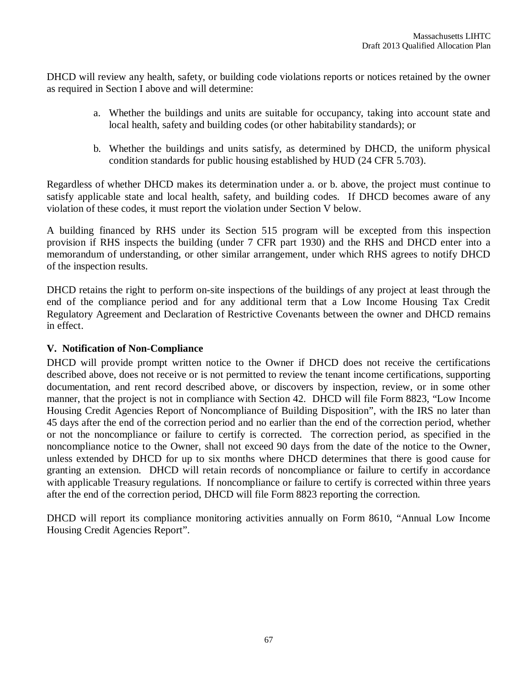DHCD will review any health, safety, or building code violations reports or notices retained by the owner as required in Section I above and will determine:

- a. Whether the buildings and units are suitable for occupancy, taking into account state and local health, safety and building codes (or other habitability standards); or
- b. Whether the buildings and units satisfy, as determined by DHCD, the uniform physical condition standards for public housing established by HUD (24 CFR 5.703).

Regardless of whether DHCD makes its determination under a. or b. above, the project must continue to satisfy applicable state and local health, safety, and building codes. If DHCD becomes aware of any violation of these codes, it must report the violation under Section V below.

A building financed by RHS under its Section 515 program will be excepted from this inspection provision if RHS inspects the building (under 7 CFR part 1930) and the RHS and DHCD enter into a memorandum of understanding, or other similar arrangement, under which RHS agrees to notify DHCD of the inspection results.

DHCD retains the right to perform on-site inspections of the buildings of any project at least through the end of the compliance period and for any additional term that a Low Income Housing Tax Credit Regulatory Agreement and Declaration of Restrictive Covenants between the owner and DHCD remains in effect.

#### **V. Notification of Non-Compliance**

DHCD will provide prompt written notice to the Owner if DHCD does not receive the certifications described above, does not receive or is not permitted to review the tenant income certifications, supporting documentation, and rent record described above, or discovers by inspection, review, or in some other manner, that the project is not in compliance with Section 42. DHCD will file Form 8823, "Low Income Housing Credit Agencies Report of Noncompliance of Building Disposition", with the IRS no later than 45 days after the end of the correction period and no earlier than the end of the correction period, whether or not the noncompliance or failure to certify is corrected. The correction period, as specified in the noncompliance notice to the Owner, shall not exceed 90 days from the date of the notice to the Owner, unless extended by DHCD for up to six months where DHCD determines that there is good cause for granting an extension. DHCD will retain records of noncompliance or failure to certify in accordance with applicable Treasury regulations. If noncompliance or failure to certify is corrected within three years after the end of the correction period, DHCD will file Form 8823 reporting the correction.

DHCD will report its compliance monitoring activities annually on Form 8610, "Annual Low Income Housing Credit Agencies Report".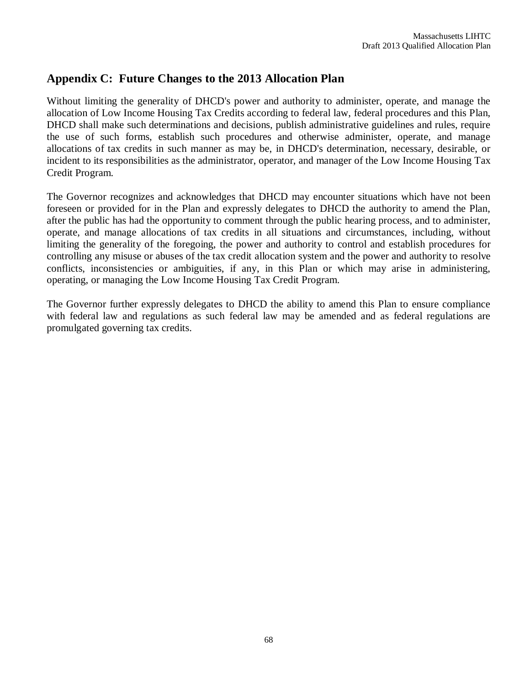# **Appendix C: Future Changes to the 2013 Allocation Plan**

Without limiting the generality of DHCD's power and authority to administer, operate, and manage the allocation of Low Income Housing Tax Credits according to federal law, federal procedures and this Plan, DHCD shall make such determinations and decisions, publish administrative guidelines and rules, require the use of such forms, establish such procedures and otherwise administer, operate, and manage allocations of tax credits in such manner as may be, in DHCD's determination, necessary, desirable, or incident to its responsibilities as the administrator, operator, and manager of the Low Income Housing Tax Credit Program.

The Governor recognizes and acknowledges that DHCD may encounter situations which have not been foreseen or provided for in the Plan and expressly delegates to DHCD the authority to amend the Plan, after the public has had the opportunity to comment through the public hearing process, and to administer, operate, and manage allocations of tax credits in all situations and circumstances, including, without limiting the generality of the foregoing, the power and authority to control and establish procedures for controlling any misuse or abuses of the tax credit allocation system and the power and authority to resolve conflicts, inconsistencies or ambiguities, if any, in this Plan or which may arise in administering, operating, or managing the Low Income Housing Tax Credit Program.

The Governor further expressly delegates to DHCD the ability to amend this Plan to ensure compliance with federal law and regulations as such federal law may be amended and as federal regulations are promulgated governing tax credits.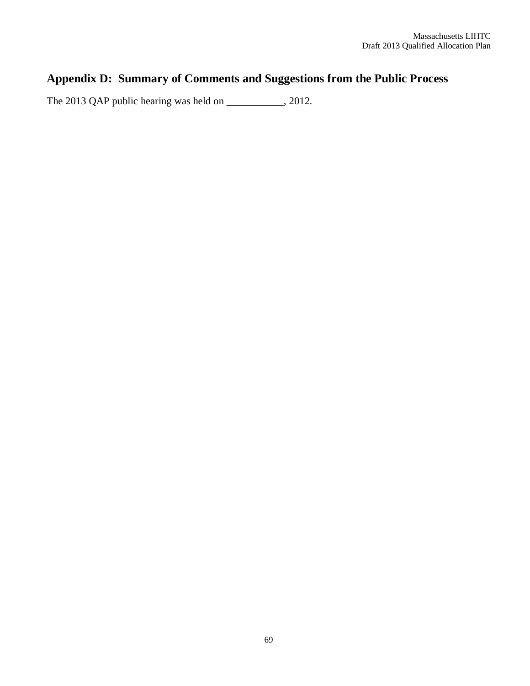# **Appendix D: Summary of Comments and Suggestions from the Public Process**

The 2013 QAP public hearing was held on \_\_\_\_\_\_\_\_\_, 2012.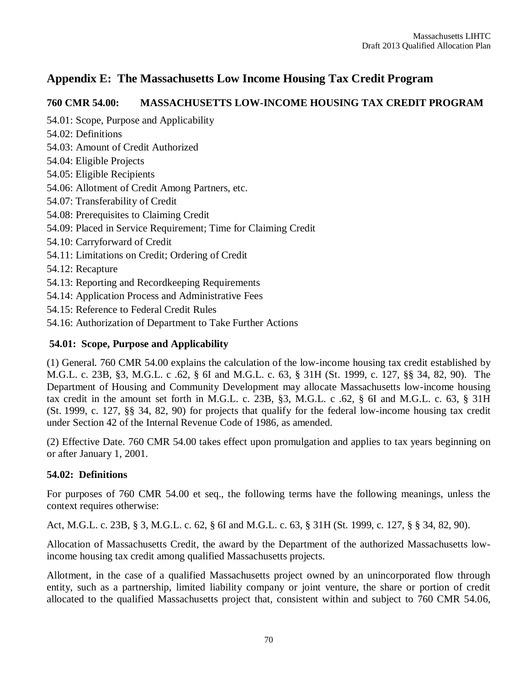# **Appendix E: The Massachusetts Low Income Housing Tax Credit Program**

# **760 CMR 54.00: MASSACHUSETTS LOW-INCOME HOUSING TAX CREDIT PROGRAM**

54.01: Scope, Purpose and Applicability

- 54.02: Definitions
- 54.03: Amount of Credit Authorized
- 54.04: Eligible Projects
- 54.05: Eligible Recipients
- 54.06: Allotment of Credit Among Partners, etc.
- 54.07: Transferability of Credit
- 54.08: Prerequisites to Claiming Credit
- 54.09: Placed in Service Requirement; Time for Claiming Credit
- 54.10: Carryforward of Credit
- 54.11: Limitations on Credit; Ordering of Credit
- 54.12: Recapture
- 54.13: Reporting and Recordkeeping Requirements
- 54.14: Application Process and Administrative Fees
- 54.15: Reference to Federal Credit Rules
- 54.16: Authorization of Department to Take Further Actions

# **54.01: Scope, Purpose and Applicability**

(1) General. 760 CMR 54.00 explains the calculation of the low-income housing tax credit established by M.G.L. c. 23B, §3, M.G.L. c .62, § 6I and M.G.L. c. 63, § 31H (St. 1999, c. 127, §§ 34, 82, 90). The Department of Housing and Community Development may allocate Massachusetts low-income housing tax credit in the amount set forth in M.G.L. c. 23B, §3, M.G.L. c .62, § 6I and M.G.L. c. 63, § 31H (St. 1999, c. 127, §§ 34, 82, 90) for projects that qualify for the federal low-income housing tax credit under Section 42 of the Internal Revenue Code of 1986, as amended.

(2) Effective Date. 760 CMR 54.00 takes effect upon promulgation and applies to tax years beginning on or after January 1, 2001.

# **54.02: Definitions**

For purposes of 760 CMR 54.00 et seq., the following terms have the following meanings, unless the context requires otherwise:

Act, M.G.L. c. 23B, § 3, M.G.L. c. 62, § 6I and M.G.L. c. 63, § 31H (St. 1999, c. 127, § § 34, 82, 90).

Allocation of Massachusetts Credit, the award by the Department of the authorized Massachusetts lowincome housing tax credit among qualified Massachusetts projects.

Allotment, in the case of a qualified Massachusetts project owned by an unincorporated flow through entity, such as a partnership, limited liability company or joint venture, the share or portion of credit allocated to the qualified Massachusetts project that, consistent within and subject to 760 CMR 54.06,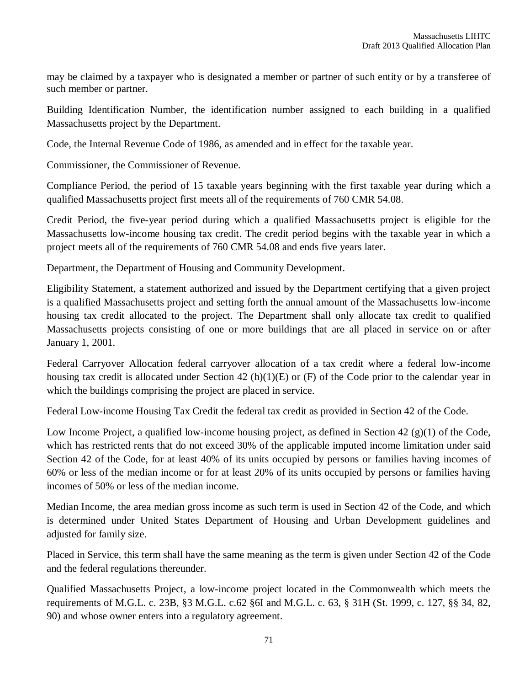may be claimed by a taxpayer who is designated a member or partner of such entity or by a transferee of such member or partner.

Building Identification Number, the identification number assigned to each building in a qualified Massachusetts project by the Department.

Code, the Internal Revenue Code of 1986, as amended and in effect for the taxable year.

Commissioner, the Commissioner of Revenue.

Compliance Period, the period of 15 taxable years beginning with the first taxable year during which a qualified Massachusetts project first meets all of the requirements of 760 CMR 54.08.

Credit Period, the five-year period during which a qualified Massachusetts project is eligible for the Massachusetts low-income housing tax credit. The credit period begins with the taxable year in which a project meets all of the requirements of 760 CMR 54.08 and ends five years later.

Department, the Department of Housing and Community Development.

Eligibility Statement, a statement authorized and issued by the Department certifying that a given project is a qualified Massachusetts project and setting forth the annual amount of the Massachusetts low-income housing tax credit allocated to the project. The Department shall only allocate tax credit to qualified Massachusetts projects consisting of one or more buildings that are all placed in service on or after January 1, 2001.

Federal Carryover Allocation federal carryover allocation of a tax credit where a federal low-income housing tax credit is allocated under Section 42 (h)(1)(E) or (F) of the Code prior to the calendar year in which the buildings comprising the project are placed in service.

Federal Low-income Housing Tax Credit the federal tax credit as provided in Section 42 of the Code.

Low Income Project, a qualified low-income housing project, as defined in Section 42  $(g)(1)$  of the Code, which has restricted rents that do not exceed 30% of the applicable imputed income limitation under said Section 42 of the Code, for at least 40% of its units occupied by persons or families having incomes of 60% or less of the median income or for at least 20% of its units occupied by persons or families having incomes of 50% or less of the median income.

Median Income, the area median gross income as such term is used in Section 42 of the Code, and which is determined under United States Department of Housing and Urban Development guidelines and adjusted for family size.

Placed in Service, this term shall have the same meaning as the term is given under Section 42 of the Code and the federal regulations thereunder.

Qualified Massachusetts Project, a low-income project located in the Commonwealth which meets the requirements of M.G.L. c. 23B, §3 M.G.L. c.62 §6I and M.G.L. c. 63, § 31H (St. 1999, c. 127, §§ 34, 82, 90) and whose owner enters into a regulatory agreement.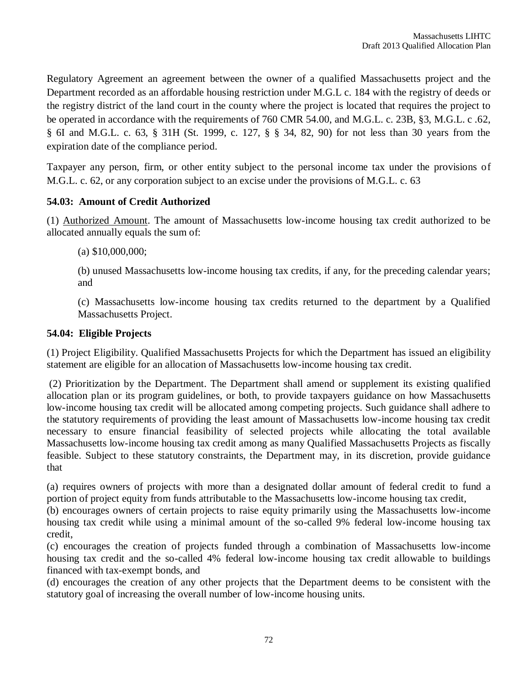Regulatory Agreement an agreement between the owner of a qualified Massachusetts project and the Department recorded as an affordable housing restriction under M.G.L c. 184 with the registry of deeds or the registry district of the land court in the county where the project is located that requires the project to be operated in accordance with the requirements of 760 CMR 54.00, and M.G.L. c. 23B, §3, M.G.L. c .62, § 6I and M.G.L. c. 63, § 31H (St. 1999, c. 127, § § 34, 82, 90) for not less than 30 years from the expiration date of the compliance period.

Taxpayer any person, firm, or other entity subject to the personal income tax under the provisions of M.G.L. c. 62, or any corporation subject to an excise under the provisions of M.G.L. c. 63

#### **54.03: Amount of Credit Authorized**

(1) Authorized Amount. The amount of Massachusetts low-income housing tax credit authorized to be allocated annually equals the sum of:

(a) \$10,000,000;

(b) unused Massachusetts low-income housing tax credits, if any, for the preceding calendar years; and

(c) Massachusetts low-income housing tax credits returned to the department by a Qualified Massachusetts Project.

#### **54.04: Eligible Projects**

(1) Project Eligibility. Qualified Massachusetts Projects for which the Department has issued an eligibility statement are eligible for an allocation of Massachusetts low-income housing tax credit.

(2) Prioritization by the Department. The Department shall amend or supplement its existing qualified allocation plan or its program guidelines, or both, to provide taxpayers guidance on how Massachusetts low-income housing tax credit will be allocated among competing projects. Such guidance shall adhere to the statutory requirements of providing the least amount of Massachusetts low-income housing tax credit necessary to ensure financial feasibility of selected projects while allocating the total available Massachusetts low-income housing tax credit among as many Qualified Massachusetts Projects as fiscally feasible. Subject to these statutory constraints, the Department may, in its discretion, provide guidance that

(a) requires owners of projects with more than a designated dollar amount of federal credit to fund a portion of project equity from funds attributable to the Massachusetts low-income housing tax credit,

(b) encourages owners of certain projects to raise equity primarily using the Massachusetts low-income housing tax credit while using a minimal amount of the so-called 9% federal low-income housing tax credit,

(c) encourages the creation of projects funded through a combination of Massachusetts low-income housing tax credit and the so-called 4% federal low-income housing tax credit allowable to buildings financed with tax-exempt bonds, and

(d) encourages the creation of any other projects that the Department deems to be consistent with the statutory goal of increasing the overall number of low-income housing units.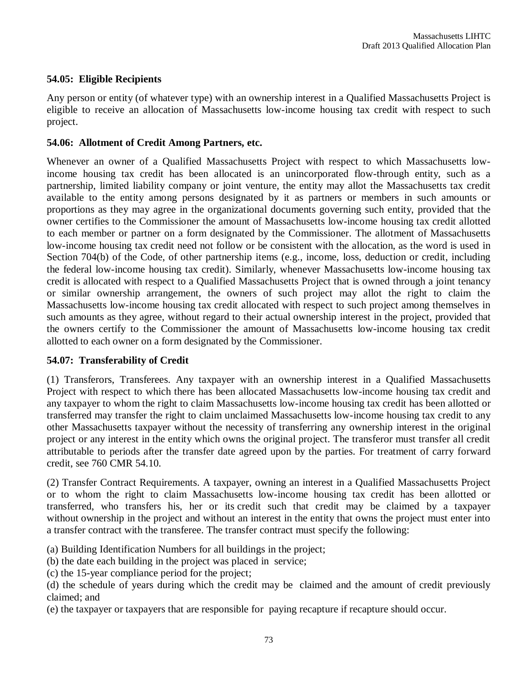### **54.05: Eligible Recipients**

Any person or entity (of whatever type) with an ownership interest in a Qualified Massachusetts Project is eligible to receive an allocation of Massachusetts low-income housing tax credit with respect to such project.

#### **54.06: Allotment of Credit Among Partners, etc.**

Whenever an owner of a Qualified Massachusetts Project with respect to which Massachusetts lowincome housing tax credit has been allocated is an unincorporated flow-through entity, such as a partnership, limited liability company or joint venture, the entity may allot the Massachusetts tax credit available to the entity among persons designated by it as partners or members in such amounts or proportions as they may agree in the organizational documents governing such entity, provided that the owner certifies to the Commissioner the amount of Massachusetts low-income housing tax credit allotted to each member or partner on a form designated by the Commissioner. The allotment of Massachusetts low-income housing tax credit need not follow or be consistent with the allocation, as the word is used in Section 704(b) of the Code, of other partnership items (e.g., income, loss, deduction or credit, including the federal low-income housing tax credit). Similarly, whenever Massachusetts low-income housing tax credit is allocated with respect to a Qualified Massachusetts Project that is owned through a joint tenancy or similar ownership arrangement, the owners of such project may allot the right to claim the Massachusetts low-income housing tax credit allocated with respect to such project among themselves in such amounts as they agree, without regard to their actual ownership interest in the project, provided that the owners certify to the Commissioner the amount of Massachusetts low-income housing tax credit allotted to each owner on a form designated by the Commissioner.

#### **54.07: Transferability of Credit**

(1) Transferors, Transferees. Any taxpayer with an ownership interest in a Qualified Massachusetts Project with respect to which there has been allocated Massachusetts low-income housing tax credit and any taxpayer to whom the right to claim Massachusetts low-income housing tax credit has been allotted or transferred may transfer the right to claim unclaimed Massachusetts low-income housing tax credit to any other Massachusetts taxpayer without the necessity of transferring any ownership interest in the original project or any interest in the entity which owns the original project. The transferor must transfer all credit attributable to periods after the transfer date agreed upon by the parties. For treatment of carry forward credit, see 760 CMR 54.10.

(2) Transfer Contract Requirements. A taxpayer, owning an interest in a Qualified Massachusetts Project or to whom the right to claim Massachusetts low-income housing tax credit has been allotted or transferred, who transfers his, her or its credit such that credit may be claimed by a taxpayer without ownership in the project and without an interest in the entity that owns the project must enter into a transfer contract with the transferee. The transfer contract must specify the following:

- (a) Building Identification Numbers for all buildings in the project;
- (b) the date each building in the project was placed in service;
- (c) the 15-year compliance period for the project;

(e) the taxpayer or taxpayers that are responsible for paying recapture if recapture should occur.

<sup>(</sup>d) the schedule of years during which the credit may be claimed and the amount of credit previously claimed; and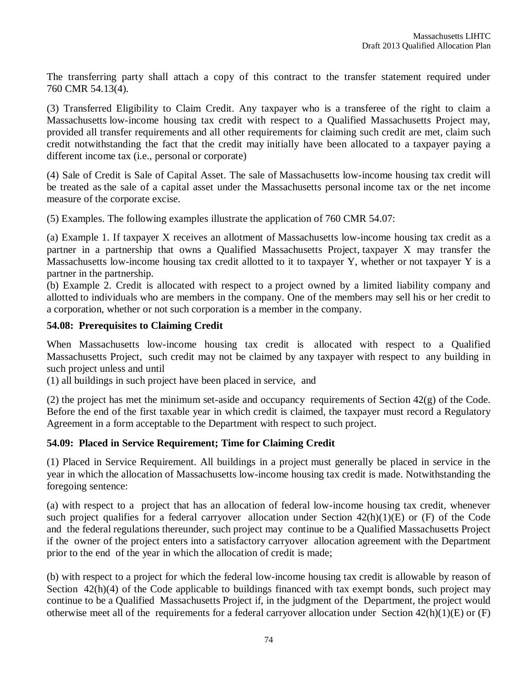The transferring party shall attach a copy of this contract to the transfer statement required under 760 CMR 54.13(4).

(3) Transferred Eligibility to Claim Credit. Any taxpayer who is a transferee of the right to claim a Massachusetts low-income housing tax credit with respect to a Qualified Massachusetts Project may, provided all transfer requirements and all other requirements for claiming such credit are met, claim such credit notwithstanding the fact that the credit may initially have been allocated to a taxpayer paying a different income tax (i.e., personal or corporate)

(4) Sale of Credit is Sale of Capital Asset. The sale of Massachusetts low-income housing tax credit will be treated as the sale of a capital asset under the Massachusetts personal income tax or the net income measure of the corporate excise.

(5) Examples. The following examples illustrate the application of 760 CMR 54.07:

(a) Example 1. If taxpayer X receives an allotment of Massachusetts low-income housing tax credit as a partner in a partnership that owns a Qualified Massachusetts Project, taxpayer X may transfer the Massachusetts low-income housing tax credit allotted to it to taxpayer Y, whether or not taxpayer Y is a partner in the partnership.

(b) Example 2. Credit is allocated with respect to a project owned by a limited liability company and allotted to individuals who are members in the company. One of the members may sell his or her credit to a corporation, whether or not such corporation is a member in the company.

#### **54.08: Prerequisites to Claiming Credit**

When Massachusetts low-income housing tax credit is allocated with respect to a Qualified Massachusetts Project, such credit may not be claimed by any taxpayer with respect to any building in such project unless and until

(1) all buildings in such project have been placed in service, and

(2) the project has met the minimum set-aside and occupancy requirements of Section 42(g) of the Code. Before the end of the first taxable year in which credit is claimed, the taxpayer must record a Regulatory Agreement in a form acceptable to the Department with respect to such project.

### **54.09: Placed in Service Requirement; Time for Claiming Credit**

(1) Placed in Service Requirement. All buildings in a project must generally be placed in service in the year in which the allocation of Massachusetts low-income housing tax credit is made. Notwithstanding the foregoing sentence:

(a) with respect to a project that has an allocation of federal low-income housing tax credit, whenever such project qualifies for a federal carryover allocation under Section 42(h)(1)(E) or (F) of the Code and the federal regulations thereunder, such project may continue to be a Qualified Massachusetts Project if the owner of the project enters into a satisfactory carryover allocation agreement with the Department prior to the end of the year in which the allocation of credit is made;

(b) with respect to a project for which the federal low-income housing tax credit is allowable by reason of Section 42(h)(4) of the Code applicable to buildings financed with tax exempt bonds, such project may continue to be a Qualified Massachusetts Project if, in the judgment of the Department, the project would otherwise meet all of the requirements for a federal carryover allocation under Section 42(h)(1)(E) or (F)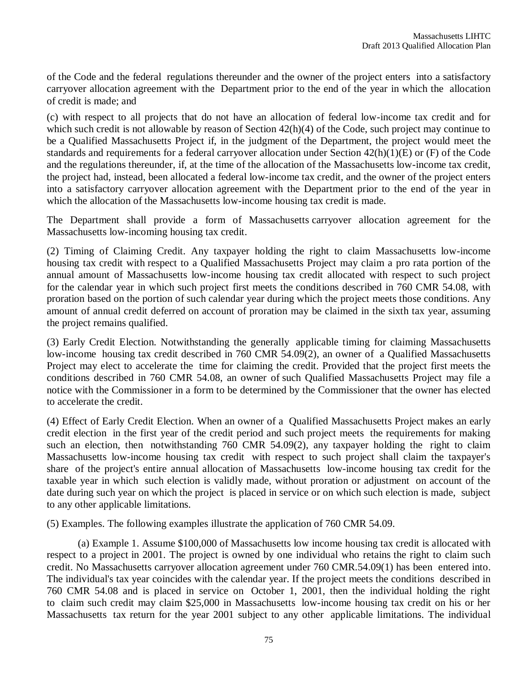of the Code and the federal regulations thereunder and the owner of the project enters into a satisfactory carryover allocation agreement with the Department prior to the end of the year in which the allocation of credit is made; and

(c) with respect to all projects that do not have an allocation of federal low-income tax credit and for which such credit is not allowable by reason of Section  $42(h)(4)$  of the Code, such project may continue to be a Qualified Massachusetts Project if, in the judgment of the Department, the project would meet the standards and requirements for a federal carryover allocation under Section 42(h)(1)(E) or (F) of the Code and the regulations thereunder, if, at the time of the allocation of the Massachusetts low-income tax credit, the project had, instead, been allocated a federal low-income tax credit, and the owner of the project enters into a satisfactory carryover allocation agreement with the Department prior to the end of the year in which the allocation of the Massachusetts low-income housing tax credit is made.

The Department shall provide a form of Massachusetts carryover allocation agreement for the Massachusetts low-incoming housing tax credit.

(2) Timing of Claiming Credit. Any taxpayer holding the right to claim Massachusetts low-income housing tax credit with respect to a Qualified Massachusetts Project may claim a pro rata portion of the annual amount of Massachusetts low-income housing tax credit allocated with respect to such project for the calendar year in which such project first meets the conditions described in 760 CMR 54.08, with proration based on the portion of such calendar year during which the project meets those conditions. Any amount of annual credit deferred on account of proration may be claimed in the sixth tax year, assuming the project remains qualified.

(3) Early Credit Election. Notwithstanding the generally applicable timing for claiming Massachusetts low-income housing tax credit described in 760 CMR 54.09(2), an owner of a Qualified Massachusetts Project may elect to accelerate the time for claiming the credit. Provided that the project first meets the conditions described in 760 CMR 54.08, an owner of such Qualified Massachusetts Project may file a notice with the Commissioner in a form to be determined by the Commissioner that the owner has elected to accelerate the credit.

(4) Effect of Early Credit Election. When an owner of a Qualified Massachusetts Project makes an early credit election in the first year of the credit period and such project meets the requirements for making such an election, then notwithstanding 760 CMR 54.09(2), any taxpayer holding the right to claim Massachusetts low-income housing tax credit with respect to such project shall claim the taxpayer's share of the project's entire annual allocation of Massachusetts low-income housing tax credit for the taxable year in which such election is validly made, without proration or adjustment on account of the date during such year on which the project is placed in service or on which such election is made, subject to any other applicable limitations.

(5) Examples. The following examples illustrate the application of 760 CMR 54.09.

(a) Example 1. Assume \$100,000 of Massachusetts low income housing tax credit is allocated with respect to a project in 2001. The project is owned by one individual who retains the right to claim such credit. No Massachusetts carryover allocation agreement under 760 CMR.54.09(1) has been entered into. The individual's tax year coincides with the calendar year. If the project meets the conditions described in 760 CMR 54.08 and is placed in service on October 1, 2001, then the individual holding the right to claim such credit may claim \$25,000 in Massachusetts low-income housing tax credit on his or her Massachusetts tax return for the year 2001 subject to any other applicable limitations. The individual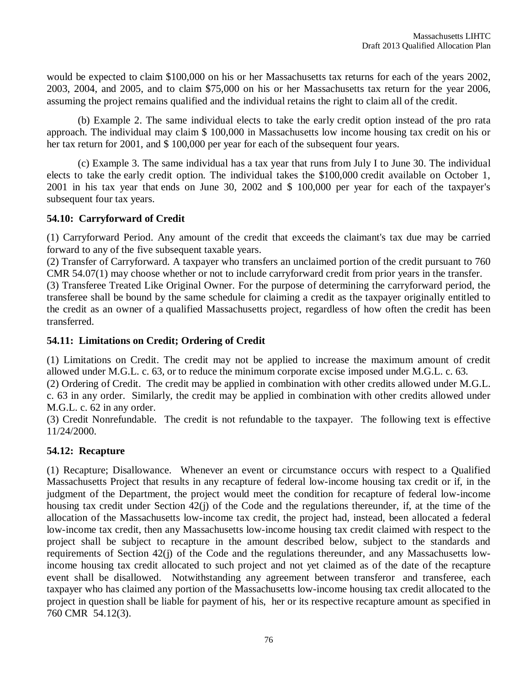would be expected to claim \$100,000 on his or her Massachusetts tax returns for each of the years 2002, 2003, 2004, and 2005, and to claim \$75,000 on his or her Massachusetts tax return for the year 2006, assuming the project remains qualified and the individual retains the right to claim all of the credit.

(b) Example 2. The same individual elects to take the early credit option instead of the pro rata approach. The individual may claim \$ 100,000 in Massachusetts low income housing tax credit on his or her tax return for 2001, and \$ 100,000 per year for each of the subsequent four years.

(c) Example 3. The same individual has a tax year that runs from July I to June 30. The individual elects to take the early credit option. The individual takes the \$100,000 credit available on October 1, 2001 in his tax year that ends on June 30, 2002 and \$ 100,000 per year for each of the taxpayer's subsequent four tax years.

#### **54.10: Carryforward of Credit**

(1) Carryforward Period. Any amount of the credit that exceeds the claimant's tax due may be carried forward to any of the five subsequent taxable years.

(2) Transfer of Carryforward. A taxpayer who transfers an unclaimed portion of the credit pursuant to 760 CMR 54.07(1) may choose whether or not to include carryforward credit from prior years in the transfer.

(3) Transferee Treated Like Original Owner. For the purpose of determining the carryforward period, the transferee shall be bound by the same schedule for claiming a credit as the taxpayer originally entitled to the credit as an owner of a qualified Massachusetts project, regardless of how often the credit has been transferred.

#### **54.11: Limitations on Credit; Ordering of Credit**

(1) Limitations on Credit. The credit may not be applied to increase the maximum amount of credit allowed under M.G.L. c. 63, or to reduce the minimum corporate excise imposed under M.G.L. c. 63.

(2) Ordering of Credit. The credit may be applied in combination with other credits allowed under M.G.L. c. 63 in any order. Similarly, the credit may be applied in combination with other credits allowed under M.G.L. c. 62 in any order.

(3) Credit Nonrefundable. The credit is not refundable to the taxpayer. The following text is effective 11/24/2000.

### **54.12: Recapture**

(1) Recapture; Disallowance. Whenever an event or circumstance occurs with respect to a Qualified Massachusetts Project that results in any recapture of federal low-income housing tax credit or if, in the judgment of the Department, the project would meet the condition for recapture of federal low-income housing tax credit under Section 42(j) of the Code and the regulations thereunder, if, at the time of the allocation of the Massachusetts low-income tax credit, the project had, instead, been allocated a federal low-income tax credit, then any Massachusetts low-income housing tax credit claimed with respect to the project shall be subject to recapture in the amount described below, subject to the standards and requirements of Section 42(j) of the Code and the regulations thereunder, and any Massachusetts lowincome housing tax credit allocated to such project and not yet claimed as of the date of the recapture event shall be disallowed. Notwithstanding any agreement between transferor and transferee, each taxpayer who has claimed any portion of the Massachusetts low-income housing tax credit allocated to the project in question shall be liable for payment of his, her or its respective recapture amount as specified in 760 CMR 54.12(3).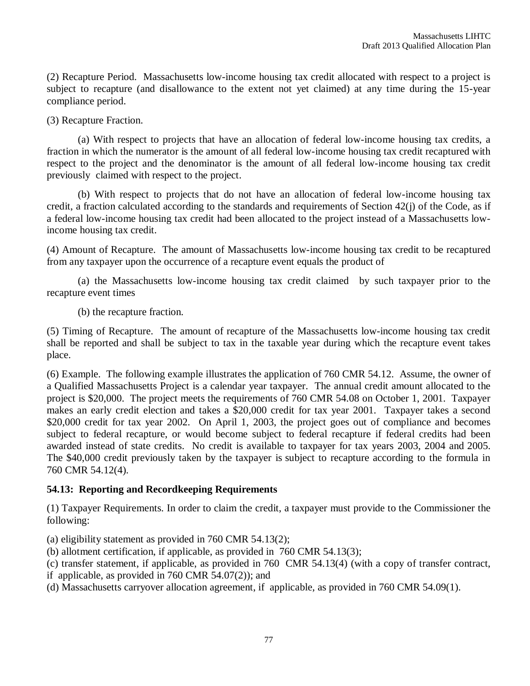(2) Recapture Period. Massachusetts low-income housing tax credit allocated with respect to a project is subject to recapture (and disallowance to the extent not yet claimed) at any time during the 15-year compliance period.

(3) Recapture Fraction.

(a) With respect to projects that have an allocation of federal low-income housing tax credits, a fraction in which the numerator is the amount of all federal low-income housing tax credit recaptured with respect to the project and the denominator is the amount of all federal low-income housing tax credit previously claimed with respect to the project.

(b) With respect to projects that do not have an allocation of federal low-income housing tax credit, a fraction calculated according to the standards and requirements of Section 42(j) of the Code, as if a federal low-income housing tax credit had been allocated to the project instead of a Massachusetts lowincome housing tax credit.

(4) Amount of Recapture. The amount of Massachusetts low-income housing tax credit to be recaptured from any taxpayer upon the occurrence of a recapture event equals the product of

(a) the Massachusetts low-income housing tax credit claimed by such taxpayer prior to the recapture event times

(b) the recapture fraction.

(5) Timing of Recapture. The amount of recapture of the Massachusetts low-income housing tax credit shall be reported and shall be subject to tax in the taxable year during which the recapture event takes place.

(6) Example. The following example illustrates the application of 760 CMR 54.12. Assume, the owner of a Qualified Massachusetts Project is a calendar year taxpayer. The annual credit amount allocated to the project is \$20,000. The project meets the requirements of 760 CMR 54.08 on October 1, 2001. Taxpayer makes an early credit election and takes a \$20,000 credit for tax year 2001. Taxpayer takes a second \$20,000 credit for tax year 2002. On April 1, 2003, the project goes out of compliance and becomes subject to federal recapture, or would become subject to federal recapture if federal credits had been awarded instead of state credits. No credit is available to taxpayer for tax years 2003, 2004 and 2005. The \$40,000 credit previously taken by the taxpayer is subject to recapture according to the formula in 760 CMR 54.12(4).

### **54.13: Reporting and Recordkeeping Requirements**

(1) Taxpayer Requirements. In order to claim the credit, a taxpayer must provide to the Commissioner the following:

(a) eligibility statement as provided in 760 CMR 54.13(2);

(b) allotment certification, if applicable, as provided in 760 CMR 54.13(3);

(c) transfer statement, if applicable, as provided in 760 CMR 54.13(4) (with a copy of transfer contract,

if applicable, as provided in 760 CMR 54.07(2)); and

(d) Massachusetts carryover allocation agreement, if applicable, as provided in 760 CMR 54.09(1).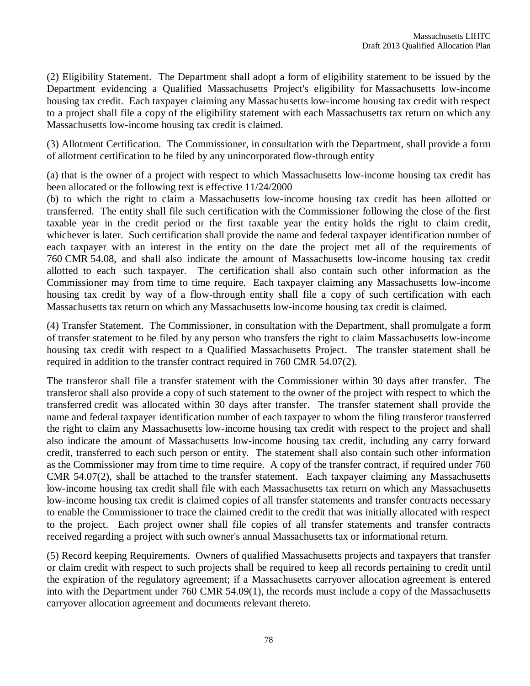(2) Eligibility Statement. The Department shall adopt a form of eligibility statement to be issued by the Department evidencing a Qualified Massachusetts Project's eligibility for Massachusetts low-income housing tax credit. Each taxpayer claiming any Massachusetts low-income housing tax credit with respect to a project shall file a copy of the eligibility statement with each Massachusetts tax return on which any Massachusetts low-income housing tax credit is claimed.

(3) Allotment Certification. The Commissioner, in consultation with the Department, shall provide a form of allotment certification to be filed by any unincorporated flow-through entity

(a) that is the owner of a project with respect to which Massachusetts low-income housing tax credit has been allocated or the following text is effective 11/24/2000

(b) to which the right to claim a Massachusetts low-income housing tax credit has been allotted or transferred. The entity shall file such certification with the Commissioner following the close of the first taxable year in the credit period or the first taxable year the entity holds the right to claim credit, whichever is later. Such certification shall provide the name and federal taxpayer identification number of each taxpayer with an interest in the entity on the date the project met all of the requirements of 760 CMR 54.08, and shall also indicate the amount of Massachusetts low-income housing tax credit allotted to each such taxpayer. The certification shall also contain such other information as the Commissioner may from time to time require. Each taxpayer claiming any Massachusetts low-income housing tax credit by way of a flow-through entity shall file a copy of such certification with each Massachusetts tax return on which any Massachusetts low-income housing tax credit is claimed.

(4) Transfer Statement. The Commissioner, in consultation with the Department, shall promulgate a form of transfer statement to be filed by any person who transfers the right to claim Massachusetts low-income housing tax credit with respect to a Qualified Massachusetts Project. The transfer statement shall be required in addition to the transfer contract required in 760 CMR 54.07(2).

The transferor shall file a transfer statement with the Commissioner within 30 days after transfer. The transferor shall also provide a copy of such statement to the owner of the project with respect to which the transferred credit was allocated within 30 days after transfer. The transfer statement shall provide the name and federal taxpayer identification number of each taxpayer to whom the filing transferor transferred the right to claim any Massachusetts low-income housing tax credit with respect to the project and shall also indicate the amount of Massachusetts low-income housing tax credit, including any carry forward credit, transferred to each such person or entity. The statement shall also contain such other information as the Commissioner may from time to time require. A copy of the transfer contract, if required under 760 CMR 54.07(2), shall be attached to the transfer statement. Each taxpayer claiming any Massachusetts low-income housing tax credit shall file with each Massachusetts tax return on which any Massachusetts low-income housing tax credit is claimed copies of all transfer statements and transfer contracts necessary to enable the Commissioner to trace the claimed credit to the credit that was initially allocated with respect to the project. Each project owner shall file copies of all transfer statements and transfer contracts received regarding a project with such owner's annual Massachusetts tax or informational return.

(5) Record keeping Requirements. Owners of qualified Massachusetts projects and taxpayers that transfer or claim credit with respect to such projects shall be required to keep all records pertaining to credit until the expiration of the regulatory agreement; if a Massachusetts carryover allocation agreement is entered into with the Department under 760 CMR 54.09(1), the records must include a copy of the Massachusetts carryover allocation agreement and documents relevant thereto.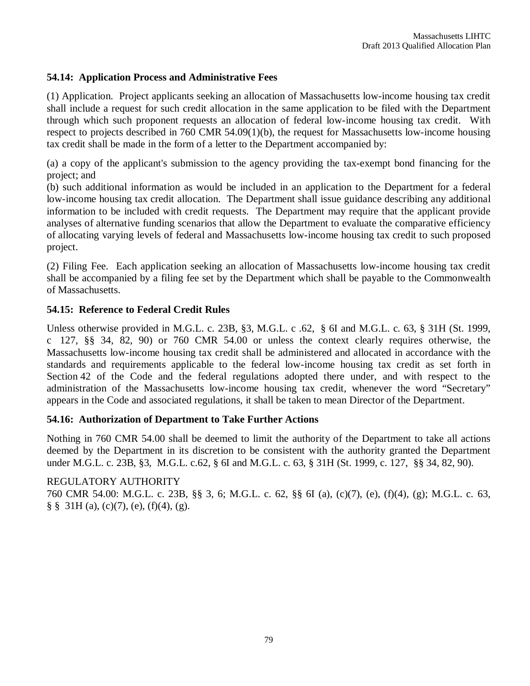#### **54.14: Application Process and Administrative Fees**

(1) Application. Project applicants seeking an allocation of Massachusetts low-income housing tax credit shall include a request for such credit allocation in the same application to be filed with the Department through which such proponent requests an allocation of federal low-income housing tax credit. With respect to projects described in 760 CMR 54.09(1)(b), the request for Massachusetts low-income housing tax credit shall be made in the form of a letter to the Department accompanied by:

(a) a copy of the applicant's submission to the agency providing the tax-exempt bond financing for the project; and

(b) such additional information as would be included in an application to the Department for a federal low-income housing tax credit allocation. The Department shall issue guidance describing any additional information to be included with credit requests. The Department may require that the applicant provide analyses of alternative funding scenarios that allow the Department to evaluate the comparative efficiency of allocating varying levels of federal and Massachusetts low-income housing tax credit to such proposed project.

(2) Filing Fee. Each application seeking an allocation of Massachusetts low-income housing tax credit shall be accompanied by a filing fee set by the Department which shall be payable to the Commonwealth of Massachusetts.

#### **54.15: Reference to Federal Credit Rules**

Unless otherwise provided in M.G.L. c. 23B, §3, M.G.L. c .62, § 6I and M.G.L. c. 63, § 31H (St. 1999, c 127, §§ 34, 82, 90) or 760 CMR 54.00 or unless the context clearly requires otherwise, the Massachusetts low-income housing tax credit shall be administered and allocated in accordance with the standards and requirements applicable to the federal low-income housing tax credit as set forth in Section 42 of the Code and the federal regulations adopted there under, and with respect to the administration of the Massachusetts low-income housing tax credit, whenever the word "Secretary" appears in the Code and associated regulations, it shall be taken to mean Director of the Department.

#### **54.16: Authorization of Department to Take Further Actions**

Nothing in 760 CMR 54.00 shall be deemed to limit the authority of the Department to take all actions deemed by the Department in its discretion to be consistent with the authority granted the Department under M.G.L. c. 23B, §3, M.G.L. c.62, § 6I and M.G.L. c. 63, § 31H (St. 1999, c. 127, §§ 34, 82, 90).

### REGULATORY AUTHORITY

760 CMR 54.00: M.G.L. c. 23B, §§ 3, 6; M.G.L. c. 62, §§ 6I (a), (c)(7), (e), (f)(4), (g); M.G.L. c. 63,  $\S$   $\S$   $31H$  (a), (c)(7), (e), (f)(4), (g).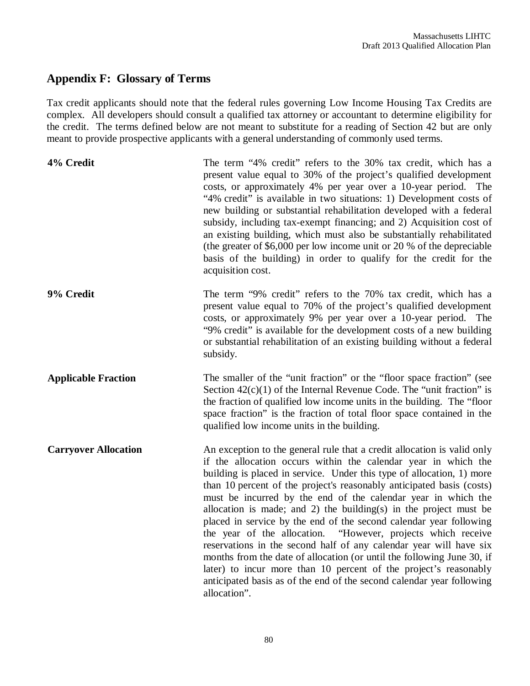# **Appendix F: Glossary of Terms**

Tax credit applicants should note that the federal rules governing Low Income Housing Tax Credits are complex. All developers should consult a qualified tax attorney or accountant to determine eligibility for the credit. The terms defined below are not meant to substitute for a reading of Section 42 but are only meant to provide prospective applicants with a general understanding of commonly used terms.

| 4% Credit                   | The term "4% credit" refers to the 30% tax credit, which has a<br>present value equal to 30% of the project's qualified development<br>costs, or approximately 4% per year over a 10-year period. The<br>"4% credit" is available in two situations: 1) Development costs of<br>new building or substantial rehabilitation developed with a federal<br>subsidy, including tax-exempt financing; and 2) Acquisition cost of<br>an existing building, which must also be substantially rehabilitated<br>(the greater of $$6,000$ per low income unit or 20 % of the depreciable<br>basis of the building) in order to qualify for the credit for the<br>acquisition cost.                                                                                                                                                                                                              |
|-----------------------------|--------------------------------------------------------------------------------------------------------------------------------------------------------------------------------------------------------------------------------------------------------------------------------------------------------------------------------------------------------------------------------------------------------------------------------------------------------------------------------------------------------------------------------------------------------------------------------------------------------------------------------------------------------------------------------------------------------------------------------------------------------------------------------------------------------------------------------------------------------------------------------------|
| 9% Credit                   | The term "9% credit" refers to the 70% tax credit, which has a<br>present value equal to 70% of the project's qualified development<br>costs, or approximately 9% per year over a 10-year period. The<br>"9% credit" is available for the development costs of a new building<br>or substantial rehabilitation of an existing building without a federal<br>subsidy.                                                                                                                                                                                                                                                                                                                                                                                                                                                                                                                 |
| <b>Applicable Fraction</b>  | The smaller of the "unit fraction" or the "floor space fraction" (see<br>Section $42(c)(1)$ of the Internal Revenue Code. The "unit fraction" is<br>the fraction of qualified low income units in the building. The "floor<br>space fraction" is the fraction of total floor space contained in the<br>qualified low income units in the building.                                                                                                                                                                                                                                                                                                                                                                                                                                                                                                                                   |
| <b>Carryover Allocation</b> | An exception to the general rule that a credit allocation is valid only<br>if the allocation occurs within the calendar year in which the<br>building is placed in service. Under this type of allocation, 1) more<br>than 10 percent of the project's reasonably anticipated basis (costs)<br>must be incurred by the end of the calendar year in which the<br>allocation is made; and 2) the building(s) in the project must be<br>placed in service by the end of the second calendar year following<br>the year of the allocation. "However, projects which receive<br>reservations in the second half of any calendar year will have six<br>months from the date of allocation (or until the following June 30, if<br>later) to incur more than 10 percent of the project's reasonably<br>anticipated basis as of the end of the second calendar year following<br>allocation". |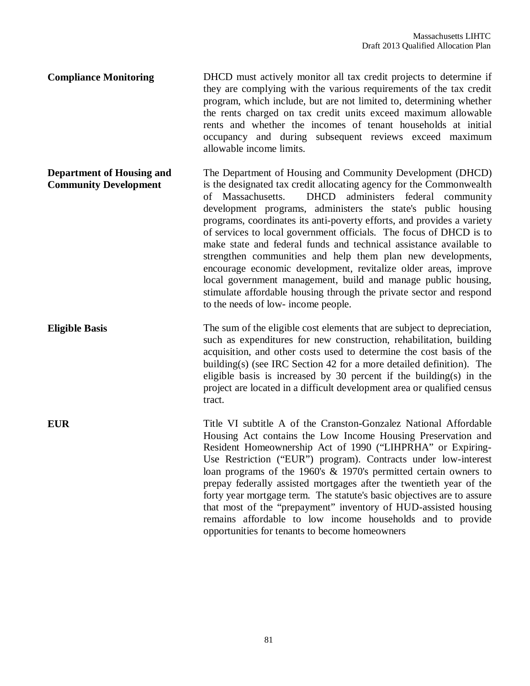**Compliance Monitoring** DHCD must actively monitor all tax credit projects to determine if they are complying with the various requirements of the tax credit program, which include, but are not limited to, determining whether the rents charged on tax credit units exceed maximum allowable rents and whether the incomes of tenant households at initial occupancy and during subsequent reviews exceed maximum allowable income limits.

**Department of Housing and Community Development** The Department of Housing and Community Development (DHCD) is the designated tax credit allocating agency for the Commonwealth of Massachusetts. DHCD administers federal community development programs, administers the state's public housing programs, coordinates its anti-poverty efforts, and provides a variety of services to local government officials. The focus of DHCD is to make state and federal funds and technical assistance available to strengthen communities and help them plan new developments, encourage economic development, revitalize older areas, improve local government management, build and manage public housing, stimulate affordable housing through the private sector and respond to the needs of low- income people.

**Eligible Basis** The sum of the eligible cost elements that are subject to depreciation, such as expenditures for new construction, rehabilitation, building acquisition, and other costs used to determine the cost basis of the building(s) (see IRC Section 42 for a more detailed definition). The eligible basis is increased by 30 percent if the building(s) in the project are located in a difficult development area or qualified census tract.

**EUR** Title VI subtitle A of the Cranston-Gonzalez National Affordable Housing Act contains the Low Income Housing Preservation and Resident Homeownership Act of 1990 ("LIHPRHA" or Expiring-Use Restriction ("EUR") program). Contracts under low-interest loan programs of the 1960's & 1970's permitted certain owners to prepay federally assisted mortgages after the twentieth year of the forty year mortgage term. The statute's basic objectives are to assure that most of the "prepayment" inventory of HUD-assisted housing remains affordable to low income households and to provide opportunities for tenants to become homeowners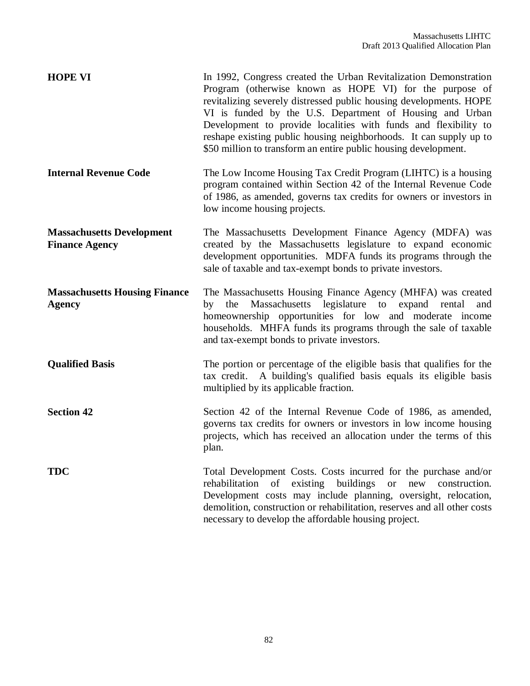| <b>HOPE VI</b>                                            | In 1992, Congress created the Urban Revitalization Demonstration<br>Program (otherwise known as HOPE VI) for the purpose of<br>revitalizing severely distressed public housing developments. HOPE<br>VI is funded by the U.S. Department of Housing and Urban<br>Development to provide localities with funds and flexibility to<br>reshape existing public housing neighborhoods. It can supply up to<br>\$50 million to transform an entire public housing development. |
|-----------------------------------------------------------|---------------------------------------------------------------------------------------------------------------------------------------------------------------------------------------------------------------------------------------------------------------------------------------------------------------------------------------------------------------------------------------------------------------------------------------------------------------------------|
| <b>Internal Revenue Code</b>                              | The Low Income Housing Tax Credit Program (LIHTC) is a housing<br>program contained within Section 42 of the Internal Revenue Code<br>of 1986, as amended, governs tax credits for owners or investors in<br>low income housing projects.                                                                                                                                                                                                                                 |
| <b>Massachusetts Development</b><br><b>Finance Agency</b> | The Massachusetts Development Finance Agency (MDFA) was<br>created by the Massachusetts legislature to expand economic<br>development opportunities. MDFA funds its programs through the<br>sale of taxable and tax-exempt bonds to private investors.                                                                                                                                                                                                                    |
| <b>Massachusetts Housing Finance</b><br><b>Agency</b>     | The Massachusetts Housing Finance Agency (MHFA) was created<br>by the Massachusetts legislature to expand rental<br>and<br>homeownership opportunities for low and moderate income<br>households. MHFA funds its programs through the sale of taxable<br>and tax-exempt bonds to private investors.                                                                                                                                                                       |
| <b>Qualified Basis</b>                                    | The portion or percentage of the eligible basis that qualifies for the<br>tax credit. A building's qualified basis equals its eligible basis<br>multiplied by its applicable fraction.                                                                                                                                                                                                                                                                                    |
| <b>Section 42</b>                                         | Section 42 of the Internal Revenue Code of 1986, as amended,<br>governs tax credits for owners or investors in low income housing<br>projects, which has received an allocation under the terms of this<br>plan.                                                                                                                                                                                                                                                          |
| <b>TDC</b>                                                | Total Development Costs. Costs incurred for the purchase and/or<br>buildings<br>rehabilitation<br>of<br>existing<br>new<br>construction.<br><b>or</b><br>Development costs may include planning, oversight, relocation,<br>demolition, construction or rehabilitation, reserves and all other costs<br>necessary to develop the affordable housing project.                                                                                                               |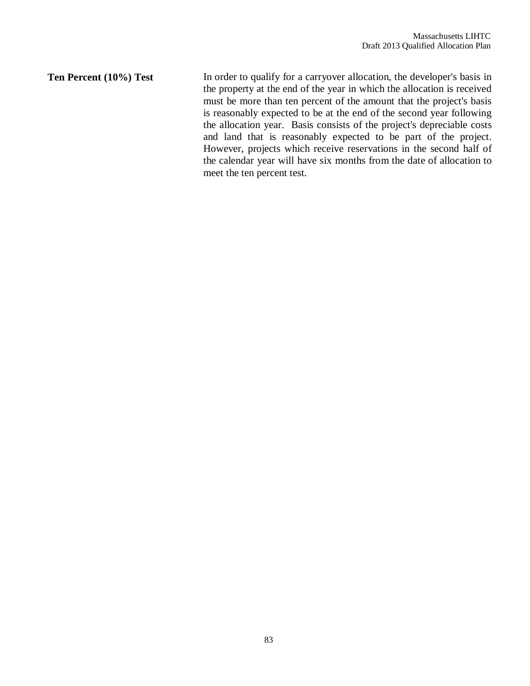**Ten Percent (10%) Test** In order to qualify for a carryover allocation, the developer's basis in the property at the end of the year in which the allocation is received must be more than ten percent of the amount that the project's basis is reasonably expected to be at the end of the second year following the allocation year. Basis consists of the project's depreciable costs and land that is reasonably expected to be part of the project. However, projects which receive reservations in the second half of the calendar year will have six months from the date of allocation to meet the ten percent test.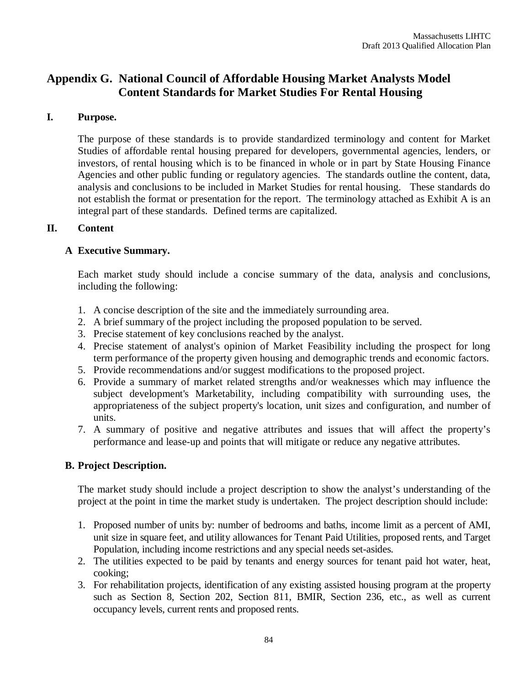# **Appendix G. National Council of Affordable Housing Market Analysts Model Content Standards for Market Studies For Rental Housing**

### **I. Purpose.**

The purpose of these standards is to provide standardized terminology and content for Market Studies of affordable rental housing prepared for developers, governmental agencies, lenders, or investors, of rental housing which is to be financed in whole or in part by State Housing Finance Agencies and other public funding or regulatory agencies. The standards outline the content, data, analysis and conclusions to be included in Market Studies for rental housing. These standards do not establish the format or presentation for the report. The terminology attached as Exhibit A is an integral part of these standards. Defined terms are capitalized.

#### **II. Content**

### **A Executive Summary.**

Each market study should include a concise summary of the data, analysis and conclusions, including the following:

- 1. A concise description of the site and the immediately surrounding area.
- 2. A brief summary of the project including the proposed population to be served.
- 3. Precise statement of key conclusions reached by the analyst.
- 4. Precise statement of analyst's opinion of Market Feasibility including the prospect for long term performance of the property given housing and demographic trends and economic factors.
- 5. Provide recommendations and/or suggest modifications to the proposed project.
- 6. Provide a summary of market related strengths and/or weaknesses which may influence the subject development's Marketability, including compatibility with surrounding uses, the appropriateness of the subject property's location, unit sizes and configuration, and number of units.
- 7. A summary of positive and negative attributes and issues that will affect the property's performance and lease-up and points that will mitigate or reduce any negative attributes.

### **B. Project Description.**

The market study should include a project description to show the analyst's understanding of the project at the point in time the market study is undertaken. The project description should include:

- 1. Proposed number of units by: number of bedrooms and baths, income limit as a percent of AMI, unit size in square feet, and utility allowances for Tenant Paid Utilities, proposed rents, and Target Population, including income restrictions and any special needs set-asides.
- 2. The utilities expected to be paid by tenants and energy sources for tenant paid hot water, heat, cooking;
- 3. For rehabilitation projects, identification of any existing assisted housing program at the property such as Section 8, Section 202, Section 811, BMIR, Section 236, etc., as well as current occupancy levels, current rents and proposed rents.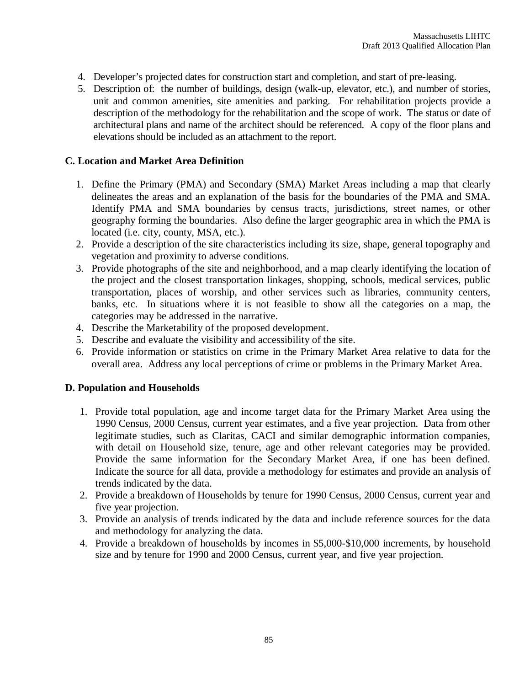- 4. Developer's projected dates for construction start and completion, and start of pre-leasing.
- 5. Description of: the number of buildings, design (walk-up, elevator, etc.), and number of stories, unit and common amenities, site amenities and parking. For rehabilitation projects provide a description of the methodology for the rehabilitation and the scope of work. The status or date of architectural plans and name of the architect should be referenced. A copy of the floor plans and elevations should be included as an attachment to the report.

#### **C. Location and Market Area Definition**

- 1. Define the Primary (PMA) and Secondary (SMA) Market Areas including a map that clearly delineates the areas and an explanation of the basis for the boundaries of the PMA and SMA. Identify PMA and SMA boundaries by census tracts, jurisdictions, street names, or other geography forming the boundaries. Also define the larger geographic area in which the PMA is located (i.e. city, county, MSA, etc.).
- 2. Provide a description of the site characteristics including its size, shape, general topography and vegetation and proximity to adverse conditions.
- 3. Provide photographs of the site and neighborhood, and a map clearly identifying the location of the project and the closest transportation linkages, shopping, schools, medical services, public transportation, places of worship, and other services such as libraries, community centers, banks, etc. In situations where it is not feasible to show all the categories on a map, the categories may be addressed in the narrative.
- 4. Describe the Marketability of the proposed development.
- 5. Describe and evaluate the visibility and accessibility of the site.
- 6. Provide information or statistics on crime in the Primary Market Area relative to data for the overall area. Address any local perceptions of crime or problems in the Primary Market Area.

#### **D. Population and Households**

- 1. Provide total population, age and income target data for the Primary Market Area using the 1990 Census, 2000 Census, current year estimates, and a five year projection. Data from other legitimate studies, such as Claritas, CACI and similar demographic information companies, with detail on Household size, tenure, age and other relevant categories may be provided. Provide the same information for the Secondary Market Area, if one has been defined. Indicate the source for all data, provide a methodology for estimates and provide an analysis of trends indicated by the data.
- 2. Provide a breakdown of Households by tenure for 1990 Census, 2000 Census, current year and five year projection.
- 3. Provide an analysis of trends indicated by the data and include reference sources for the data and methodology for analyzing the data.
- 4. Provide a breakdown of households by incomes in \$5,000-\$10,000 increments, by household size and by tenure for 1990 and 2000 Census, current year, and five year projection.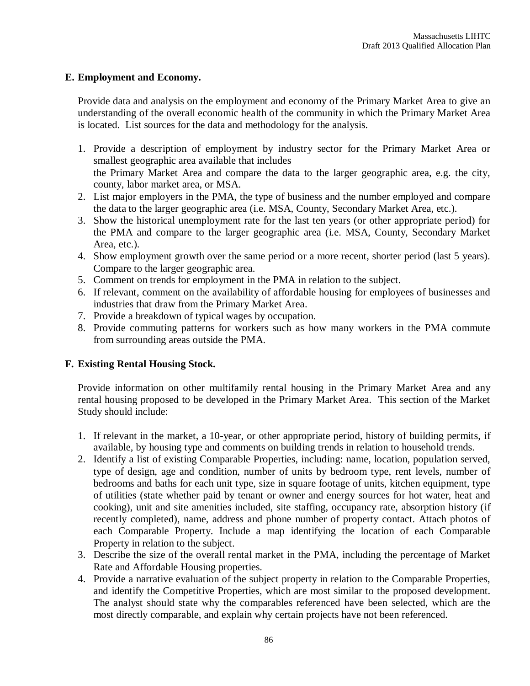### **E. Employment and Economy.**

Provide data and analysis on the employment and economy of the Primary Market Area to give an understanding of the overall economic health of the community in which the Primary Market Area is located. List sources for the data and methodology for the analysis.

- 1. Provide a description of employment by industry sector for the Primary Market Area or smallest geographic area available that includes the Primary Market Area and compare the data to the larger geographic area, e.g. the city, county, labor market area, or MSA.
- 2. List major employers in the PMA, the type of business and the number employed and compare the data to the larger geographic area (i.e. MSA, County, Secondary Market Area, etc.).
- 3. Show the historical unemployment rate for the last ten years (or other appropriate period) for the PMA and compare to the larger geographic area (i.e. MSA, County, Secondary Market Area, etc.).
- 4. Show employment growth over the same period or a more recent, shorter period (last 5 years). Compare to the larger geographic area.
- 5. Comment on trends for employment in the PMA in relation to the subject.
- 6. If relevant, comment on the availability of affordable housing for employees of businesses and industries that draw from the Primary Market Area.
- 7. Provide a breakdown of typical wages by occupation.
- 8. Provide commuting patterns for workers such as how many workers in the PMA commute from surrounding areas outside the PMA.

#### **F. Existing Rental Housing Stock.**

Provide information on other multifamily rental housing in the Primary Market Area and any rental housing proposed to be developed in the Primary Market Area. This section of the Market Study should include:

- 1. If relevant in the market, a 10-year, or other appropriate period, history of building permits, if available, by housing type and comments on building trends in relation to household trends.
- 2. Identify a list of existing Comparable Properties, including: name, location, population served, type of design, age and condition, number of units by bedroom type, rent levels, number of bedrooms and baths for each unit type, size in square footage of units, kitchen equipment, type of utilities (state whether paid by tenant or owner and energy sources for hot water, heat and cooking), unit and site amenities included, site staffing, occupancy rate, absorption history (if recently completed), name, address and phone number of property contact. Attach photos of each Comparable Property. Include a map identifying the location of each Comparable Property in relation to the subject.
- 3. Describe the size of the overall rental market in the PMA, including the percentage of Market Rate and Affordable Housing properties.
- 4. Provide a narrative evaluation of the subject property in relation to the Comparable Properties, and identify the Competitive Properties, which are most similar to the proposed development. The analyst should state why the comparables referenced have been selected, which are the most directly comparable, and explain why certain projects have not been referenced.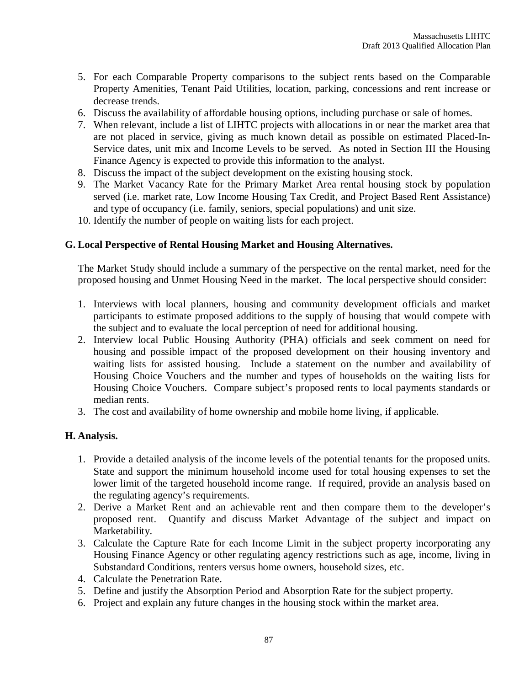- 5. For each Comparable Property comparisons to the subject rents based on the Comparable Property Amenities, Tenant Paid Utilities, location, parking, concessions and rent increase or decrease trends.
- 6. Discuss the availability of affordable housing options, including purchase or sale of homes.
- 7. When relevant, include a list of LIHTC projects with allocations in or near the market area that are not placed in service, giving as much known detail as possible on estimated Placed-In-Service dates, unit mix and Income Levels to be served. As noted in Section III the Housing Finance Agency is expected to provide this information to the analyst.
- 8. Discuss the impact of the subject development on the existing housing stock.
- 9. The Market Vacancy Rate for the Primary Market Area rental housing stock by population served (i.e. market rate, Low Income Housing Tax Credit, and Project Based Rent Assistance) and type of occupancy (i.e. family, seniors, special populations) and unit size.
- 10. Identify the number of people on waiting lists for each project.

#### **G. Local Perspective of Rental Housing Market and Housing Alternatives.**

The Market Study should include a summary of the perspective on the rental market, need for the proposed housing and Unmet Housing Need in the market. The local perspective should consider:

- 1. Interviews with local planners, housing and community development officials and market participants to estimate proposed additions to the supply of housing that would compete with the subject and to evaluate the local perception of need for additional housing.
- 2. Interview local Public Housing Authority (PHA) officials and seek comment on need for housing and possible impact of the proposed development on their housing inventory and waiting lists for assisted housing. Include a statement on the number and availability of Housing Choice Vouchers and the number and types of households on the waiting lists for Housing Choice Vouchers. Compare subject's proposed rents to local payments standards or median rents.
- 3. The cost and availability of home ownership and mobile home living, if applicable.

#### **H. Analysis.**

- 1. Provide a detailed analysis of the income levels of the potential tenants for the proposed units. State and support the minimum household income used for total housing expenses to set the lower limit of the targeted household income range. If required, provide an analysis based on the regulating agency's requirements.
- 2. Derive a Market Rent and an achievable rent and then compare them to the developer's proposed rent. Quantify and discuss Market Advantage of the subject and impact on Marketability.
- 3. Calculate the Capture Rate for each Income Limit in the subject property incorporating any Housing Finance Agency or other regulating agency restrictions such as age, income, living in Substandard Conditions, renters versus home owners, household sizes, etc.
- 4. Calculate the Penetration Rate.
- 5. Define and justify the Absorption Period and Absorption Rate for the subject property.
- 6. Project and explain any future changes in the housing stock within the market area.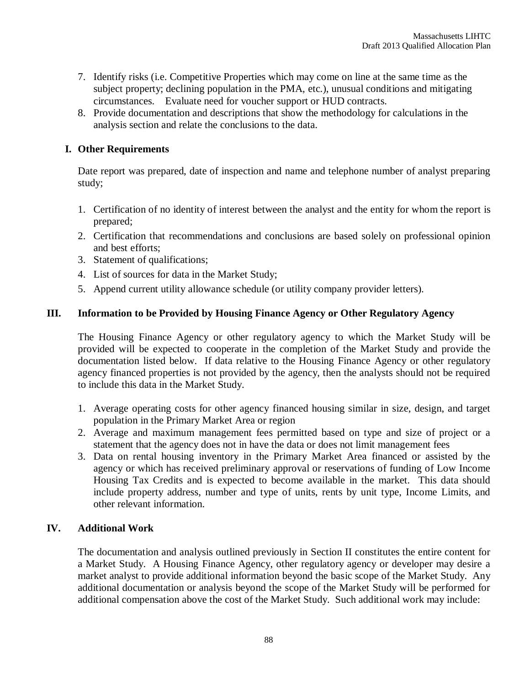- 7. Identify risks (i.e. Competitive Properties which may come on line at the same time as the subject property; declining population in the PMA, etc.), unusual conditions and mitigating circumstances. Evaluate need for voucher support or HUD contracts.
- 8. Provide documentation and descriptions that show the methodology for calculations in the analysis section and relate the conclusions to the data.

### **I. Other Requirements**

Date report was prepared, date of inspection and name and telephone number of analyst preparing study;

- 1. Certification of no identity of interest between the analyst and the entity for whom the report is prepared;
- 2. Certification that recommendations and conclusions are based solely on professional opinion and best efforts;
- 3. Statement of qualifications;
- 4. List of sources for data in the Market Study;
- 5. Append current utility allowance schedule (or utility company provider letters).

### **III. Information to be Provided by Housing Finance Agency or Other Regulatory Agency**

The Housing Finance Agency or other regulatory agency to which the Market Study will be provided will be expected to cooperate in the completion of the Market Study and provide the documentation listed below. If data relative to the Housing Finance Agency or other regulatory agency financed properties is not provided by the agency, then the analysts should not be required to include this data in the Market Study.

- 1. Average operating costs for other agency financed housing similar in size, design, and target population in the Primary Market Area or region
- 2. Average and maximum management fees permitted based on type and size of project or a statement that the agency does not in have the data or does not limit management fees
- 3. Data on rental housing inventory in the Primary Market Area financed or assisted by the agency or which has received preliminary approval or reservations of funding of Low Income Housing Tax Credits and is expected to become available in the market. This data should include property address, number and type of units, rents by unit type, Income Limits, and other relevant information.

### **IV. Additional Work**

The documentation and analysis outlined previously in Section II constitutes the entire content for a Market Study. A Housing Finance Agency, other regulatory agency or developer may desire a market analyst to provide additional information beyond the basic scope of the Market Study. Any additional documentation or analysis beyond the scope of the Market Study will be performed for additional compensation above the cost of the Market Study. Such additional work may include: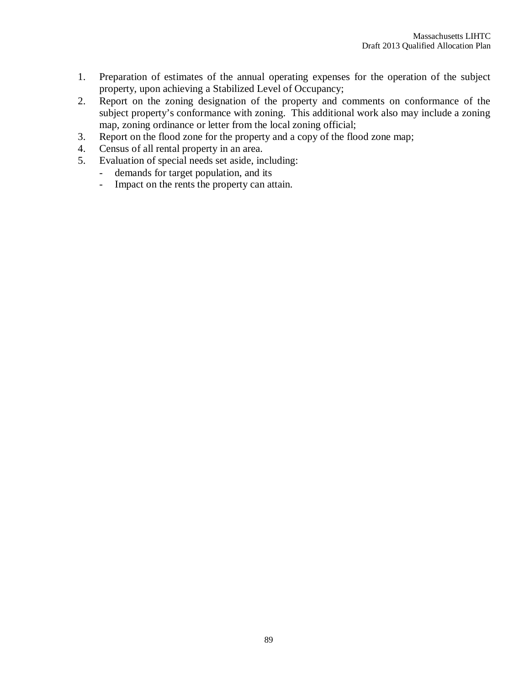- 1. Preparation of estimates of the annual operating expenses for the operation of the subject property, upon achieving a Stabilized Level of Occupancy;
- 2. Report on the zoning designation of the property and comments on conformance of the subject property's conformance with zoning. This additional work also may include a zoning map, zoning ordinance or letter from the local zoning official;
- 3. Report on the flood zone for the property and a copy of the flood zone map;
- 4. Census of all rental property in an area.<br>5. Evaluation of special needs set aside, in
- Evaluation of special needs set aside, including:
	- demands for target population, and its
	- Impact on the rents the property can attain.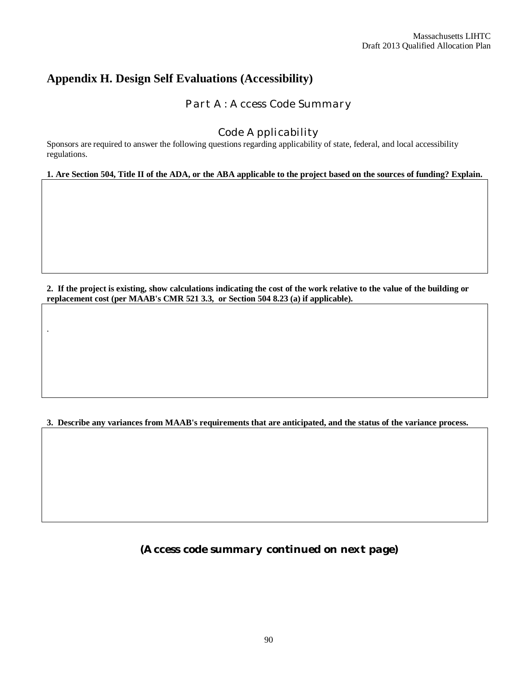# **Appendix H. Design Self Evaluations (Accessibility)**

.

*Part A: Access Code Summary*

## *Code Applicability*

Sponsors are required to answer the following questions regarding applicability of state, federal, and local accessibility regulations.

**1. Are Section 504, Title II of the ADA, or the ABA applicable to the project based on the sources of funding? Explain.**

**2. If the project is existing, show calculations indicating the cost of the work relative to the value of the building or replacement cost (per MAAB's CMR 521 3.3, or Section 504 8.23 (a) if applicable).**

**3. Describe any variances from MAAB's requirements that are anticipated, and the status of the variance process.**

*(Access code summary continued on next page)*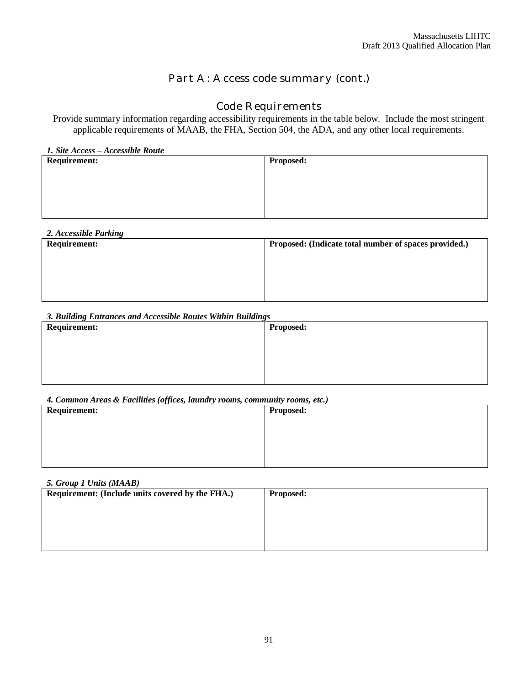# *Part A: Access code summary (cont.)*

# *Code Requirements*

Provide summary information regarding accessibility requirements in the table below. Include the most stringent applicable requirements of MAAB, the FHA, Section 504, the ADA, and any other local requirements.

| 1. Site Access - Accessible Route |                  |  |  |  |
|-----------------------------------|------------------|--|--|--|
| <b>Requirement:</b>               | <b>Proposed:</b> |  |  |  |
|                                   |                  |  |  |  |
|                                   |                  |  |  |  |
|                                   |                  |  |  |  |
|                                   |                  |  |  |  |
|                                   |                  |  |  |  |
|                                   |                  |  |  |  |
|                                   |                  |  |  |  |

| 2. Accessible Parking |                                                       |
|-----------------------|-------------------------------------------------------|
| <b>Requirement:</b>   | Proposed: (Indicate total number of spaces provided.) |
|                       |                                                       |
|                       |                                                       |
|                       |                                                       |
|                       |                                                       |
|                       |                                                       |
|                       |                                                       |
|                       |                                                       |

#### *3. Building Entrances and Accessible Routes Within Buildings*

| <b>Requirement:</b> | <b>Proposed:</b> |
|---------------------|------------------|
|                     |                  |
|                     |                  |
|                     |                  |
|                     |                  |

#### *4. Common Areas & Facilities (offices, laundry rooms, community rooms, etc.)*

| <b>Requirement:</b> | <b>Proposed:</b> |
|---------------------|------------------|
|                     |                  |
|                     |                  |
|                     |                  |
|                     |                  |

| 5. Group 1 Units (MAAB)                          |                  |  |  |  |
|--------------------------------------------------|------------------|--|--|--|
| Requirement: (Include units covered by the FHA.) | <b>Proposed:</b> |  |  |  |
|                                                  |                  |  |  |  |
|                                                  |                  |  |  |  |
|                                                  |                  |  |  |  |
|                                                  |                  |  |  |  |
|                                                  |                  |  |  |  |
|                                                  |                  |  |  |  |
|                                                  |                  |  |  |  |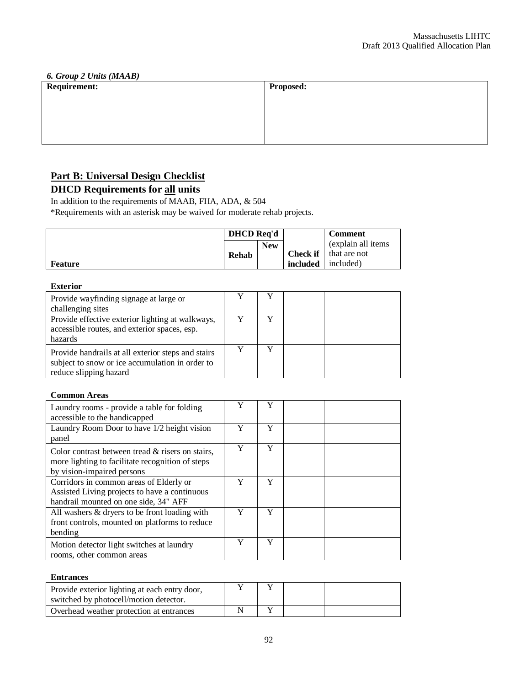| <b>6. Group 2 Units (MAAB)</b><br>Requirement: |  |  |  |  |  |
|------------------------------------------------|--|--|--|--|--|
| <b>Proposed:</b>                               |  |  |  |  |  |
|                                                |  |  |  |  |  |
|                                                |  |  |  |  |  |
|                                                |  |  |  |  |  |
|                                                |  |  |  |  |  |
|                                                |  |  |  |  |  |
|                                                |  |  |  |  |  |
|                                                |  |  |  |  |  |

# **Part B: Universal Design Checklist**

# **DHCD Requirements for all units**

In addition to the requirements of MAAB, FHA, ADA, & 504

\*Requirements with an asterisk may be waived for moderate rehab projects.

|         | <b>DHCD</b> Req'd |            |          | <b>Comment</b>                 |
|---------|-------------------|------------|----------|--------------------------------|
|         |                   | <b>New</b> |          | (explain all items)            |
|         | Rehab             |            |          | <b>Check if</b>   that are not |
| Feature |                   |            | included | included)                      |

#### **Exterior**

| Provide wayfinding signage at large or<br>challenging sites                                                                     |  |  |
|---------------------------------------------------------------------------------------------------------------------------------|--|--|
| Provide effective exterior lighting at walkways,<br>accessible routes, and exterior spaces, esp.<br>hazards                     |  |  |
| Provide handrails at all exterior steps and stairs<br>subject to snow or ice accumulation in order to<br>reduce slipping hazard |  |  |

#### **Common Areas**

| Laundry rooms - provide a table for folding<br>accessible to the handicapped                                                          | Y | Y |  |
|---------------------------------------------------------------------------------------------------------------------------------------|---|---|--|
| Laundry Room Door to have 1/2 height vision<br>panel                                                                                  | Y | Y |  |
| Color contrast between tread $\&$ risers on stairs,<br>more lighting to facilitate recognition of steps<br>by vision-impaired persons | Y | Y |  |
| Corridors in common areas of Elderly or<br>Assisted Living projects to have a continuous<br>handrail mounted on one side, 34" AFF     | Y | Y |  |
| All washers & dryers to be front loading with<br>front controls, mounted on platforms to reduce<br>bending                            | Y | Y |  |
| Motion detector light switches at laundry<br>rooms, other common areas                                                                | Y | Y |  |

#### **Entrances**

| Provide exterior lighting at each entry door,<br>switched by photocell/motion detector. |  |  |
|-----------------------------------------------------------------------------------------|--|--|
| Overhead weather protection at entrances                                                |  |  |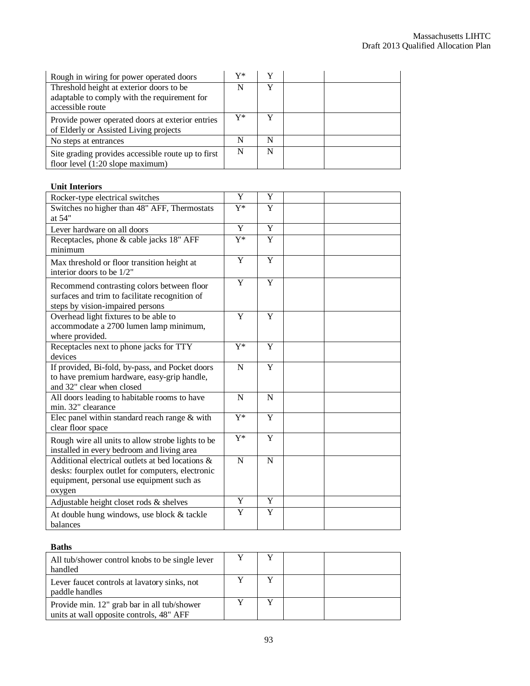| Rough in wiring for power operated doors                                                                     | $\mathbf{V}^*$ |   |  |
|--------------------------------------------------------------------------------------------------------------|----------------|---|--|
| Threshold height at exterior doors to be<br>adaptable to comply with the requirement for<br>accessible route | N              | v |  |
| Provide power operated doors at exterior entries<br>of Elderly or Assisted Living projects                   | Y*             |   |  |
| No steps at entrances                                                                                        | N              | N |  |
| Site grading provides accessible route up to first<br>floor level (1:20 slope maximum)                       | N              |   |  |

#### **Unit Interiors**

| Rocker-type electrical switches                                                                                                                             | Y                | Y |  |
|-------------------------------------------------------------------------------------------------------------------------------------------------------------|------------------|---|--|
| Switches no higher than 48" AFF, Thermostats<br>at 54"                                                                                                      | $Y^*$            | Y |  |
| Lever hardware on all doors                                                                                                                                 | Y                | Y |  |
| Receptacles, phone & cable jacks 18" AFF<br>minimum                                                                                                         | $Y^*$            | Y |  |
| Max threshold or floor transition height at<br>interior doors to be 1/2"                                                                                    | Y                | Y |  |
| Recommend contrasting colors between floor<br>surfaces and trim to facilitate recognition of<br>steps by vision-impaired persons                            | $\overline{Y}$   | Y |  |
| Overhead light fixtures to be able to<br>accommodate a 2700 lumen lamp minimum,<br>where provided.                                                          | Y                | Y |  |
| Receptacles next to phone jacks for TTY<br>devices                                                                                                          | $\overline{Y^*}$ | Y |  |
| If provided, Bi-fold, by-pass, and Pocket doors<br>to have premium hardware, easy-grip handle,<br>and 32" clear when closed                                 | $\mathbf N$      | Y |  |
| All doors leading to habitable rooms to have<br>min. 32" clearance                                                                                          | N                | N |  |
| Elec panel within standard reach range $&$ with<br>clear floor space                                                                                        | $Y^*$            | Y |  |
| Rough wire all units to allow strobe lights to be<br>installed in every bedroom and living area                                                             | $\overline{Y^*}$ | Y |  |
| Additional electrical outlets at bed locations &<br>desks: fourplex outlet for computers, electronic<br>equipment, personal use equipment such as<br>oxygen | $\mathbf N$      | N |  |
| Adjustable height closet rods & shelves                                                                                                                     | Y                | Y |  |
| At double hung windows, use block & tackle<br>balances                                                                                                      | Y                | Y |  |

#### **Baths**

| All tub/shower control knobs to be single lever<br>handled                              |  |  |
|-----------------------------------------------------------------------------------------|--|--|
| Lever faucet controls at lavatory sinks, not<br>paddle handles                          |  |  |
| Provide min. 12" grab bar in all tub/shower<br>units at wall opposite controls, 48" AFF |  |  |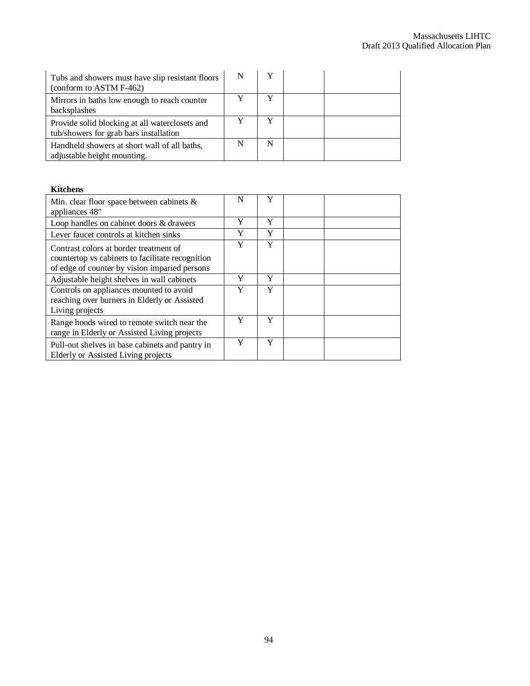| Tubs and showers must have slip resistant floors<br>(conform to ASTM F-462)              |  |  |
|------------------------------------------------------------------------------------------|--|--|
| Mirrors in baths low enough to reach counter<br>backsplashes                             |  |  |
| Provide solid blocking at all waterclosets and<br>tub/showers for grab bars installation |  |  |
| Handheld showers at short wall of all baths,<br>adjustable height mounting.              |  |  |

#### **Kitchens**

| Min. clear floor space between cabinets $\&$<br>appliances 48"                                                                              | N | Y |  |
|---------------------------------------------------------------------------------------------------------------------------------------------|---|---|--|
| Loop handles on cabinet doors & drawers                                                                                                     | Y | Y |  |
| Lever faucet controls at kitchen sinks                                                                                                      | Y | Y |  |
| Contrast colors at border treatment of<br>countertop vs cabinets to facilitate recognition<br>of edge of counter by vision imparied persons | Y | Y |  |
| Adjustable height shelves in wall cabinets                                                                                                  | Y | Y |  |
| Controls on appliances mounted to avoid<br>reaching over burners in Elderly or Assisted<br>Living projects                                  | Y | Y |  |
| Range hoods wired to remote switch near the<br>range in Elderly or Assisted Living projects                                                 | Y | Y |  |
| Pull-out shelves in base cabinets and pantry in<br>Elderly or Assisted Living projects                                                      | Y | Y |  |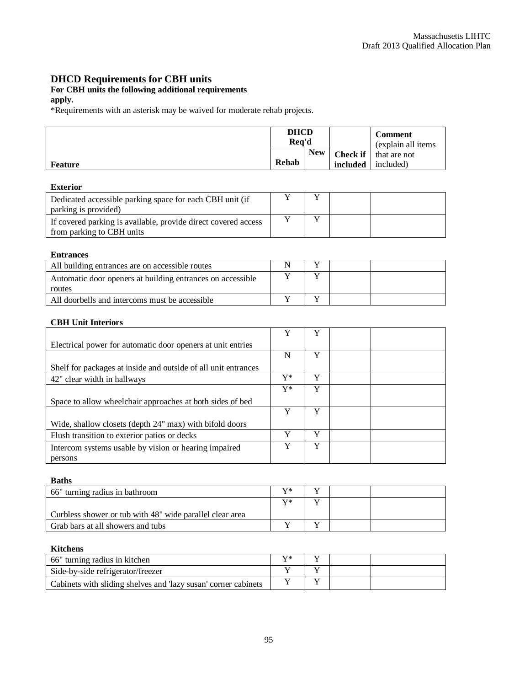## **DHCD Requirements for CBH units**

#### **For CBH units the following additional requirements**

#### **apply.**

\*Requirements with an asterisk may be waived for moderate rehab projects.

|                | <b>DHCD</b><br>Rea'd |            |          |                                           | <b>Comment</b><br>(explain all items) |
|----------------|----------------------|------------|----------|-------------------------------------------|---------------------------------------|
| <b>Feature</b> | Rehab                | <b>New</b> | included | <b>Check if</b> that are not<br>included) |                                       |

#### **Exterior**

| Dedicated accessible parking space for each CBH unit (if       |  |  |
|----------------------------------------------------------------|--|--|
| parking is provided)                                           |  |  |
| If covered parking is available, provide direct covered access |  |  |
| from parking to CBH units                                      |  |  |

#### **Entrances**

| All building entrances are on accessible routes            |  |  |
|------------------------------------------------------------|--|--|
| Automatic door openers at building entrances on accessible |  |  |
| routes                                                     |  |  |
| All doorbells and intercoms must be accessible             |  |  |

#### **CBH Unit Interiors**

|                                                                | Y  | Y |  |
|----------------------------------------------------------------|----|---|--|
| Electrical power for automatic door openers at unit entries    |    |   |  |
|                                                                | N  | Y |  |
| Shelf for packages at inside and outside of all unit entrances |    |   |  |
| 42" clear width in hallways                                    | Y* | Y |  |
|                                                                | Y* | Y |  |
| Space to allow wheelchair approaches at both sides of bed      |    |   |  |
|                                                                | v  | Y |  |
| Wide, shallow closets (depth 24" max) with bifold doors        |    |   |  |
| Flush transition to exterior patios or decks                   |    | v |  |
| Intercom systems usable by vision or hearing impaired          | v  | Y |  |
| persons                                                        |    |   |  |

#### **Baths**

| 66" turning radius in bathroom                           | v* |  |  |
|----------------------------------------------------------|----|--|--|
|                                                          | v* |  |  |
| Curbless shower or tub with 48" wide parallel clear area |    |  |  |
| Grab bars at all showers and tubs                        |    |  |  |

#### **Kitchens**

| 66" turning radius in kitchen                                  | v* |  |  |
|----------------------------------------------------------------|----|--|--|
| Side-by-side refrigerator/freezer                              |    |  |  |
| Cabinets with sliding shelves and 'lazy susan' corner cabinets |    |  |  |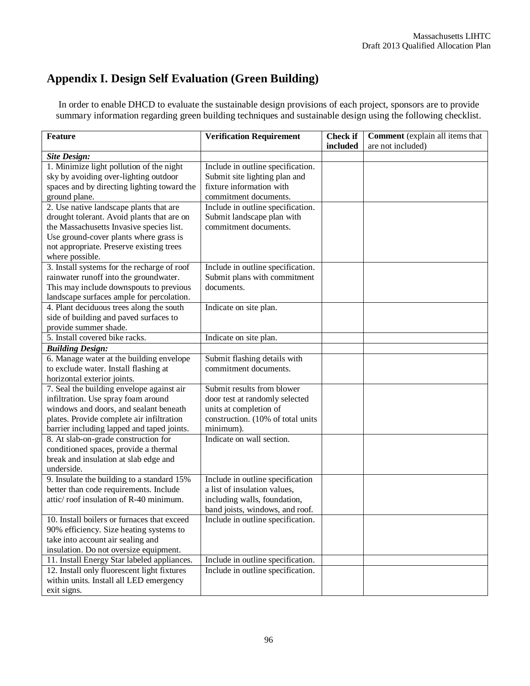# **Appendix I. Design Self Evaluation (Green Building)**

In order to enable DHCD to evaluate the sustainable design provisions of each project, sponsors are to provide summary information regarding green building techniques and sustainable design using the following checklist.

| <b>Feature</b>                                                                             | <b>Verification Requirement</b>                                        | <b>Check if</b> | Comment (explain all items that |
|--------------------------------------------------------------------------------------------|------------------------------------------------------------------------|-----------------|---------------------------------|
|                                                                                            |                                                                        | included        | are not included)               |
| <b>Site Design:</b>                                                                        |                                                                        |                 |                                 |
| 1. Minimize light pollution of the night                                                   | Include in outline specification.                                      |                 |                                 |
| sky by avoiding over-lighting outdoor                                                      | Submit site lighting plan and                                          |                 |                                 |
| spaces and by directing lighting toward the                                                | fixture information with                                               |                 |                                 |
| ground plane.                                                                              | commitment documents.                                                  |                 |                                 |
| 2. Use native landscape plants that are                                                    | Include in outline specification.                                      |                 |                                 |
| drought tolerant. Avoid plants that are on                                                 | Submit landscape plan with                                             |                 |                                 |
| the Massachusetts Invasive species list.                                                   | commitment documents.                                                  |                 |                                 |
| Use ground-cover plants where grass is                                                     |                                                                        |                 |                                 |
| not appropriate. Preserve existing trees                                                   |                                                                        |                 |                                 |
| where possible.                                                                            |                                                                        |                 |                                 |
| 3. Install systems for the recharge of roof                                                | Include in outline specification.                                      |                 |                                 |
| rainwater runoff into the groundwater.                                                     | Submit plans with commitment                                           |                 |                                 |
| This may include downspouts to previous                                                    | documents.                                                             |                 |                                 |
| landscape surfaces ample for percolation.                                                  |                                                                        |                 |                                 |
| 4. Plant deciduous trees along the south                                                   | Indicate on site plan.                                                 |                 |                                 |
| side of building and paved surfaces to                                                     |                                                                        |                 |                                 |
| provide summer shade.                                                                      |                                                                        |                 |                                 |
| 5. Install covered bike racks.                                                             | Indicate on site plan.                                                 |                 |                                 |
| <b>Building Design:</b>                                                                    |                                                                        |                 |                                 |
| 6. Manage water at the building envelope                                                   | Submit flashing details with                                           |                 |                                 |
| to exclude water. Install flashing at                                                      | commitment documents.                                                  |                 |                                 |
| horizontal exterior joints.                                                                |                                                                        |                 |                                 |
| 7. Seal the building envelope against air                                                  | Submit results from blower                                             |                 |                                 |
| infiltration. Use spray foam around                                                        | door test at randomly selected                                         |                 |                                 |
| windows and doors, and sealant beneath                                                     | units at completion of                                                 |                 |                                 |
| plates. Provide complete air infiltration                                                  | construction. (10% of total units                                      |                 |                                 |
| barrier including lapped and taped joints.                                                 | minimum).                                                              |                 |                                 |
| 8. At slab-on-grade construction for                                                       | Indicate on wall section.                                              |                 |                                 |
| conditioned spaces, provide a thermal                                                      |                                                                        |                 |                                 |
| break and insulation at slab edge and                                                      |                                                                        |                 |                                 |
| underside.                                                                                 |                                                                        |                 |                                 |
| 9. Insulate the building to a standard 15%                                                 | Include in outline specification                                       |                 |                                 |
| better than code requirements. Include                                                     | a list of insulation values,                                           |                 |                                 |
| attic/roof insulation of R-40 minimum.                                                     | including walls, foundation,                                           |                 |                                 |
|                                                                                            | band joists, windows, and roof.                                        |                 |                                 |
| 10. Install boilers or furnaces that exceed                                                | Include in outline specification.                                      |                 |                                 |
| 90% efficiency. Size heating systems to                                                    |                                                                        |                 |                                 |
| take into account air sealing and                                                          |                                                                        |                 |                                 |
| insulation. Do not oversize equipment.                                                     |                                                                        |                 |                                 |
| 11. Install Energy Star labeled appliances.<br>12. Install only fluorescent light fixtures | Include in outline specification.<br>Include in outline specification. |                 |                                 |
| within units. Install all LED emergency                                                    |                                                                        |                 |                                 |
|                                                                                            |                                                                        |                 |                                 |
| exit signs.                                                                                |                                                                        |                 |                                 |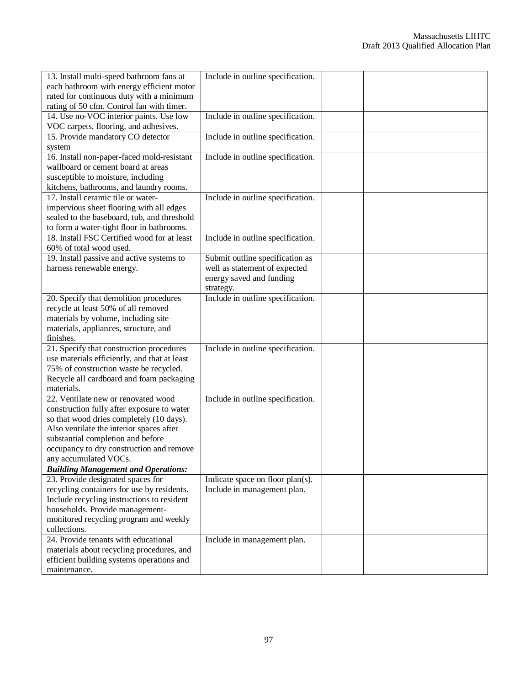| 13. Install multi-speed bathroom fans at                                               | Include in outline specification. |  |
|----------------------------------------------------------------------------------------|-----------------------------------|--|
| each bathroom with energy efficient motor                                              |                                   |  |
| rated for continuous duty with a minimum                                               |                                   |  |
| rating of 50 cfm. Control fan with timer.                                              |                                   |  |
| 14. Use no-VOC interior paints. Use low                                                | Include in outline specification. |  |
| VOC carpets, flooring, and adhesives.                                                  |                                   |  |
| 15. Provide mandatory CO detector                                                      | Include in outline specification. |  |
| system                                                                                 |                                   |  |
| 16. Install non-paper-faced mold-resistant                                             | Include in outline specification. |  |
| wallboard or cement board at areas                                                     |                                   |  |
| susceptible to moisture, including                                                     |                                   |  |
| kitchens, bathrooms, and laundry rooms.                                                |                                   |  |
| 17. Install ceramic tile or water-                                                     | Include in outline specification. |  |
| impervious sheet flooring with all edges                                               |                                   |  |
| sealed to the baseboard, tub, and threshold                                            |                                   |  |
| to form a water-tight floor in bathrooms.                                              |                                   |  |
| 18. Install FSC Certified wood for at least                                            | Include in outline specification. |  |
| 60% of total wood used.                                                                |                                   |  |
| 19. Install passive and active systems to                                              | Submit outline specification as   |  |
| harness renewable energy.                                                              | well as statement of expected     |  |
|                                                                                        | energy saved and funding          |  |
|                                                                                        | strategy.                         |  |
| 20. Specify that demolition procedures                                                 | Include in outline specification. |  |
| recycle at least 50% of all removed                                                    |                                   |  |
| materials by volume, including site                                                    |                                   |  |
| materials, appliances, structure, and                                                  |                                   |  |
| finishes.                                                                              |                                   |  |
| 21. Specify that construction procedures                                               | Include in outline specification. |  |
| use materials efficiently, and that at least<br>75% of construction waste be recycled. |                                   |  |
| Recycle all cardboard and foam packaging                                               |                                   |  |
| materials.                                                                             |                                   |  |
| 22. Ventilate new or renovated wood                                                    | Include in outline specification. |  |
| construction fully after exposure to water                                             |                                   |  |
| so that wood dries completely (10 days).                                               |                                   |  |
| Also ventilate the interior spaces after                                               |                                   |  |
| substantial completion and before                                                      |                                   |  |
| occupancy to dry construction and remove                                               |                                   |  |
| any accumulated VOCs.                                                                  |                                   |  |
| <b>Building Management and Operations:</b>                                             |                                   |  |
| 23. Provide designated spaces for                                                      | Indicate space on floor plan(s).  |  |
| recycling containers for use by residents.                                             | Include in management plan.       |  |
| Include recycling instructions to resident                                             |                                   |  |
| households. Provide management-                                                        |                                   |  |
| monitored recycling program and weekly                                                 |                                   |  |
| collections.                                                                           |                                   |  |
| 24. Provide tenants with educational                                                   | Include in management plan.       |  |
| materials about recycling procedures, and                                              |                                   |  |
| efficient building systems operations and                                              |                                   |  |
| maintenance.                                                                           |                                   |  |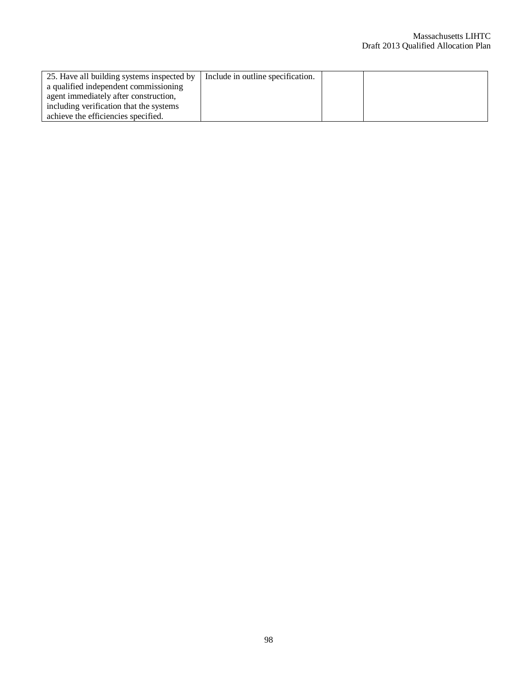| 25. Have all building systems inspected by | Include in outline specification. |  |
|--------------------------------------------|-----------------------------------|--|
| a qualified independent commissioning      |                                   |  |
| agent immediately after construction,      |                                   |  |
| including verification that the systems    |                                   |  |
| achieve the efficiencies specified.        |                                   |  |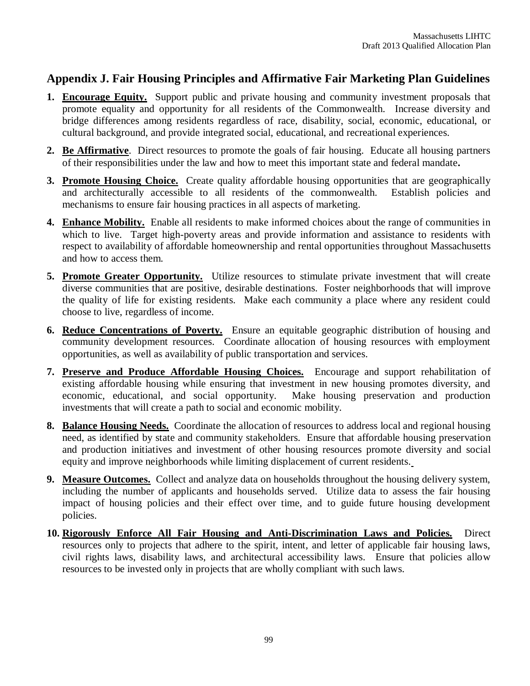# **Appendix J. Fair Housing Principles and Affirmative Fair Marketing Plan Guidelines**

- **1. Encourage Equity.** Support public and private housing and community investment proposals that promote equality and opportunity for all residents of the Commonwealth. Increase diversity and bridge differences among residents regardless of race, disability, social, economic, educational, or cultural background, and provide integrated social, educational, and recreational experiences.
- **2. Be Affirmative**. Direct resources to promote the goals of fair housing. Educate all housing partners of their responsibilities under the law and how to meet this important state and federal mandate**.**
- **3. Promote Housing Choice.** Create quality affordable housing opportunities that are geographically and architecturally accessible to all residents of the commonwealth. Establish policies and mechanisms to ensure fair housing practices in all aspects of marketing.
- **4. Enhance Mobility.** Enable all residents to make informed choices about the range of communities in which to live. Target high-poverty areas and provide information and assistance to residents with respect to availability of affordable homeownership and rental opportunities throughout Massachusetts and how to access them.
- **5. Promote Greater Opportunity.** Utilize resources to stimulate private investment that will create diverse communities that are positive, desirable destinations. Foster neighborhoods that will improve the quality of life for existing residents. Make each community a place where any resident could choose to live, regardless of income.
- **6. Reduce Concentrations of Poverty.** Ensure an equitable geographic distribution of housing and community development resources. Coordinate allocation of housing resources with employment opportunities, as well as availability of public transportation and services.
- **7. Preserve and Produce Affordable Housing Choices.** Encourage and support rehabilitation of existing affordable housing while ensuring that investment in new housing promotes diversity, and economic, educational, and social opportunity. Make housing preservation and production investments that will create a path to social and economic mobility.
- **8. Balance Housing Needs.** Coordinate the allocation of resources to address local and regional housing need, as identified by state and community stakeholders. Ensure that affordable housing preservation and production initiatives and investment of other housing resources promote diversity and social equity and improve neighborhoods while limiting displacement of current residents.
- **9. Measure Outcomes.** Collect and analyze data on households throughout the housing delivery system, including the number of applicants and households served. Utilize data to assess the fair housing impact of housing policies and their effect over time, and to guide future housing development policies.
- **10. Rigorously Enforce All Fair Housing and Anti-Discrimination Laws and Policies.** Direct resources only to projects that adhere to the spirit, intent, and letter of applicable fair housing laws, civil rights laws, disability laws, and architectural accessibility laws. Ensure that policies allow resources to be invested only in projects that are wholly compliant with such laws.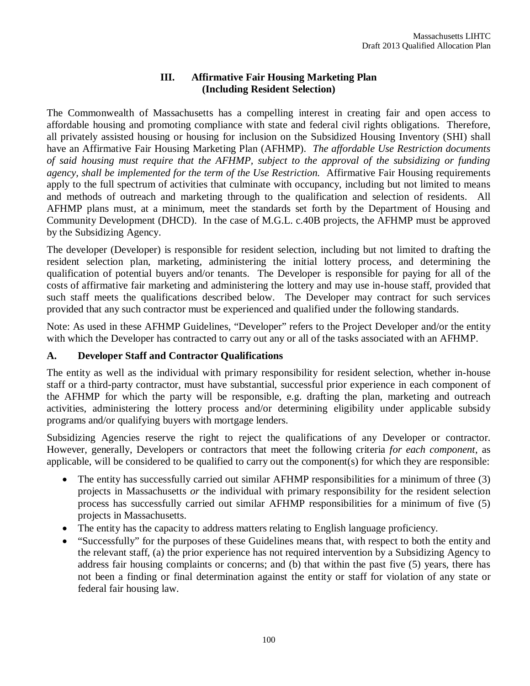### **III. Affirmative Fair Housing Marketing Plan (Including Resident Selection)**

The Commonwealth of Massachusetts has a compelling interest in creating fair and open access to affordable housing and promoting compliance with state and federal civil rights obligations. Therefore, all privately assisted housing or housing for inclusion on the Subsidized Housing Inventory (SHI) shall have an Affirmative Fair Housing Marketing Plan (AFHMP). *The affordable Use Restriction documents of said housing must require that the AFHMP, subject to the approval of the subsidizing or funding agency, shall be implemented for the term of the Use Restriction.* Affirmative Fair Housing requirements apply to the full spectrum of activities that culminate with occupancy, including but not limited to means and methods of outreach and marketing through to the qualification and selection of residents. All AFHMP plans must, at a minimum, meet the standards set forth by the Department of Housing and Community Development (DHCD). In the case of M.G.L. c.40B projects, the AFHMP must be approved by the Subsidizing Agency.

The developer (Developer) is responsible for resident selection, including but not limited to drafting the resident selection plan, marketing, administering the initial lottery process, and determining the qualification of potential buyers and/or tenants. The Developer is responsible for paying for all of the costs of affirmative fair marketing and administering the lottery and may use in-house staff, provided that such staff meets the qualifications described below. The Developer may contract for such services provided that any such contractor must be experienced and qualified under the following standards.

Note: As used in these AFHMP Guidelines, "Developer" refers to the Project Developer and/or the entity with which the Developer has contracted to carry out any or all of the tasks associated with an AFHMP.

### **A. Developer Staff and Contractor Qualifications**

The entity as well as the individual with primary responsibility for resident selection, whether in-house staff or a third-party contractor, must have substantial, successful prior experience in each component of the AFHMP for which the party will be responsible, e.g. drafting the plan, marketing and outreach activities, administering the lottery process and/or determining eligibility under applicable subsidy programs and/or qualifying buyers with mortgage lenders.

Subsidizing Agencies reserve the right to reject the qualifications of any Developer or contractor. However, generally, Developers or contractors that meet the following criteria *for each component*, as applicable, will be considered to be qualified to carry out the component(s) for which they are responsible:

- The entity has successfully carried out similar AFHMP responsibilities for a minimum of three (3) projects in Massachusetts *or* the individual with primary responsibility for the resident selection process has successfully carried out similar AFHMP responsibilities for a minimum of five (5) projects in Massachusetts.
- The entity has the capacity to address matters relating to English language proficiency.
- "Successfully" for the purposes of these Guidelines means that, with respect to both the entity and the relevant staff, (a) the prior experience has not required intervention by a Subsidizing Agency to address fair housing complaints or concerns; and (b) that within the past five (5) years, there has not been a finding or final determination against the entity or staff for violation of any state or federal fair housing law.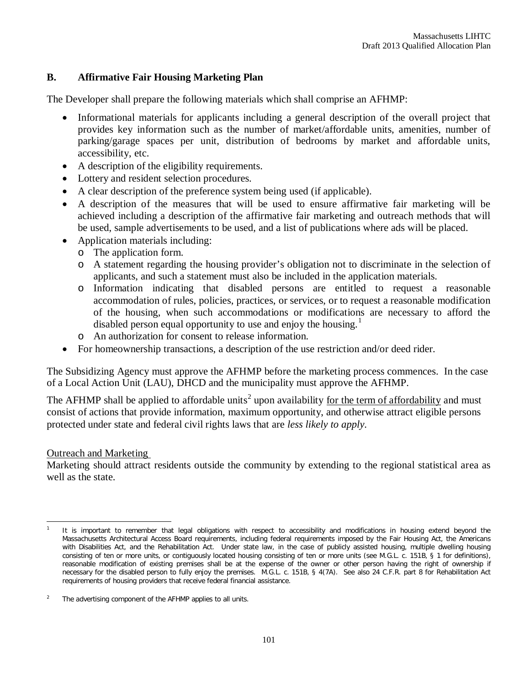### **B. Affirmative Fair Housing Marketing Plan**

The Developer shall prepare the following materials which shall comprise an AFHMP:

- Informational materials for applicants including a general description of the overall project that provides key information such as the number of market/affordable units, amenities, number of parking/garage spaces per unit, distribution of bedrooms by market and affordable units, accessibility, etc.
- A description of the eligibility requirements.
- Lottery and resident selection procedures.
- A clear description of the preference system being used (if applicable).
- A description of the measures that will be used to ensure affirmative fair marketing will be achieved including a description of the affirmative fair marketing and outreach methods that will be used, sample advertisements to be used, and a list of publications where ads will be placed.
- Application materials including:
	- o The application form.
	- o A statement regarding the housing provider's obligation not to discriminate in the selection of applicants, and such a statement must also be included in the application materials.
	- o Information indicating that disabled persons are entitled to request a reasonable accommodation of rules, policies, practices, or services, or to request a reasonable modification of the housing, when such accommodations or modifications are necessary to afford the disabled person equal opportunity to use and enjoy the housing.<sup>1</sup>
	- o An authorization for consent to release information.
- For homeownership transactions, a description of the use restriction and/or deed rider.

The Subsidizing Agency must approve the AFHMP before the marketing process commences. In the case of a Local Action Unit (LAU), DHCD and the municipality must approve the AFHMP.

The AFHMP shall be applied to affordable units<sup>2</sup> upon availability <u>for the term of affordability</u> and must consist of actions that provide information, maximum opportunity, and otherwise attract eligible persons protected under state and federal civil rights laws that are *less likely to apply*.

### Outreach and Marketing

Marketing should attract residents outside the community by extending to the regional statistical area as well as the state.

 $\overline{a}$ 1 It is important to remember that legal obligations with respect to accessibility and modifications in housing extend beyond the Massachusetts Architectural Access Board requirements, including federal requirements imposed by the Fair Housing Act, the Americans with Disabilities Act, and the Rehabilitation Act. Under state law, in the case of publicly assisted housing, multiple dwelling housing consisting of ten or more units, or contiguously located housing consisting of ten or more units (see M.G.L. c. 151B, § 1 for definitions), reasonable modification of existing premises shall *be at the expense of the owner* or other person having the right of ownership if necessary for the disabled person to fully enjoy the premises. M.G.L. c. 151B, § 4(7A). See also 24 C.F.R. part 8 for Rehabilitation Act requirements of housing providers that receive federal financial assistance.

<sup>2</sup> The advertising component of the AFHMP applies to all units.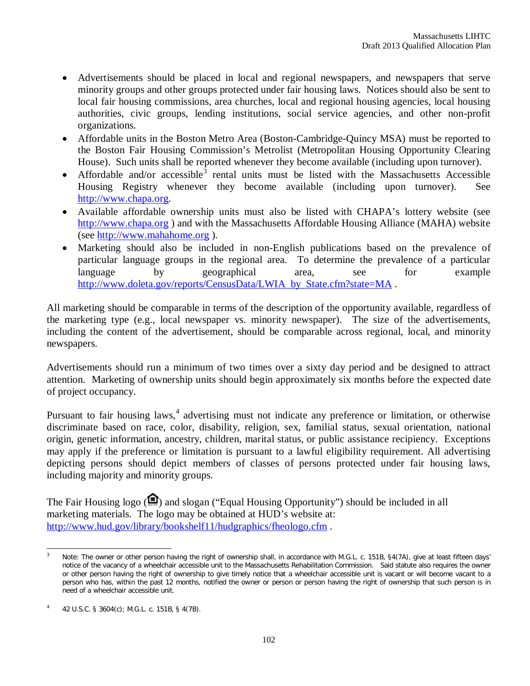- Advertisements should be placed in local and regional newspapers, and newspapers that serve minority groups and other groups protected under fair housing laws. Notices should also be sent to local fair housing commissions, area churches, local and regional housing agencies, local housing authorities, civic groups, lending institutions, social service agencies, and other non-profit organizations.
- Affordable units in the Boston Metro Area (Boston-Cambridge-Quincy MSA) must be reported to the Boston Fair Housing Commission's Metrolist (Metropolitan Housing Opportunity Clearing House). Such units shall be reported whenever they become available (including upon turnover).
- Affordable and/or accessible<sup>3</sup> rental units must be listed with the Massachusetts Accessible Housing Registry whenever they become available (including upon turnover). See http://www.chapa.org.
- Available affordable ownership units must also be listed with CHAPA's lottery website (see http://www.chapa.org ) and with the Massachusetts Affordable Housing Alliance (MAHA) website (see http://www.mahahome.org ).
- Marketing should also be included in non-English publications based on the prevalence of particular language groups in the regional area. To determine the prevalence of a particular language by geographical area, see for example http://www.doleta.gov/reports/CensusData/LWIA\_by\_State.cfm?state=MA.

All marketing should be comparable in terms of the description of the opportunity available, regardless of the marketing type (e.g., local newspaper vs. minority newspaper). The size of the advertisements, including the content of the advertisement, should be comparable across regional, local, and minority newspapers.

Advertisements should run a minimum of two times over a sixty day period and be designed to attract attention. Marketing of ownership units should begin approximately six months before the expected date of project occupancy.

Pursuant to fair housing laws,<sup>4</sup> advertising must not indicate any preference or limitation, or otherwise discriminate based on race, color, disability, religion, sex, familial status, sexual orientation, national origin, genetic information, ancestry, children, marital status, or public assistance recipiency. Exceptions may apply if the preference or limitation is pursuant to a lawful eligibility requirement. All advertising depicting persons should depict members of classes of persons protected under fair housing laws, including majority and minority groups.

The Fair Housing logo  $( \bigcirc )$  and slogan ("Equal Housing Opportunity") should be included in all marketing materials. The logo may be obtained at HUD's website at: http://www.hud.gov/library/bookshelf11/hudgraphics/fheologo.cfm .

 $\overline{3}$ Note: The owner or other person having the right of ownership shall, in accordance with M.G.L. c. 151B, §4(7A), give at least fifteen days' notice of the vacancy of a wheelchair accessible unit to the Massachusetts Rehabilitation Commission. Said statute also requires the owner or other person having the right of ownership to give timely notice that a wheelchair accessible unit is vacant or will become vacant to a person who has, within the past 12 months, notified the owner or person or person having the right of ownership that such person is in need of a wheelchair accessible unit.

<sup>4</sup> 42 U.S.C. § 3604(c); M.G.L. c. 151B, § 4(7B).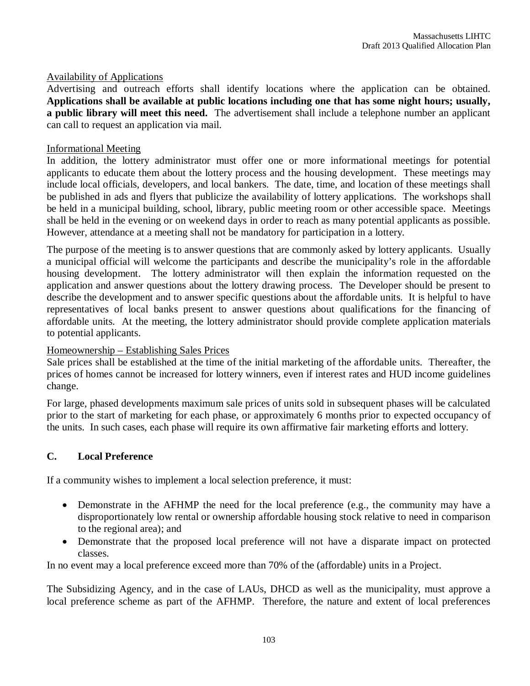#### Availability of Applications

Advertising and outreach efforts shall identify locations where the application can be obtained. **Applications shall be available at public locations including one that has some night hours; usually, a public library will meet this need.** The advertisement shall include a telephone number an applicant can call to request an application via mail.

#### Informational Meeting

In addition, the lottery administrator must offer one or more informational meetings for potential applicants to educate them about the lottery process and the housing development. These meetings may include local officials, developers, and local bankers. The date, time, and location of these meetings shall be published in ads and flyers that publicize the availability of lottery applications. The workshops shall be held in a municipal building, school, library, public meeting room or other accessible space. Meetings shall be held in the evening or on weekend days in order to reach as many potential applicants as possible. However, attendance at a meeting shall not be mandatory for participation in a lottery.

The purpose of the meeting is to answer questions that are commonly asked by lottery applicants. Usually a municipal official will welcome the participants and describe the municipality's role in the affordable housing development. The lottery administrator will then explain the information requested on the application and answer questions about the lottery drawing process. The Developer should be present to describe the development and to answer specific questions about the affordable units. It is helpful to have representatives of local banks present to answer questions about qualifications for the financing of affordable units. At the meeting, the lottery administrator should provide complete application materials to potential applicants.

#### Homeownership – Establishing Sales Prices

Sale prices shall be established at the time of the initial marketing of the affordable units. Thereafter, the prices of homes cannot be increased for lottery winners, even if interest rates and HUD income guidelines change.

For large, phased developments maximum sale prices of units sold in subsequent phases will be calculated prior to the start of marketing for each phase, or approximately 6 months prior to expected occupancy of the units. In such cases, each phase will require its own affirmative fair marketing efforts and lottery.

#### **C. Local Preference**

If a community wishes to implement a local selection preference, it must:

- Demonstrate in the AFHMP the need for the local preference (e.g., the community may have a disproportionately low rental or ownership affordable housing stock relative to need in comparison to the regional area); and
- Demonstrate that the proposed local preference will not have a disparate impact on protected classes.

In no event may a local preference exceed more than 70% of the (affordable) units in a Project.

The Subsidizing Agency, and in the case of LAUs, DHCD as well as the municipality, must approve a local preference scheme as part of the AFHMP. Therefore, the nature and extent of local preferences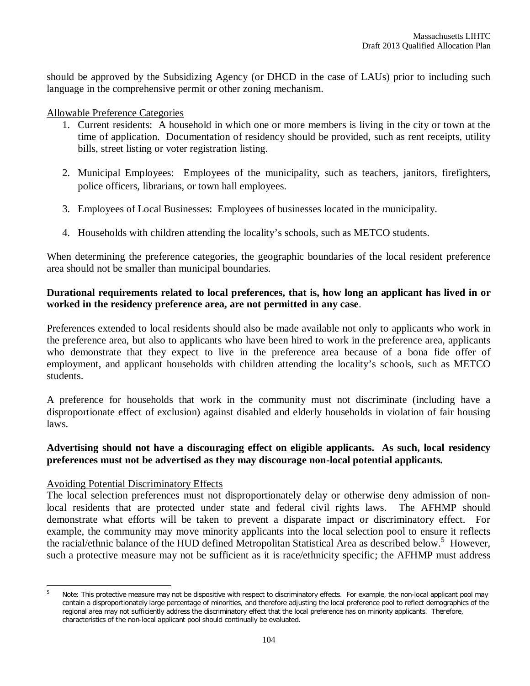should be approved by the Subsidizing Agency (or DHCD in the case of LAUs) prior to including such language in the comprehensive permit or other zoning mechanism.

Allowable Preference Categories

- 1. Current residents: A household in which one or more members is living in the city or town at the time of application. Documentation of residency should be provided, such as rent receipts, utility bills, street listing or voter registration listing.
- 2. Municipal Employees: Employees of the municipality, such as teachers, janitors, firefighters, police officers, librarians, or town hall employees.
- 3. Employees of Local Businesses: Employees of businesses located in the municipality.
- 4. Households with children attending the locality's schools, such as METCO students.

When determining the preference categories, the geographic boundaries of the local resident preference area should not be smaller than municipal boundaries.

#### **Durational requirements related to local preferences, that is, how long an applicant has lived in or worked in the residency preference area, are not permitted in any case**.

Preferences extended to local residents should also be made available not only to applicants who work in the preference area, but also to applicants who have been hired to work in the preference area, applicants who demonstrate that they expect to live in the preference area because of a bona fide offer of employment, and applicant households with children attending the locality's schools, such as METCO students.

A preference for households that work in the community must not discriminate (including have a disproportionate effect of exclusion) against disabled and elderly households in violation of fair housing laws.

### **Advertising should not have a discouraging effect on eligible applicants. As such, local residency preferences must not be advertised as they may discourage non-local potential applicants.**

#### Avoiding Potential Discriminatory Effects

 $\overline{a}$ 

The local selection preferences must not disproportionately delay or otherwise deny admission of nonlocal residents that are protected under state and federal civil rights laws. The AFHMP should demonstrate what efforts will be taken to prevent a disparate impact or discriminatory effect. For example, the community may move minority applicants into the local selection pool to ensure it reflects the racial/ethnic balance of the HUD defined Metropolitan Statistical Area as described below.<sup>5</sup> However, such a protective measure may not be sufficient as it is race/ethnicity specific; the AFHMP must address

Note: This protective measure may not be dispositive with respect to discriminatory effects. For example, the non-local applicant pool may contain a disproportionately large percentage of minorities, and therefore adjusting the local preference pool to reflect demographics of the regional area may not sufficiently address the discriminatory effect that the local preference has on minority applicants. Therefore, characteristics of the non-local applicant pool should continually be evaluated.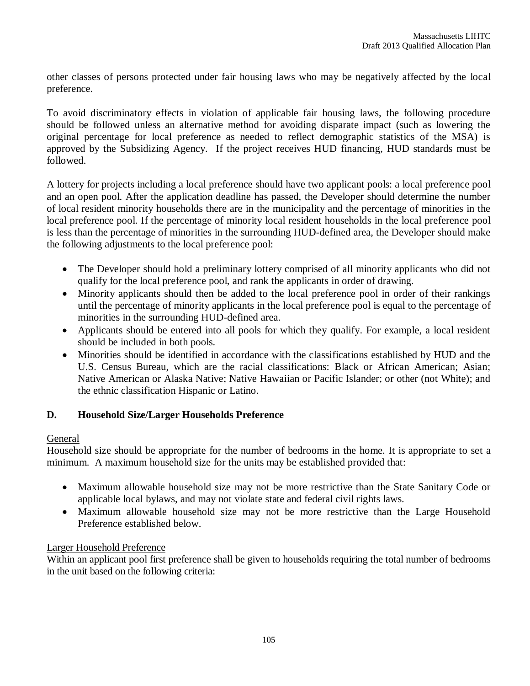other classes of persons protected under fair housing laws who may be negatively affected by the local preference.

To avoid discriminatory effects in violation of applicable fair housing laws, the following procedure should be followed unless an alternative method for avoiding disparate impact (such as lowering the original percentage for local preference as needed to reflect demographic statistics of the MSA) is approved by the Subsidizing Agency. If the project receives HUD financing, HUD standards must be followed.

A lottery for projects including a local preference should have two applicant pools: a local preference pool and an open pool. After the application deadline has passed, the Developer should determine the number of local resident minority households there are in the municipality and the percentage of minorities in the local preference pool. If the percentage of minority local resident households in the local preference pool is less than the percentage of minorities in the surrounding HUD-defined area, the Developer should make the following adjustments to the local preference pool:

- The Developer should hold a preliminary lottery comprised of all minority applicants who did not qualify for the local preference pool, and rank the applicants in order of drawing.
- Minority applicants should then be added to the local preference pool in order of their rankings until the percentage of minority applicants in the local preference pool is equal to the percentage of minorities in the surrounding HUD-defined area.
- Applicants should be entered into all pools for which they qualify. For example, a local resident should be included in both pools.
- Minorities should be identified in accordance with the classifications established by HUD and the U.S. Census Bureau, which are the racial classifications: Black or African American; Asian; Native American or Alaska Native; Native Hawaiian or Pacific Islander; or other (not White); and the ethnic classification Hispanic or Latino.

### **D. Household Size/Larger Households Preference**

#### General

Household size should be appropriate for the number of bedrooms in the home. It is appropriate to set a minimum. A maximum household size for the units may be established provided that:

- Maximum allowable household size may not be more restrictive than the State Sanitary Code or applicable local bylaws, and may not violate state and federal civil rights laws.
- Maximum allowable household size may not be more restrictive than the Large Household Preference established below.

#### Larger Household Preference

Within an applicant pool first preference shall be given to households requiring the total number of bedrooms in the unit based on the following criteria: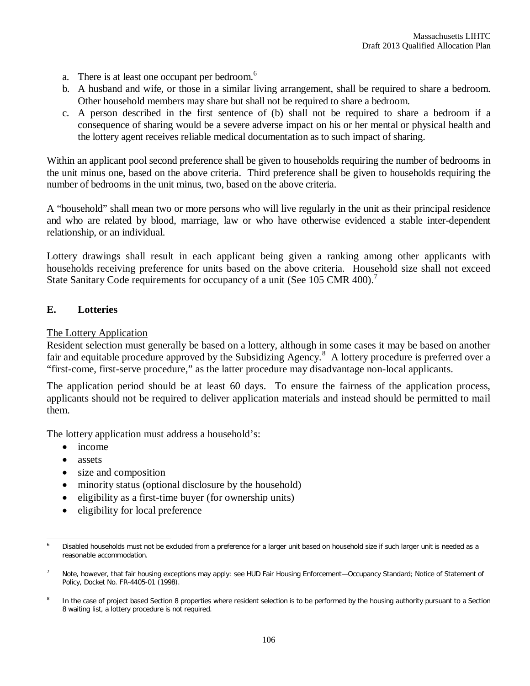- a. There is at least one occupant per bedroom.<sup>6</sup>
- b. A husband and wife, or those in a similar living arrangement, shall be required to share a bedroom. Other household members may share but shall not be required to share a bedroom.
- c. A person described in the first sentence of (b) shall not be required to share a bedroom if a consequence of sharing would be a severe adverse impact on his or her mental or physical health and the lottery agent receives reliable medical documentation as to such impact of sharing.

Within an applicant pool second preference shall be given to households requiring the number of bedrooms in the unit minus one, based on the above criteria. Third preference shall be given to households requiring the number of bedrooms in the unit minus, two, based on the above criteria.

A "household" shall mean two or more persons who will live regularly in the unit as their principal residence and who are related by blood, marriage, law or who have otherwise evidenced a stable inter-dependent relationship, or an individual.

Lottery drawings shall result in each applicant being given a ranking among other applicants with households receiving preference for units based on the above criteria.Household size shall not exceed State Sanitary Code requirements for occupancy of a unit (See 105 CMR 400).<sup>7</sup>

### **E. Lotteries**

#### The Lottery Application

Resident selection must generally be based on a lottery, although in some cases it may be based on another fair and equitable procedure approved by the Subsidizing Agency.<sup>8</sup> A lottery procedure is preferred over a "first-come, first-serve procedure," as the latter procedure may disadvantage non-local applicants.

The application period should be at least 60 days. To ensure the fairness of the application process, applicants should not be required to deliver application materials and instead should be permitted to mail them.

The lottery application must address a household's:

- income
- assets
- size and composition
- minority status (optional disclosure by the household)
- eligibility as a first-time buyer (for ownership units)
- eligibility for local preference

 $\overline{a}$ Disabled households must not be excluded from a preference for a larger unit based on household size if such larger unit is needed as a reasonable accommodation.

<sup>7</sup> Note, however, that fair housing exceptions may apply: see HUD Fair Housing Enforcement—Occupancy Standard; Notice of Statement of Policy, Docket No. FR-4405-01 (1998).

<sup>8</sup> In the case of project based Section 8 properties where resident selection is to be performed by the housing authority pursuant to a Section 8 waiting list, a lottery procedure is not required.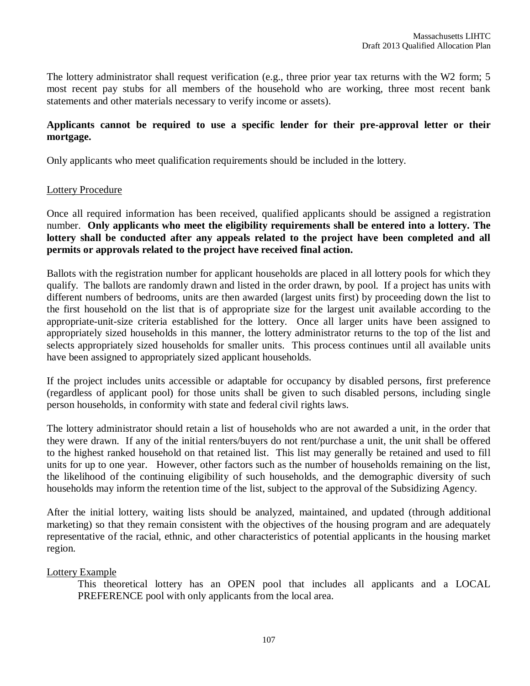The lottery administrator shall request verification (e.g., three prior year tax returns with the W2 form; 5 most recent pay stubs for all members of the household who are working, three most recent bank statements and other materials necessary to verify income or assets).

## **Applicants cannot be required to use a specific lender for their pre-approval letter or their mortgage.**

Only applicants who meet qualification requirements should be included in the lottery.

#### Lottery Procedure

Once all required information has been received, qualified applicants should be assigned a registration number. **Only applicants who meet the eligibility requirements shall be entered into a lottery. The lottery shall be conducted after any appeals related to the project have been completed and all permits or approvals related to the project have received final action.**

Ballots with the registration number for applicant households are placed in all lottery pools for which they qualify. The ballots are randomly drawn and listed in the order drawn, by pool. If a project has units with different numbers of bedrooms, units are then awarded (largest units first) by proceeding down the list to the first household on the list that is of appropriate size for the largest unit available according to the appropriate-unit-size criteria established for the lottery. Once all larger units have been assigned to appropriately sized households in this manner, the lottery administrator returns to the top of the list and selects appropriately sized households for smaller units. This process continues until all available units have been assigned to appropriately sized applicant households.

If the project includes units accessible or adaptable for occupancy by disabled persons, first preference (regardless of applicant pool) for those units shall be given to such disabled persons, including single person households, in conformity with state and federal civil rights laws.

The lottery administrator should retain a list of households who are not awarded a unit, in the order that they were drawn. If any of the initial renters/buyers do not rent/purchase a unit, the unit shall be offered to the highest ranked household on that retained list. This list may generally be retained and used to fill units for up to one year. However, other factors such as the number of households remaining on the list, the likelihood of the continuing eligibility of such households, and the demographic diversity of such households may inform the retention time of the list, subject to the approval of the Subsidizing Agency.

After the initial lottery, waiting lists should be analyzed, maintained, and updated (through additional marketing) so that they remain consistent with the objectives of the housing program and are adequately representative of the racial, ethnic, and other characteristics of potential applicants in the housing market region.

# Lottery Example

This theoretical lottery has an OPEN pool that includes all applicants and a LOCAL PREFERENCE pool with only applicants from the local area.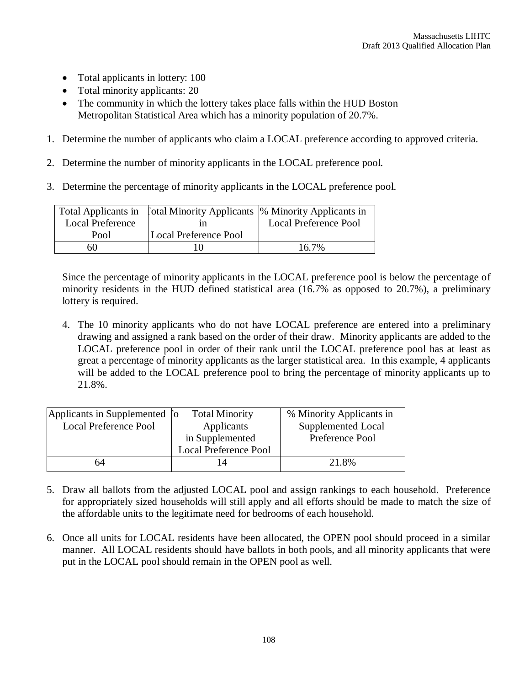- Total applicants in lottery: 100
- Total minority applicants: 20
- The community in which the lottery takes place falls within the HUD Boston Metropolitan Statistical Area which has a minority population of 20.7%.
- 1. Determine the number of applicants who claim a LOCAL preference according to approved criteria.
- 2. Determine the number of minority applicants in the LOCAL preference pool.
- 3. Determine the percentage of minority applicants in the LOCAL preference pool.

|                         | Total Applicants in [otal Minority Applicants  % Minority Applicants in |                              |
|-------------------------|-------------------------------------------------------------------------|------------------------------|
| <b>Local Preference</b> |                                                                         | <b>Local Preference Pool</b> |
| Pool                    | Local Preference Pool                                                   |                              |
| 60                      |                                                                         | $16.7\%$                     |

Since the percentage of minority applicants in the LOCAL preference pool is below the percentage of minority residents in the HUD defined statistical area (16.7% as opposed to 20.7%), a preliminary lottery is required.

4. The 10 minority applicants who do not have LOCAL preference are entered into a preliminary drawing and assigned a rank based on the order of their draw. Minority applicants are added to the LOCAL preference pool in order of their rank until the LOCAL preference pool has at least as great a percentage of minority applicants as the larger statistical area. In this example, 4 applicants will be added to the LOCAL preference pool to bring the percentage of minority applicants up to 21.8%.

|                              | <b>Total Minority</b>        | % Minority Applicants in      |
|------------------------------|------------------------------|-------------------------------|
| <b>Local Preference Pool</b> | Applicants                   | Supplemented Local            |
|                              | in Supplemented              | Preference Pool               |
|                              | <b>Local Preference Pool</b> |                               |
| 64                           |                              | 21.8%                         |
|                              |                              | Applicants in Supplemented [o |

- 5. Draw all ballots from the adjusted LOCAL pool and assign rankings to each household. Preference for appropriately sized households will still apply and all efforts should be made to match the size of the affordable units to the legitimate need for bedrooms of each household.
- 6. Once all units for LOCAL residents have been allocated, the OPEN pool should proceed in a similar manner. All LOCAL residents should have ballots in both pools, and all minority applicants that were put in the LOCAL pool should remain in the OPEN pool as well.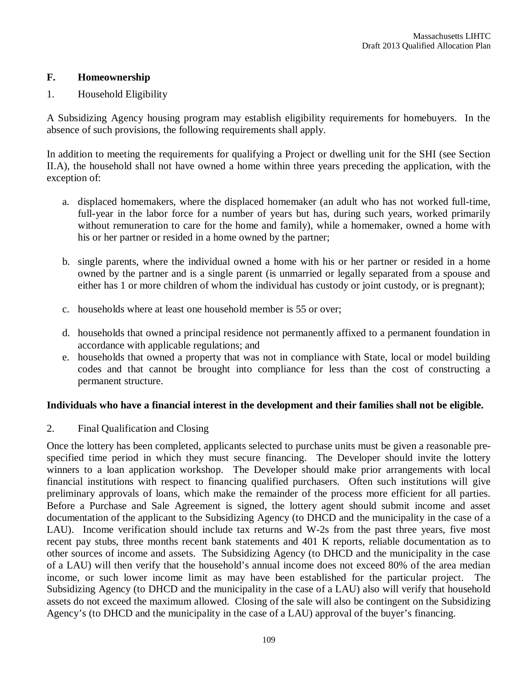## **F. Homeownership**

## 1. Household Eligibility

A Subsidizing Agency housing program may establish eligibility requirements for homebuyers. In the absence of such provisions, the following requirements shall apply.

In addition to meeting the requirements for qualifying a Project or dwelling unit for the SHI (see Section II.A), the household shall not have owned a home within three years preceding the application, with the exception of:

- a. displaced homemakers, where the displaced homemaker (an adult who has not worked full-time, full-year in the labor force for a number of years but has, during such years, worked primarily without remuneration to care for the home and family), while a homemaker, owned a home with his or her partner or resided in a home owned by the partner;
- b. single parents, where the individual owned a home with his or her partner or resided in a home owned by the partner and is a single parent (is unmarried or legally separated from a spouse and either has 1 or more children of whom the individual has custody or joint custody, or is pregnant);
- c. households where at least one household member is 55 or over;
- d. households that owned a principal residence not permanently affixed to a permanent foundation in accordance with applicable regulations; and
- e. households that owned a property that was not in compliance with State, local or model building codes and that cannot be brought into compliance for less than the cost of constructing a permanent structure.

#### **Individuals who have a financial interest in the development and their families shall not be eligible.**

2. Final Qualification and Closing

Once the lottery has been completed, applicants selected to purchase units must be given a reasonable prespecified time period in which they must secure financing. The Developer should invite the lottery winners to a loan application workshop. The Developer should make prior arrangements with local financial institutions with respect to financing qualified purchasers. Often such institutions will give preliminary approvals of loans, which make the remainder of the process more efficient for all parties. Before a Purchase and Sale Agreement is signed, the lottery agent should submit income and asset documentation of the applicant to the Subsidizing Agency (to DHCD and the municipality in the case of a LAU). Income verification should include tax returns and W-2s from the past three years, five most recent pay stubs, three months recent bank statements and 401 K reports, reliable documentation as to other sources of income and assets. The Subsidizing Agency (to DHCD and the municipality in the case of a LAU) will then verify that the household's annual income does not exceed 80% of the area median income, or such lower income limit as may have been established for the particular project. The Subsidizing Agency (to DHCD and the municipality in the case of a LAU) also will verify that household assets do not exceed the maximum allowed. Closing of the sale will also be contingent on the Subsidizing Agency's (to DHCD and the municipality in the case of a LAU) approval of the buyer's financing.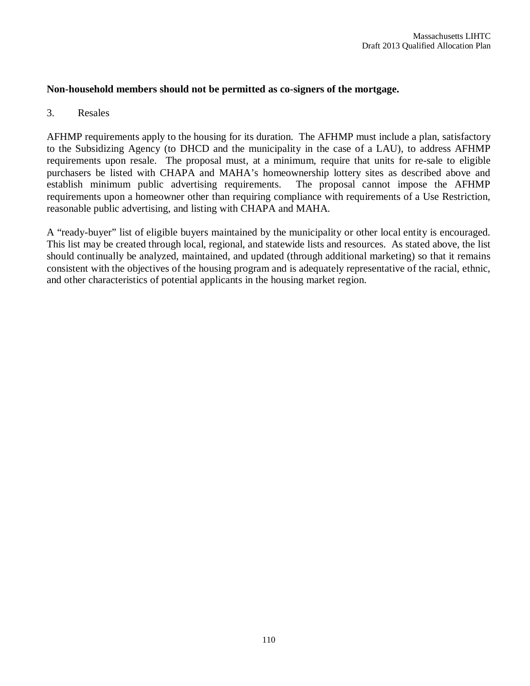## **Non-household members should not be permitted as co-signers of the mortgage.**

## 3. Resales

AFHMP requirements apply to the housing for its duration. The AFHMP must include a plan, satisfactory to the Subsidizing Agency (to DHCD and the municipality in the case of a LAU), to address AFHMP requirements upon resale. The proposal must, at a minimum, require that units for re-sale to eligible purchasers be listed with CHAPA and MAHA's homeownership lottery sites as described above and establish minimum public advertising requirements. The proposal cannot impose the AFHMP requirements upon a homeowner other than requiring compliance with requirements of a Use Restriction. reasonable public advertising, and listing with CHAPA and MAHA.

A "ready-buyer" list of eligible buyers maintained by the municipality or other local entity is encouraged. This list may be created through local, regional, and statewide lists and resources. As stated above, the list should continually be analyzed, maintained, and updated (through additional marketing) so that it remains consistent with the objectives of the housing program and is adequately representative of the racial, ethnic, and other characteristics of potential applicants in the housing market region.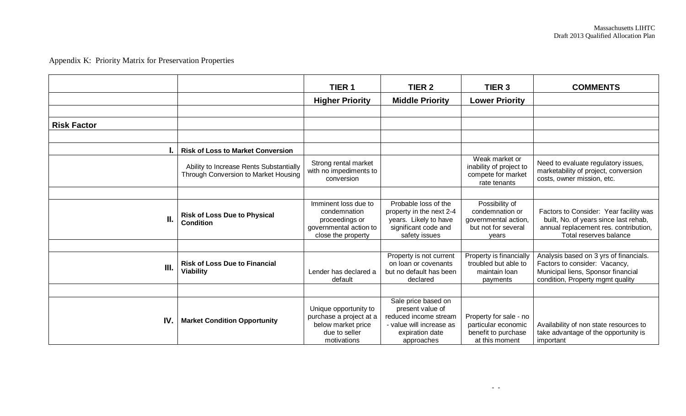# Appendix K: Priority Matrix for Preservation Properties

|                    |                                                                                 | TIER <sub>1</sub>                                                                                      | TIER <sub>2</sub>                                                                                                             | TIER <sub>3</sub>                                                                         | <b>COMMENTS</b>                                                                                                                                    |
|--------------------|---------------------------------------------------------------------------------|--------------------------------------------------------------------------------------------------------|-------------------------------------------------------------------------------------------------------------------------------|-------------------------------------------------------------------------------------------|----------------------------------------------------------------------------------------------------------------------------------------------------|
|                    |                                                                                 | <b>Higher Priority</b>                                                                                 | <b>Middle Priority</b>                                                                                                        | <b>Lower Priority</b>                                                                     |                                                                                                                                                    |
|                    |                                                                                 |                                                                                                        |                                                                                                                               |                                                                                           |                                                                                                                                                    |
| <b>Risk Factor</b> |                                                                                 |                                                                                                        |                                                                                                                               |                                                                                           |                                                                                                                                                    |
|                    |                                                                                 |                                                                                                        |                                                                                                                               |                                                                                           |                                                                                                                                                    |
|                    | <b>Risk of Loss to Market Conversion</b>                                        |                                                                                                        |                                                                                                                               |                                                                                           |                                                                                                                                                    |
|                    | Ability to Increase Rents Substantially<br>Through Conversion to Market Housing | Strong rental market<br>with no impediments to<br>conversion                                           |                                                                                                                               | Weak market or<br>inability of project to<br>compete for market<br>rate tenants           | Need to evaluate regulatory issues,<br>marketability of project, conversion<br>costs, owner mission, etc.                                          |
|                    |                                                                                 |                                                                                                        |                                                                                                                               |                                                                                           |                                                                                                                                                    |
| Н.                 | <b>Risk of Loss Due to Physical</b><br><b>Condition</b>                         | Imminent loss due to<br>condemnation<br>proceedings or<br>governmental action to<br>close the property | Probable loss of the<br>property in the next 2-4<br>years. Likely to have<br>significant code and<br>safety issues            | Possibility of<br>condemnation or<br>governmental action,<br>but not for several<br>vears | Factors to Consider: Year facility was<br>built, No. of years since last rehab,<br>annual replacement res. contribution,<br>Total reserves balance |
|                    |                                                                                 |                                                                                                        |                                                                                                                               |                                                                                           |                                                                                                                                                    |
| Ш.                 | <b>Risk of Loss Due to Financial</b><br><b>Viability</b>                        | Lender has declared a<br>default                                                                       | Property is not current<br>on loan or covenants<br>but no default has been<br>declared                                        | Property is financially<br>troubled but able to<br>maintain Ioan<br>payments              | Analysis based on 3 yrs of financials.<br>Factors to consider: Vacancy,<br>Municipal liens, Sponsor financial<br>condition, Property mgmt quality  |
|                    |                                                                                 |                                                                                                        |                                                                                                                               |                                                                                           |                                                                                                                                                    |
| IV.                | <b>Market Condition Opportunity</b>                                             | Unique opportunity to<br>purchase a project at a<br>below market price<br>due to seller<br>motivations | Sale price based on<br>present value of<br>reduced income stream<br>- value will increase as<br>expiration date<br>approaches | Property for sale - no<br>particular economic<br>benefit to purchase<br>at this moment    | Availability of non state resources to<br>take advantage of the opportunity is<br>important                                                        |

- -